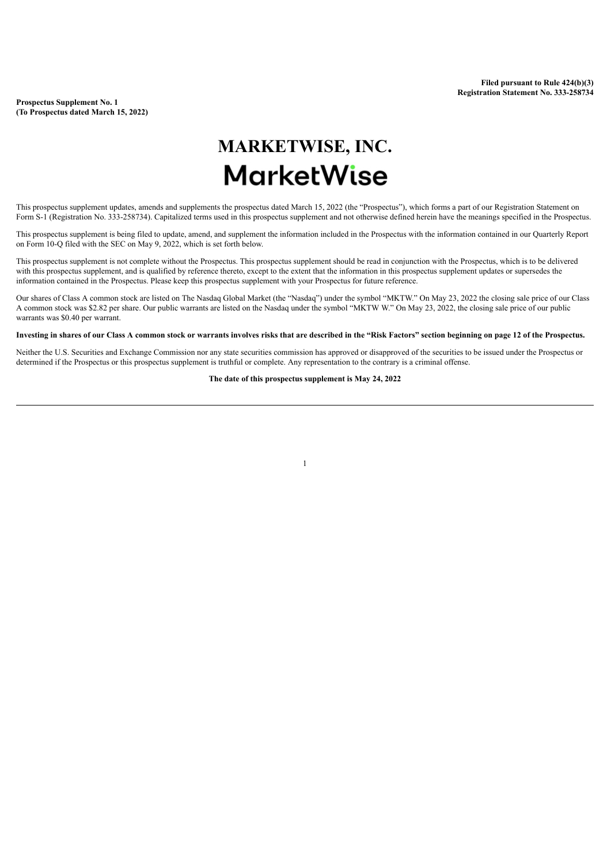**Prospectus Supplement No. 1 (To Prospectus dated March 15, 2022)**

# **MARKETWISE, INC. MarketWise**

This prospectus supplement updates, amends and supplements the prospectus dated March 15, 2022 (the "Prospectus"), which forms a part of our Registration Statement on Form S-1 (Registration No. 333-258734). Capitalized terms used in this prospectus supplement and not otherwise defined herein have the meanings specified in the Prospectus.

This prospectus supplement is being filed to update, amend, and supplement the information included in the Prospectus with the information contained in our Quarterly Report on Form 10-Q filed with the SEC on May 9, 2022, which is set forth below.

This prospectus supplement is not complete without the Prospectus. This prospectus supplement should be read in conjunction with the Prospectus, which is to be delivered with this prospectus supplement, and is qualified by reference thereto, except to the extent that the information in this prospectus supplement updates or supersedes the information contained in the Prospectus. Please keep this prospectus supplement with your Prospectus for future reference.

Our shares of Class A common stock are listed on The Nasdaq Global Market (the "Nasdaq") under the symbol "MKTW." On May 23, 2022 the closing sale price of our Class A common stock was \$2.82 per share. Our public warrants are listed on the Nasdaq under the symbol "MKTW W." On May 23, 2022, the closing sale price of our public warrants was \$0.40 per warrant.

# Investing in shares of our Class A common stock or warrants involves risks that are described in the "Risk Factors" section beginning on page 12 of the Prospectus.

Neither the U.S. Securities and Exchange Commission nor any state securities commission has approved or disapproved of the securities to be issued under the Prospectus or determined if the Prospectus or this prospectus supplement is truthful or complete. Any representation to the contrary is a criminal offense.

### **The date of this prospectus supplement is May 24, 2022**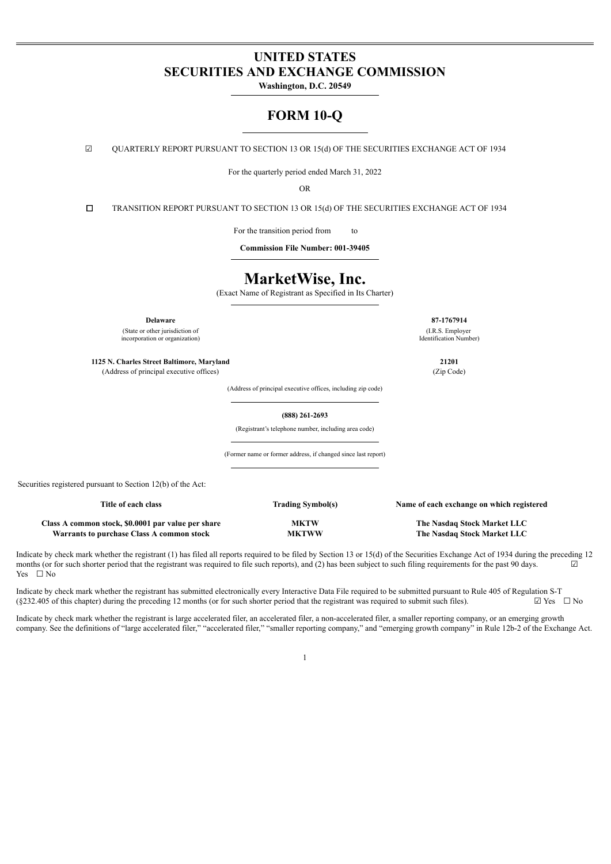# **UNITED STATES SECURITIES AND EXCHANGE COMMISSION**

**Washington, D.C. 20549**

# **FORM 10-Q**

☑ QUARTERLY REPORT PURSUANT TO SECTION 13 OR 15(d) OF THE SECURITIES EXCHANGE ACT OF 1934

For the quarterly period ended March 31, 2022

OR

☐ TRANSITION REPORT PURSUANT TO SECTION 13 OR 15(d) OF THE SECURITIES EXCHANGE ACT OF 1934

For the transition period from to

**Commission File Number: 001-39405**

# **MarketWise, Inc.**

(Exact Name of Registrant as Specified in Its Charter)

**Delaware 87-1767914**

(State or other jurisdiction of incorporation or organization)

**1125 N. Charles Street Baltimore, Maryland 21201** (Address of principal executive offices) (Zip Code)

(Address of principal executive offices, including zip code)

**(888) 261-2693**

(Registrant's telephone number, including area code)

(Former name or former address, if changed since last report)

Securities registered pursuant to Section 12(b) of the Act:

**Title of each class Trading Symbol(s) Name of each exchange on which registered**

(I.R.S. Employer Identification Number)

**Class A common stock, \$0.0001 par value per share MKTW The Nasdaq Stock Market LLC Warrants to** purchase Class **A** common stock **MKTWW The Nasdaq Stock Market LLC** 

Indicate by check mark whether the registrant (1) has filed all reports required to be filed by Section 13 or 15(d) of the Securities Exchange Act of 1934 during the preceding 12 months (or for such shorter period that the registrant was required to file such reports), and (2) has been subject to such filing requirements for the past 90 days. ☑ Yes  $\Box$  No

Indicate by check mark whether the registrant has submitted electronically every Interactive Data File required to be submitted pursuant to Rule 405 of Regulation S-T (§232.405 of this chapter) during the preceding 12 months (or for such shorter period that the registrant was required to submit such files).  $□$  Yes  $□$  No

Indicate by check mark whether the registrant is large accelerated filer, an accelerated filer, a non-accelerated filer, a smaller reporting company, or an emerging growth company. See the definitions of "large accelerated filer," "accelerated filer," "smaller reporting company," and "emerging growth company" in Rule 12b-2 of the Exchange Act.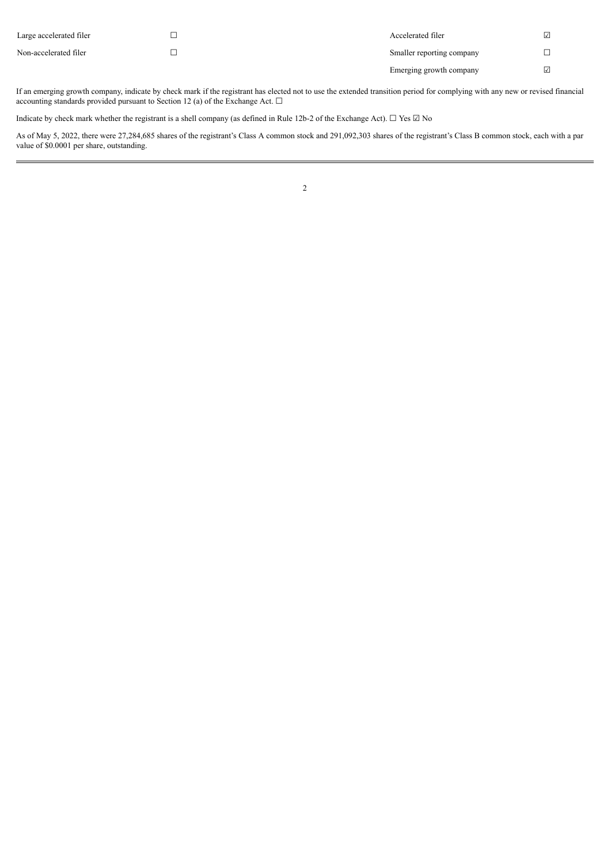| Large accelerated filer | Accelerated filer         | $\sqrt{ }$ |
|-------------------------|---------------------------|------------|
| Non-accelerated filer   | Smaller reporting company |            |
|                         | Emerging growth company   | ☑          |

If an emerging growth company, indicate by check mark if the registrant has elected not to use the extended transition period for complying with any new or revised financial accounting standards provided pursuant to Section 12 (a) of the Exchange Act.  $\Box$ 

Indicate by check mark whether the registrant is a shell company (as defined in Rule 12b-2 of the Exchange Act).  $\Box$  Yes  $\Box$  No

As of May 5, 2022, there were 27,284,685 shares of the registrant's Class A common stock and 291,092,303 shares of the registrant's Class B common stock, each with a par value of \$0.0001 per share, outstanding.

 $\overline{2}$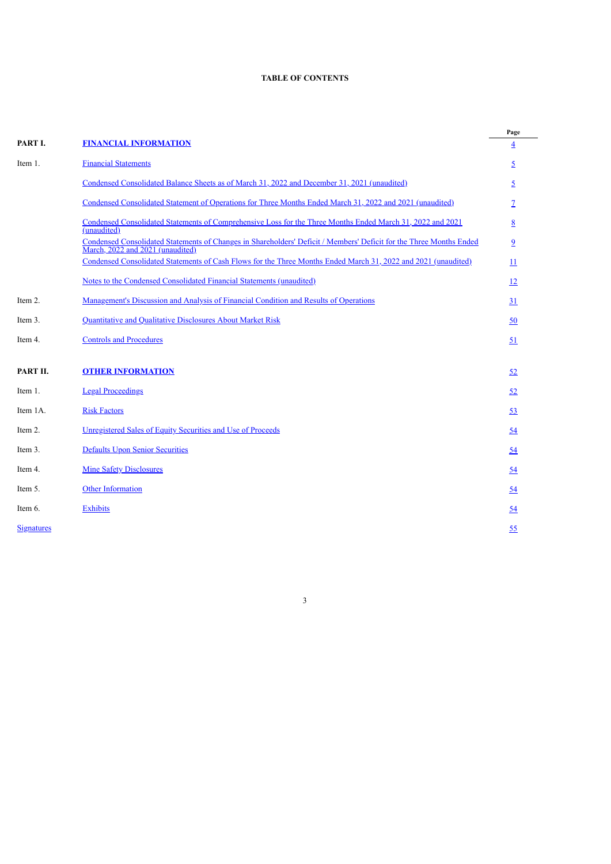# **TABLE OF CONTENTS**

|                   |                                                                                                                                                         | Page             |
|-------------------|---------------------------------------------------------------------------------------------------------------------------------------------------------|------------------|
| PART I.           | <b>FINANCIAL INFORMATION</b>                                                                                                                            | $\overline{4}$   |
| Item 1.           | <b>Financial Statements</b>                                                                                                                             | 5                |
|                   | Condensed Consolidated Balance Sheets as of March 31, 2022 and December 31, 2021 (unaudited)                                                            | <u>5</u>         |
|                   | Condensed Consolidated Statement of Operations for Three Months Ended March 31, 2022 and 2021 (unaudited)                                               | $\overline{1}$   |
|                   | Condensed Consolidated Statements of Comprehensive Loss for the Three Months Ended March 31, 2022 and 2021<br>(unaudited)                               | 8                |
|                   | Condensed Consolidated Statements of Changes in Shareholders' Deficit / Members' Deficit for the Three Months Ended<br>March, 2022 and 2021 (unaudited) | $\overline{9}$   |
|                   | Condensed Consolidated Statements of Cash Flows for the Three Months Ended March 31, 2022 and 2021 (unaudited)                                          | 11               |
|                   | Notes to the Condensed Consolidated Financial Statements (unaudited)                                                                                    | $\overline{12}$  |
| Item 2.           | Management's Discussion and Analysis of Financial Condition and Results of Operations                                                                   | 31               |
| Item 3.           | <b>Ouantitative and Oualitative Disclosures About Market Risk</b>                                                                                       | 50               |
| Item 4.           | <b>Controls and Procedures</b>                                                                                                                          | <u>51</u>        |
| PART II.          | <b>OTHER INFORMATION</b>                                                                                                                                | 52               |
| Item 1.           | <b>Legal Proceedings</b>                                                                                                                                | 52               |
| Item 1A.          | <b>Risk Factors</b>                                                                                                                                     | 53               |
| Item 2.           | Unregistered Sales of Equity Securities and Use of Proceeds                                                                                             | 54               |
| Item 3.           | <b>Defaults Upon Senior Securities</b>                                                                                                                  | 54               |
| Item 4.           | <b>Mine Safety Disclosures</b>                                                                                                                          | $\underline{54}$ |
| Item 5.           | Other Information                                                                                                                                       | 54               |
| Item 6.           | <b>Exhibits</b>                                                                                                                                         | 54               |
| <b>Signatures</b> |                                                                                                                                                         | 55               |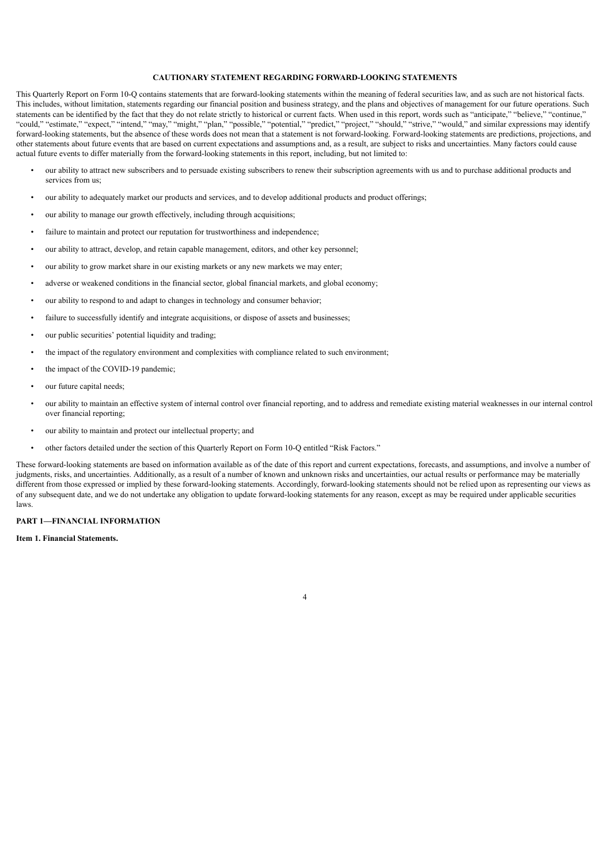# **CAUTIONARY STATEMENT REGARDING FORWARD-LOOKING STATEMENTS**

This Quarterly Report on Form 10-Q contains statements that are forward-looking statements within the meaning of federal securities law, and as such are not historical facts. This includes, without limitation, statements regarding our financial position and business strategy, and the plans and objectives of management for our future operations. Such statements can be identified by the fact that they do not relate strictly to historical or current facts. When used in this report, words such as "anticipate," "believe," "continue," "could," "estimate," "expect," "intend," "may," "might," "plan," "possible," "potential," "predict," "project," "should," "strive," "would," and similar expressions may identify forward-looking statements, but the absence of these words does not mean that a statement is not forward-looking. Forward-looking statements are predictions, projections, and other statements about future events that are based on current expectations and assumptions and, as a result, are subject to risks and uncertainties. Many factors could cause actual future events to differ materially from the forward-looking statements in this report, including, but not limited to:

- our ability to attract new subscribers and to persuade existing subscribers to renew their subscription agreements with us and to purchase additional products and services from us:
- our ability to adequately market our products and services, and to develop additional products and product offerings;
- our ability to manage our growth effectively, including through acquisitions;
- failure to maintain and protect our reputation for trustworthiness and independence;
- our ability to attract, develop, and retain capable management, editors, and other key personnel;
- our ability to grow market share in our existing markets or any new markets we may enter;
- adverse or weakened conditions in the financial sector, global financial markets, and global economy;
- our ability to respond to and adapt to changes in technology and consumer behavior;
- failure to successfully identify and integrate acquisitions, or dispose of assets and businesses;
- our public securities' potential liquidity and trading;
- the impact of the regulatory environment and complexities with compliance related to such environment;
- the impact of the COVID-19 pandemic;
- our future capital needs;
- our ability to maintain an effective system of internal control over financial reporting, and to address and remediate existing material weaknesses in our internal control over financial reporting;
- our ability to maintain and protect our intellectual property; and
- other factors detailed under the section of this Quarterly Report on Form 10-Q entitled "Risk Factors."

These forward-looking statements are based on information available as of the date of this report and current expectations, forecasts, and assumptions, and involve a number of judgments, risks, and uncertainties. Additionally, as a result of a number of known and unknown risks and uncertainties, our actual results or performance may be materially different from those expressed or implied by these forward-looking statements. Accordingly, forward-looking statements should not be relied upon as representing our views as of any subsequent date, and we do not undertake any obligation to update forward-looking statements for any reason, except as may be required under applicable securities laws.

4

# <span id="page-4-0"></span>**PART 1—FINANCIAL INFORMATION**

### <span id="page-4-1"></span>**Item 1. Financial Statements.**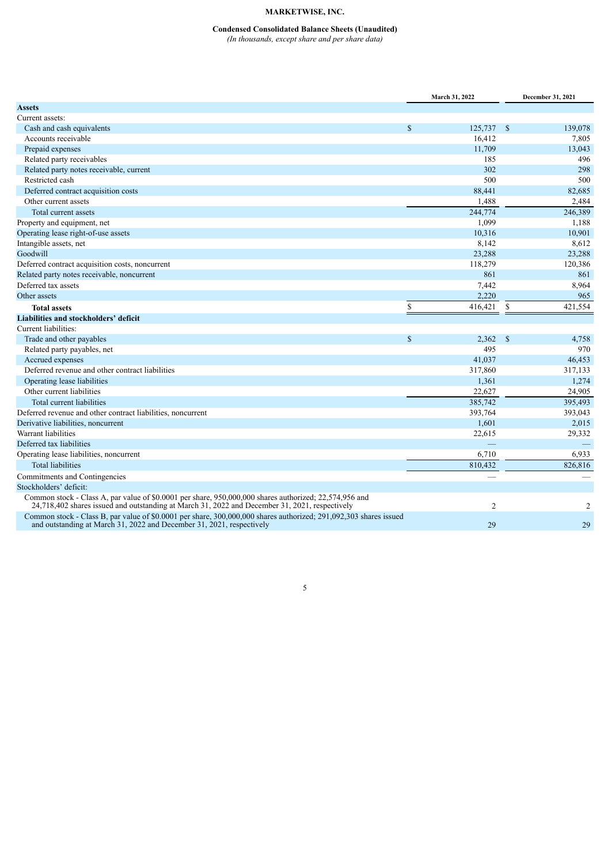#### **Condensed Consolidated Balance Sheets (Unaudited)**

*(In thousands, except share and per share data)*

<span id="page-5-0"></span>

|                                                                                                                                                                                            | March 31, 2022           | December 31, 2021       |
|--------------------------------------------------------------------------------------------------------------------------------------------------------------------------------------------|--------------------------|-------------------------|
| <b>Assets</b>                                                                                                                                                                              |                          |                         |
| Current assets:                                                                                                                                                                            |                          |                         |
| Cash and cash equivalents                                                                                                                                                                  | \$<br>125,737            | $\mathbb{S}$<br>139,078 |
| Accounts receivable                                                                                                                                                                        | 16,412                   | 7,805                   |
| Prepaid expenses                                                                                                                                                                           | 11,709                   | 13,043                  |
| Related party receivables                                                                                                                                                                  | 185                      | 496                     |
| Related party notes receivable, current                                                                                                                                                    | 302                      | 298                     |
| Restricted cash                                                                                                                                                                            | 500                      | 500                     |
| Deferred contract acquisition costs                                                                                                                                                        | 88,441                   | 82,685                  |
| Other current assets                                                                                                                                                                       | 1,488                    | 2,484                   |
| Total current assets                                                                                                                                                                       | 244,774                  | 246,389                 |
| Property and equipment, net                                                                                                                                                                | 1.099                    | 1,188                   |
| Operating lease right-of-use assets                                                                                                                                                        | 10,316                   | 10,901                  |
| Intangible assets, net                                                                                                                                                                     | 8,142                    | 8,612                   |
| Goodwill                                                                                                                                                                                   | 23,288                   | 23,288                  |
| Deferred contract acquisition costs, noncurrent                                                                                                                                            | 118,279                  | 120,386                 |
| Related party notes receivable, noncurrent                                                                                                                                                 | 861                      | 861                     |
| Deferred tax assets                                                                                                                                                                        | 7,442                    | 8,964                   |
| Other assets                                                                                                                                                                               | 2,220                    | 965                     |
| <b>Total assets</b>                                                                                                                                                                        | S<br>416,421             | 421,554<br>\$           |
| Liabilities and stockholders' deficit                                                                                                                                                      |                          |                         |
| Current liabilities:                                                                                                                                                                       |                          |                         |
| Trade and other payables                                                                                                                                                                   | \$<br>2,362              | $\mathbb{S}$<br>4,758   |
| Related party payables, net                                                                                                                                                                | 495                      | 970                     |
| Accrued expenses                                                                                                                                                                           | 41,037                   | 46,453                  |
| Deferred revenue and other contract liabilities                                                                                                                                            | 317,860                  | 317,133                 |
| Operating lease liabilities                                                                                                                                                                | 1,361                    | 1,274                   |
| Other current liabilities                                                                                                                                                                  | 22,627                   | 24,905                  |
| Total current liabilities                                                                                                                                                                  | 385,742                  | 395,493                 |
| Deferred revenue and other contract liabilities, noncurrent                                                                                                                                | 393,764                  | 393,043                 |
| Derivative liabilities, noncurrent                                                                                                                                                         | 1,601                    | 2,015                   |
| Warrant liabilities                                                                                                                                                                        | 22,615                   | 29,332                  |
| Deferred tax liabilities                                                                                                                                                                   |                          |                         |
| Operating lease liabilities, noncurrent                                                                                                                                                    | 6,710                    | 6,933                   |
| <b>Total liabilities</b>                                                                                                                                                                   | 810,432                  | 826,816                 |
| Commitments and Contingencies                                                                                                                                                              | $\overline{\phantom{0}}$ |                         |
| Stockholders' deficit:                                                                                                                                                                     |                          |                         |
| Common stock - Class A, par value of \$0.0001 per share, 950,000,000 shares authorized; 22,574,956 and                                                                                     |                          |                         |
| 24,718,402 shares issued and outstanding at March 31, 2022 and December 31, 2021, respectively                                                                                             | $\overline{2}$           | $\overline{c}$          |
| Common stock - Class B, par value of \$0.0001 per share, 300,000,000 shares authorized; 291,092,303 shares issued<br>and outstanding at March 31, 2022 and December 31, 2021, respectively | 29                       | 29                      |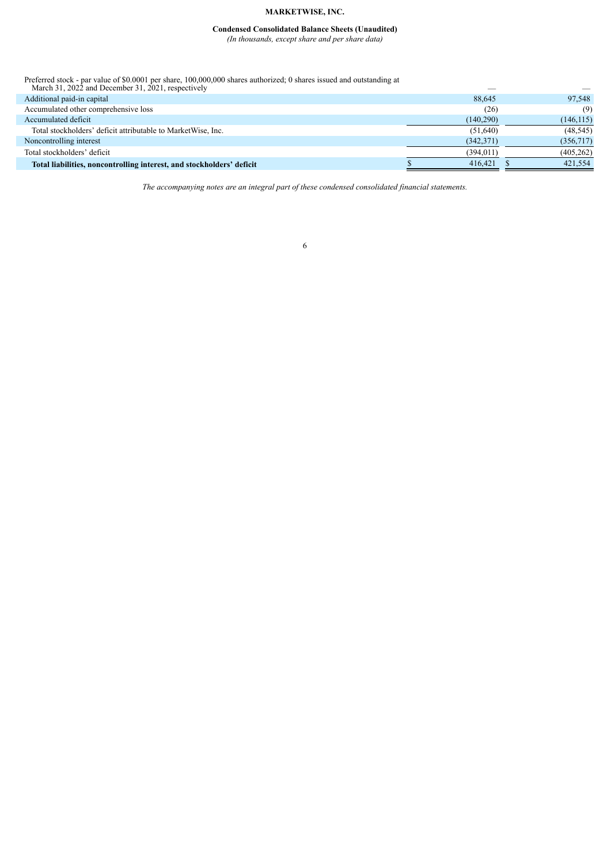# **Condensed Consolidated Balance Sheets (Unaudited)**

*(In thousands, except share and per share data)*

Preferred stock - par value of \$0.0001 per share, 100,000,000 shares authorized; 0 shares issued and outstanding at <br>March 31, 2022 and December 31, 2021, respectively experiency and the state of the state of the state of

| $M$ arch 31, 2022 and December 31, 2021, respectively                 |            |            |
|-----------------------------------------------------------------------|------------|------------|
| Additional paid-in capital                                            | 88,645     | 97,548     |
| Accumulated other comprehensive loss                                  | (26)       | (9)        |
| Accumulated deficit                                                   | (140,290)  | (146, 115) |
| Total stockholders' deficit attributable to MarketWise, Inc.          | (51,640)   | (48, 545)  |
| Noncontrolling interest                                               | (342, 371) | (356,717)  |
| Total stockholders' deficit                                           | (394.011)  | (405, 262) |
| Total liabilities, noncontrolling interest, and stockholders' deficit | 416.421    | 421,554    |

<span id="page-6-0"></span>*The accompanying notes are an integral part of these condensed consolidated financial statements.*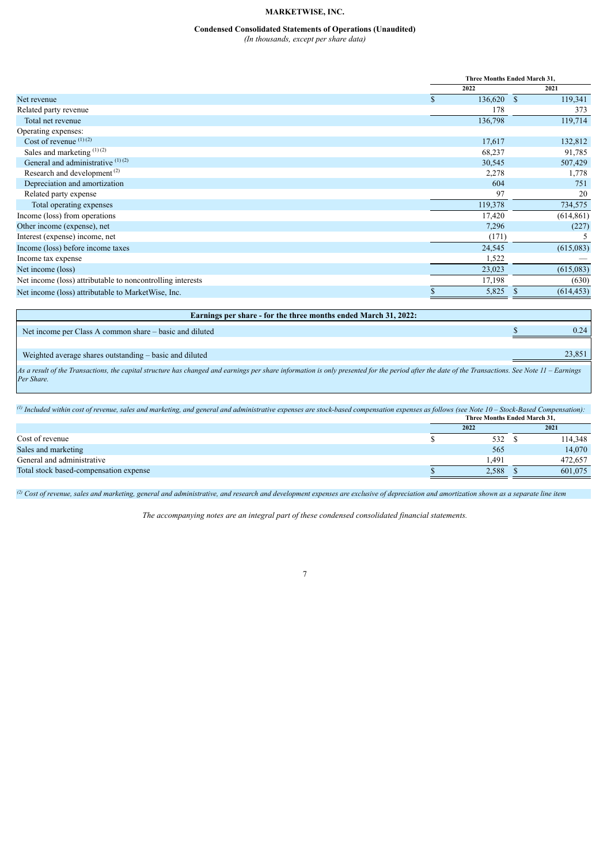# **Condensed Consolidated Statements of Operations (Unaudited)**

*(In thousands, except per share data)*

|                                                            |      | Three Months Ended March 31, |            |  |  |  |
|------------------------------------------------------------|------|------------------------------|------------|--|--|--|
|                                                            | 2022 |                              | 2021       |  |  |  |
| Net revenue                                                | S    | 136,620 \$                   | 119,341    |  |  |  |
| Related party revenue                                      |      | 178                          | 373        |  |  |  |
| Total net revenue                                          |      | 136,798                      | 119,714    |  |  |  |
| Operating expenses:                                        |      |                              |            |  |  |  |
| Cost of revenue $(1)(2)$                                   |      | 17,617                       | 132,812    |  |  |  |
| Sales and marketing (1)(2)                                 |      | 68,237                       | 91,785     |  |  |  |
| General and administrative (1)(2)                          |      | 30,545                       | 507,429    |  |  |  |
| Research and development <sup>(2)</sup>                    |      | 2,278                        | 1,778      |  |  |  |
| Depreciation and amortization                              |      | 604                          | 751        |  |  |  |
| Related party expense                                      |      | 97                           | 20         |  |  |  |
| Total operating expenses                                   |      | 119,378                      | 734,575    |  |  |  |
| Income (loss) from operations                              |      | 17,420                       | (614, 861) |  |  |  |
| Other income (expense), net                                |      | 7,296                        | (227)      |  |  |  |
| Interest (expense) income, net                             |      | (171)                        |            |  |  |  |
| Income (loss) before income taxes                          |      | 24,545                       | (615,083)  |  |  |  |
| Income tax expense                                         |      | 1,522                        |            |  |  |  |
| Net income (loss)                                          |      | 23,023                       | (615,083)  |  |  |  |
| Net income (loss) attributable to noncontrolling interests |      | 17,198                       | (630)      |  |  |  |
| Net income (loss) attributable to MarketWise, Inc.         |      | 5,825                        | (614, 453) |  |  |  |
|                                                            |      |                              |            |  |  |  |

| Earnings per share - for the three months ended March 31, 2022:                                                                                                                                                 |  |        |  |  |  |  |  |  |
|-----------------------------------------------------------------------------------------------------------------------------------------------------------------------------------------------------------------|--|--------|--|--|--|--|--|--|
| Net income per Class A common share – basic and diluted                                                                                                                                                         |  | 0.24   |  |  |  |  |  |  |
| Weighted average shares outstanding – basic and diluted                                                                                                                                                         |  | 23,851 |  |  |  |  |  |  |
| As a result of the Transactions, the capital structure has changed and earnings per share information is only presented for the period after the date of the Transactions. See Note 11 – Earnings<br>Per Share. |  |        |  |  |  |  |  |  |

 *Included within cost of revenue, sales and marketing, and general and administrative expenses are stock-based compensation expenses as follows (see Note 10 – Stock-Based Compensation): (1)*

|                                        | Three Months Ended March 31, |  |         |  |  |
|----------------------------------------|------------------------------|--|---------|--|--|
|                                        | 2022                         |  | 2021    |  |  |
| Cost of revenue                        | 532                          |  | 114,348 |  |  |
| Sales and marketing                    | 565                          |  | 14,070  |  |  |
| General and administrative             | . 491                        |  | 472,657 |  |  |
| Total stock based-compensation expense | 2.588                        |  | 601,075 |  |  |
|                                        |                              |  |         |  |  |

<span id="page-7-0"></span> *Cost of revenue, sales and marketing, general and administrative, and research and development expenses are exclusive of depreciation and amortization shown as a separate line item (2)*

*The accompanying notes are an integral part of these condensed consolidated financial statements.*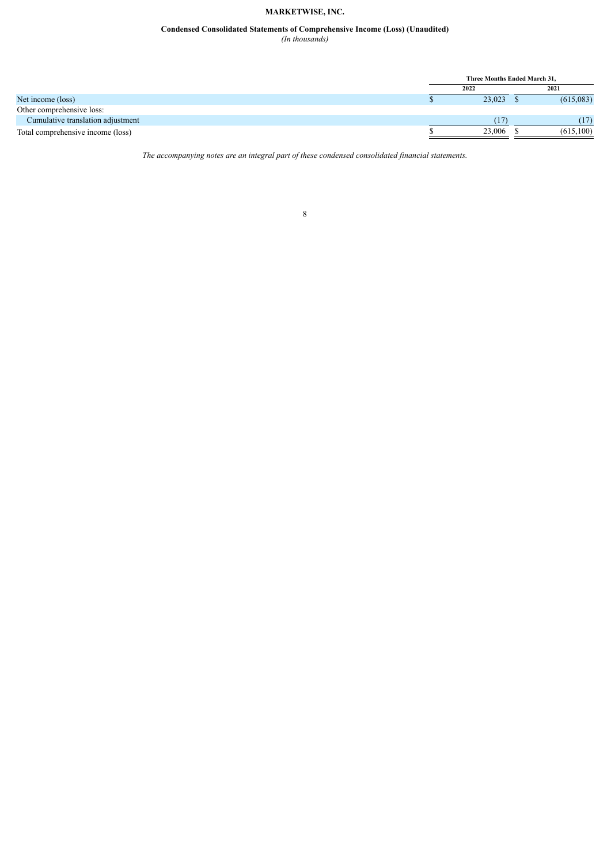# **Condensed Consolidated Statements of Comprehensive Income (Loss) (Unaudited)**

*(In thousands)*

|                                   | Three Months Ended March 31, |        |  |           |  |
|-----------------------------------|------------------------------|--------|--|-----------|--|
|                                   |                              | 2022   |  | 2021      |  |
| Net income (loss)                 |                              | 23,023 |  | (615,083) |  |
| Other comprehensive loss:         |                              |        |  |           |  |
| Cumulative translation adjustment |                              | (17)   |  | (17)      |  |
| Total comprehensive income (loss) |                              | 23,006 |  | (615,100) |  |

<span id="page-8-0"></span>*The accompanying notes are an integral part of these condensed consolidated financial statements.*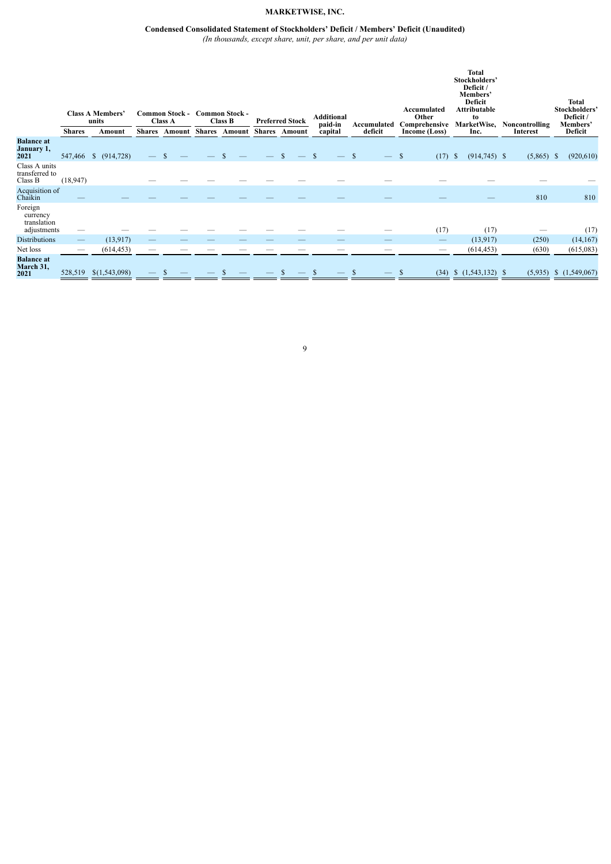#### **Condensed Consolidated Statement of Stockholders' Deficit / Members' Deficit (Unaudited)**

*(In thousands, except share, unit, per share, and per unit data)*

|                                                   |               | <b>Class A Members'</b><br>units | <b>Common Stock -</b><br><b>Class A</b>   | <b>Common Stock -</b><br><b>Class B</b> | <b>Preferred Stock</b> |  | <b>Additional</b><br>paid-in | Accumulated | Accumulated<br>Other<br>Comprehensive | <b>Total</b><br>Stockholders'<br>Deficit /<br>Members'<br>Deficit<br><b>Attributable</b><br>to<br>MarketWise, | Noncontrolling  | <b>Total</b><br>Stockholders'<br>Deficit /<br>Members' |
|---------------------------------------------------|---------------|----------------------------------|-------------------------------------------|-----------------------------------------|------------------------|--|------------------------------|-------------|---------------------------------------|---------------------------------------------------------------------------------------------------------------|-----------------|--------------------------------------------------------|
|                                                   | <b>Shares</b> | Amount                           | Shares Amount Shares Amount Shares Amount |                                         |                        |  | capital                      | deficit     | Income (Loss)                         | Inc.                                                                                                          | <b>Interest</b> | Deficit                                                |
| <b>Balance</b> at<br>January 1,<br>2021           | 547,466       | $$^{(914,728)}$                  |                                           |                                         |                        |  |                              |             | (17)<br>\$.                           | $(914,745)$ \$<br><sup>S</sup>                                                                                | $(5,865)$ \$    | (920, 610)                                             |
| Class A units<br>transferred to<br>Class B        | (18, 947)     |                                  |                                           |                                         |                        |  |                              |             |                                       |                                                                                                               |                 |                                                        |
| Acquisition of<br>Chaikin                         |               |                                  |                                           |                                         |                        |  |                              |             |                                       |                                                                                                               | 810             | 810                                                    |
| Foreign<br>currency<br>translation<br>adjustments |               |                                  |                                           |                                         |                        |  |                              |             | (17)                                  | (17)                                                                                                          |                 | (17)                                                   |
| <b>Distributions</b>                              |               | (13, 917)                        |                                           |                                         |                        |  |                              |             |                                       | (13,917)                                                                                                      | (250)           | (14, 167)                                              |
| Net loss                                          |               | (614, 453)                       |                                           |                                         |                        |  |                              |             |                                       | (614, 453)                                                                                                    | (630)           | (615,083)                                              |
| <b>Balance</b> at<br>March 31,<br>2021            | 528,519       | \$(1,543,098)                    |                                           |                                         |                        |  |                              |             | (34)                                  | $(1,543,132)$ \$                                                                                              |                 | $(5,935)$ \$ $(1,549,067)$                             |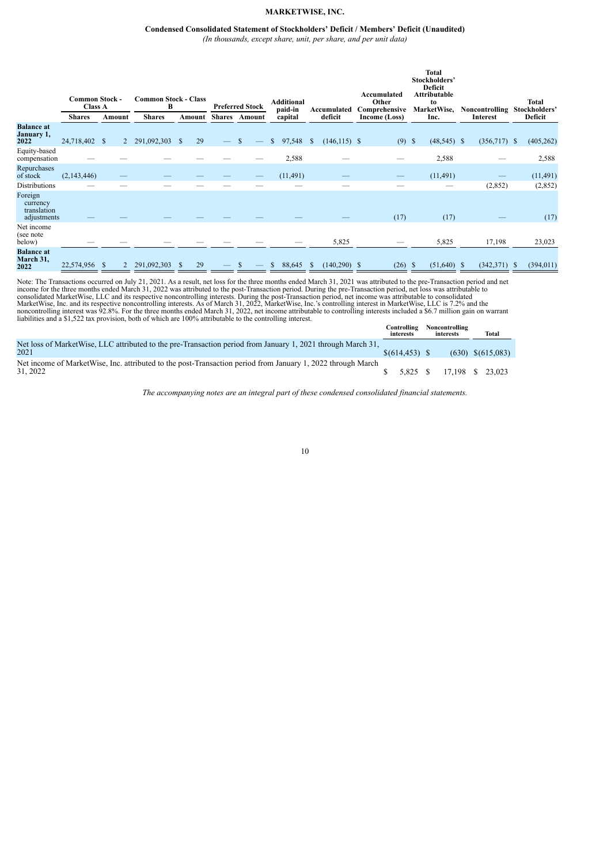### **Condensed Consolidated Statement of Stockholders' Deficit / Members' Deficit (Unaudited)**

*(In thousands, except share, unit, per share, and per unit data)*

|                                                   | Common Stock -<br><b>Class A</b> |        | <b>Common Stock - Class</b><br>В |        | <b>Preferred Stock</b> | <b>Additional</b><br>paid-in | Accumulated                  | Accumulated<br>Other<br>Comprehensive | Total<br>Stockholders'<br>Deficit<br><b>Attributable</b><br>to<br>MarketWise, | Noncontrolling  | <b>Total</b><br>Stockholders' |
|---------------------------------------------------|----------------------------------|--------|----------------------------------|--------|------------------------|------------------------------|------------------------------|---------------------------------------|-------------------------------------------------------------------------------|-----------------|-------------------------------|
|                                                   | <b>Shares</b>                    | Amount | <b>Shares</b>                    | Amount | <b>Shares</b> Amount   | capital                      | deficit                      | Income (Loss)                         | Inc.                                                                          | <b>Interest</b> | Deficit                       |
| <b>Balance</b> at<br>January 1,<br>2022           | 24,718,402 \$                    |        | 2 291,092,303 \$                 | 29     | —                      | 97,548<br><sup>\$</sup>      | $(146, 115)$ \$<br>$\sim$ \$ | $(9)$ \$                              | $(48,545)$ \$                                                                 | $(356,717)$ \$  | (405, 262)                    |
| Equity-based<br>compensation                      |                                  |        |                                  |        |                        | 2,588                        |                              |                                       | 2,588                                                                         |                 | 2,588                         |
| Repurchases<br>of stock                           | (2,143,446)                      |        |                                  |        |                        | (11, 491)                    |                              |                                       | (11, 491)                                                                     |                 | (11, 491)                     |
| Distributions                                     |                                  |        |                                  |        |                        |                              |                              |                                       |                                                                               | (2,852)         | (2,852)                       |
| Foreign<br>currency<br>translation<br>adjustments |                                  |        |                                  |        |                        |                              |                              | (17)                                  | (17)                                                                          |                 | (17)                          |
| Net income<br>(see note<br>below)                 |                                  |        |                                  |        |                        |                              | 5,825                        |                                       | 5,825                                                                         | 17,198          | 23,023                        |
| <b>Balance at</b><br>March 31,<br>2022            | 22,574,956                       | -S     | 291,092,303                      | 29     |                        | 88,645<br>\$.                | $(140,290)$ \$               | (26)                                  | $(51,640)$ \$<br>-S                                                           | $(342,371)$ \$  | (394, 011)                    |

Note: The Transactions occurred on July 21, 2021. As a result, net loss for the three months ended March 31, 2021 was attributed to the pre-Transaction period and net<br>income for the three months ended March 31, 2022 was at

<span id="page-10-0"></span>

|                                                                                                                        | Controlling<br>interests | Noncontrolling<br><i>interests</i> | Total                  |
|------------------------------------------------------------------------------------------------------------------------|--------------------------|------------------------------------|------------------------|
| Net loss of MarketWise, LLC attributed to the pre-Transaction period from January 1, 2021 through March 31,<br>2021    |                          |                                    | $(630)$ \$ $(615,083)$ |
| Net income of MarketWise, Inc. attributed to the post-Transaction period from January 1, 2022 through March<br>31.2022 |                          | 5.825 \$ 17.198 \$ 23.023          |                        |

*The accompanying notes are an integral part of these condensed consolidated financial statements.*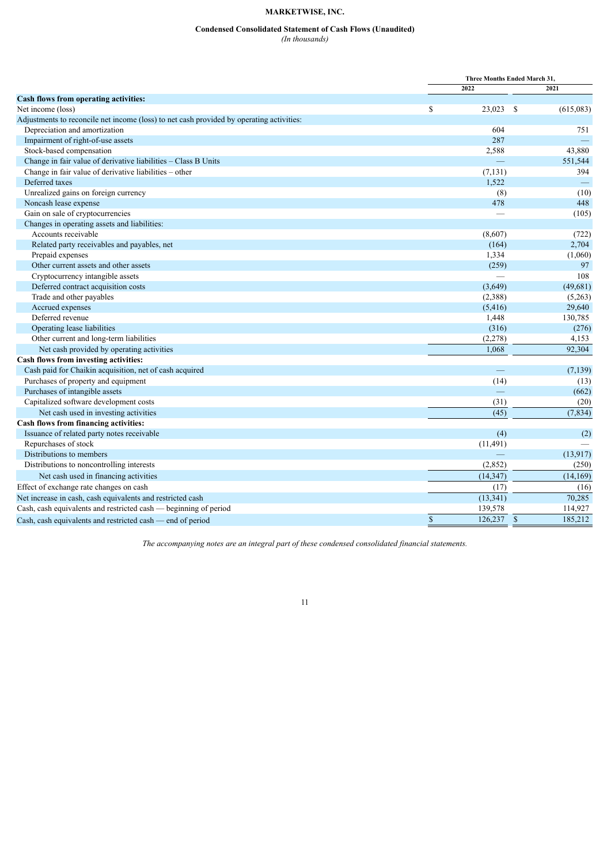# **Condensed Consolidated Statement of Cash Flows (Unaudited)**

*(In thousands)*

|                                                                                          |    | <b>Three Months Ended March 31.</b> |               |           |
|------------------------------------------------------------------------------------------|----|-------------------------------------|---------------|-----------|
|                                                                                          |    | 2022                                |               | 2021      |
| Cash flows from operating activities:                                                    |    |                                     |               |           |
| Net income (loss)                                                                        | \$ | 23,023                              | -S            | (615,083) |
| Adjustments to reconcile net income (loss) to net cash provided by operating activities: |    |                                     |               |           |
| Depreciation and amortization                                                            |    | 604                                 |               | 751       |
| Impairment of right-of-use assets                                                        |    | 287                                 |               |           |
| Stock-based compensation                                                                 |    | 2,588                               |               | 43,880    |
| Change in fair value of derivative liabilities - Class B Units                           |    |                                     |               | 551,544   |
| Change in fair value of derivative liabilities – other                                   |    | (7, 131)                            |               | 394       |
| Deferred taxes                                                                           |    | 1,522                               |               |           |
| Unrealized gains on foreign currency                                                     |    | (8)                                 |               | (10)      |
| Noncash lease expense                                                                    |    | 478                                 |               | 448       |
| Gain on sale of cryptocurrencies                                                         |    |                                     |               | (105)     |
| Changes in operating assets and liabilities:                                             |    |                                     |               |           |
| Accounts receivable                                                                      |    | (8,607)                             |               | (722)     |
| Related party receivables and payables, net                                              |    | (164)                               |               | 2,704     |
| Prepaid expenses                                                                         |    | 1,334                               |               | (1,060)   |
| Other current assets and other assets                                                    |    | (259)                               |               | 97        |
| Cryptocurrency intangible assets                                                         |    |                                     |               | 108       |
| Deferred contract acquisition costs                                                      |    | (3,649)                             |               | (49, 681) |
| Trade and other payables                                                                 |    | (2,388)                             |               | (5,263)   |
| Accrued expenses                                                                         |    | (5, 416)                            |               | 29,640    |
| Deferred revenue                                                                         |    | 1,448                               |               | 130,785   |
| Operating lease liabilities                                                              |    | (316)                               |               | (276)     |
| Other current and long-term liabilities                                                  |    | (2,278)                             |               | 4,153     |
| Net cash provided by operating activities                                                |    | 1,068                               |               | 92,304    |
| Cash flows from investing activities:                                                    |    |                                     |               |           |
| Cash paid for Chaikin acquisition, net of cash acquired                                  |    |                                     |               | (7, 139)  |
| Purchases of property and equipment                                                      |    | (14)                                |               | (13)      |
| Purchases of intangible assets                                                           |    |                                     |               | (662)     |
| Capitalized software development costs                                                   |    | (31)                                |               | (20)      |
| Net cash used in investing activities                                                    |    | (45)                                |               | (7, 834)  |
| Cash flows from financing activities:                                                    |    |                                     |               |           |
| Issuance of related party notes receivable                                               |    | (4)                                 |               | (2)       |
| Repurchases of stock                                                                     |    | (11, 491)                           |               |           |
| Distributions to members                                                                 |    |                                     |               | (13,917)  |
| Distributions to noncontrolling interests                                                |    | (2, 852)                            |               | (250)     |
| Net cash used in financing activities                                                    |    | (14, 347)                           |               | (14, 169) |
| Effect of exchange rate changes on cash                                                  |    | (17)                                |               | (16)      |
| Net increase in cash, cash equivalents and restricted cash                               |    | (13, 341)                           |               | 70,285    |
| Cash, cash equivalents and restricted cash — beginning of period                         |    | 139,578                             |               | 114,927   |
|                                                                                          | \$ | 126,237                             | $\mathcal{S}$ | 185,212   |
| Cash, cash equivalents and restricted cash — end of period                               |    |                                     |               |           |

<span id="page-11-0"></span>*The accompanying notes are an integral part of these condensed consolidated financial statements.*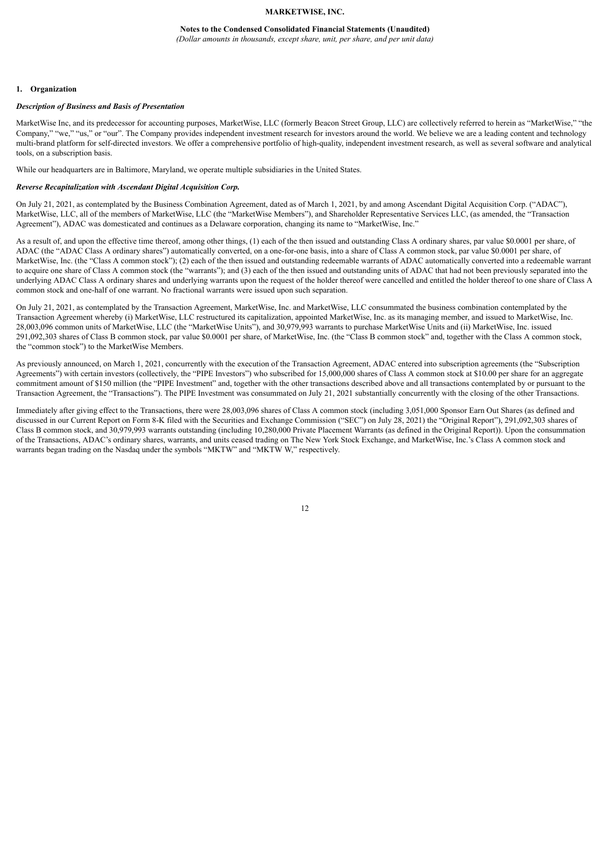# **Notes to the Condensed Consolidated Financial Statements (Unaudited)**

*(Dollar amounts in thousands, except share, unit, per share, and per unit data)*

#### **1. Organization**

#### *Description of Business and Basis of Presentation*

MarketWise Inc, and its predecessor for accounting purposes, MarketWise, LLC (formerly Beacon Street Group, LLC) are collectively referred to herein as "MarketWise," "the Company," "we," "us," or "our". The Company provides independent investment research for investors around the world. We believe we are a leading content and technology multi-brand platform for self-directed investors. We offer a comprehensive portfolio of high-quality, independent investment research, as well as several software and analytical tools, on a subscription basis.

While our headquarters are in Baltimore, Maryland, we operate multiple subsidiaries in the United States.

#### *Reverse Recapitalization with Ascendant Digital Acquisition Corp.*

On July 21, 2021, as contemplated by the Business Combination Agreement, dated as of March 1, 2021, by and among Ascendant Digital Acquisition Corp. ("ADAC"), MarketWise, LLC, all of the members of MarketWise, LLC (the "MarketWise Members"), and Shareholder Representative Services LLC, (as amended, the "Transaction Agreement"), ADAC was domesticated and continues as a Delaware corporation, changing its name to "MarketWise, Inc."

As a result of, and upon the effective time thereof, among other things, (1) each of the then issued and outstanding Class A ordinary shares, par value \$0.0001 per share, of ADAC (the "ADAC Class A ordinary shares") automatically converted, on a one-for-one basis, into a share of Class A common stock, par value \$0.0001 per share, of MarketWise, Inc. (the "Class A common stock"); (2) each of the then issued and outstanding redeemable warrants of ADAC automatically converted into a redeemable warrant to acquire one share of Class A common stock (the "warrants"); and (3) each of the then issued and outstanding units of ADAC that had not been previously separated into the underlying ADAC Class A ordinary shares and underlying warrants upon the request of the holder thereof were cancelled and entitled the holder thereof to one share of Class A common stock and one-half of one warrant. No fractional warrants were issued upon such separation.

On July 21, 2021, as contemplated by the Transaction Agreement, MarketWise, Inc. and MarketWise, LLC consummated the business combination contemplated by the Transaction Agreement whereby (i) MarketWise, LLC restructured its capitalization, appointed MarketWise, Inc. as its managing member, and issued to MarketWise, Inc. 28,003,096 common units of MarketWise, LLC (the "MarketWise Units"), and 30,979,993 warrants to purchase MarketWise Units and (ii) MarketWise, Inc. issued 291,092,303 shares of Class B common stock, par value \$0.0001 per share, of MarketWise, Inc. (the "Class B common stock" and, together with the Class A common stock, the "common stock") to the MarketWise Members.

As previously announced, on March 1, 2021, concurrently with the execution of the Transaction Agreement, ADAC entered into subscription agreements (the "Subscription Agreements") with certain investors (collectively, the "PIPE Investors") who subscribed for 15,000,000 shares of Class A common stock at \$10.00 per share for an aggregate commitment amount of \$150 million (the "PIPE Investment" and, together with the other transactions described above and all transactions contemplated by or pursuant to the Transaction Agreement, the "Transactions"). The PIPE Investment was consummated on July 21, 2021 substantially concurrently with the closing of the other Transactions.

Immediately after giving effect to the Transactions, there were 28,003,096 shares of Class A common stock (including 3,051,000 Sponsor Earn Out Shares (as defined and discussed in our Current Report on Form 8-K filed with the Securities and Exchange Commission ("SEC") on July 28, 2021) the "Original Report"), 291,092,303 shares of Class B common stock, and 30,979,993 warrants outstanding (including 10,280,000 Private Placement Warrants (as defined in the Original Report)). Upon the consummation of the Transactions, ADAC's ordinary shares, warrants, and units ceased trading on The New York Stock Exchange, and MarketWise, Inc.'s Class A common stock and warrants began trading on the Nasdaq under the symbols "MKTW" and "MKTW W," respectively.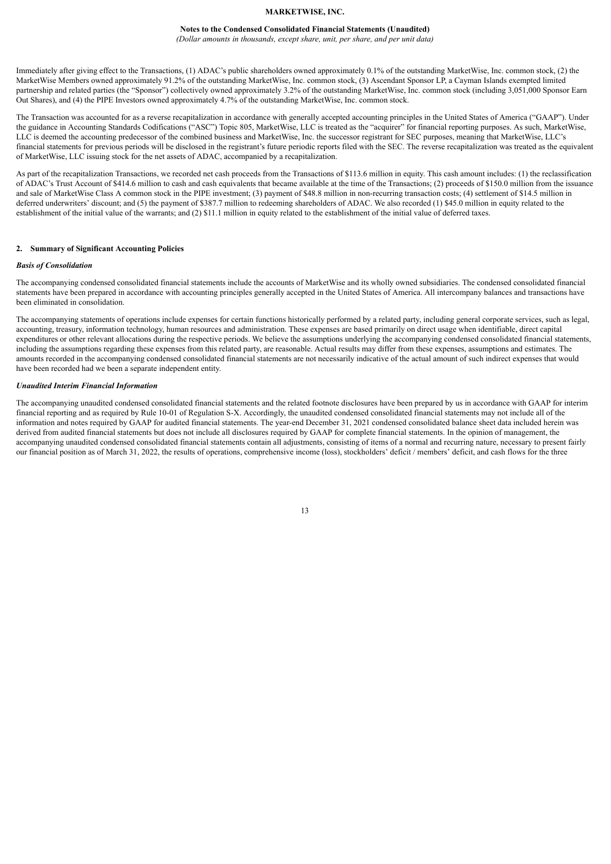## **Notes to the Condensed Consolidated Financial Statements (Unaudited)**

*(Dollar amounts in thousands, except share, unit, per share, and per unit data)*

Immediately after giving effect to the Transactions, (1) ADAC's public shareholders owned approximately 0.1% of the outstanding MarketWise, Inc. common stock, (2) the MarketWise Members owned approximately 91.2% of the outstanding MarketWise, Inc. common stock, (3) Ascendant Sponsor LP, a Cayman Islands exempted limited partnership and related parties (the "Sponsor") collectively owned approximately 3.2% of the outstanding MarketWise, Inc. common stock (including 3,051,000 Sponsor Earn Out Shares), and (4) the PIPE Investors owned approximately 4.7% of the outstanding MarketWise, Inc. common stock.

The Transaction was accounted for as a reverse recapitalization in accordance with generally accepted accounting principles in the United States of America ("GAAP"). Under the guidance in Accounting Standards Codifications ("ASC") Topic 805, MarketWise, LLC is treated as the "acquirer" for financial reporting purposes. As such, MarketWise, LLC is deemed the accounting predecessor of the combined business and MarketWise, Inc. the successor registrant for SEC purposes, meaning that MarketWise, LLC's financial statements for previous periods will be disclosed in the registrant's future periodic reports filed with the SEC. The reverse recapitalization was treated as the equivalent of MarketWise, LLC issuing stock for the net assets of ADAC, accompanied by a recapitalization.

As part of the recapitalization Transactions, we recorded net cash proceeds from the Transactions of \$113.6 million in equity. This cash amount includes: (1) the reclassification of ADAC's Trust Account of \$414.6 million to cash and cash equivalents that became available at the time of the Transactions; (2) proceeds of \$150.0 million from the issuance and sale of MarketWise Class A common stock in the PIPE investment; (3) payment of \$48.8 million in non-recurring transaction costs; (4) settlement of \$14.5 million in deferred underwriters' discount; and (5) the payment of \$387.7 million to redeeming shareholders of ADAC. We also recorded (1) \$45.0 million in equity related to the establishment of the initial value of the warrants; and (2) \$11.1 million in equity related to the establishment of the initial value of deferred taxes.

### **2. Summary of Significant Accounting Policies**

#### *Basis of Consolidation*

The accompanying condensed consolidated financial statements include the accounts of MarketWise and its wholly owned subsidiaries. The condensed consolidated financial statements have been prepared in accordance with accounting principles generally accepted in the United States of America. All intercompany balances and transactions have been eliminated in consolidation.

The accompanying statements of operations include expenses for certain functions historically performed by a related party, including general corporate services, such as legal, accounting, treasury, information technology, human resources and administration. These expenses are based primarily on direct usage when identifiable, direct capital expenditures or other relevant allocations during the respective periods. We believe the assumptions underlying the accompanying condensed consolidated financial statements, including the assumptions regarding these expenses from this related party, are reasonable. Actual results may differ from these expenses, assumptions and estimates. The amounts recorded in the accompanying condensed consolidated financial statements are not necessarily indicative of the actual amount of such indirect expenses that would have been recorded had we been a separate independent entity.

### *Unaudited Interim Financial Information*

The accompanying unaudited condensed consolidated financial statements and the related footnote disclosures have been prepared by us in accordance with GAAP for interim financial reporting and as required by Rule 10-01 of Regulation S-X. Accordingly, the unaudited condensed consolidated financial statements may not include all of the information and notes required by GAAP for audited financial statements. The year-end December 31, 2021 condensed consolidated balance sheet data included herein was derived from audited financial statements but does not include all disclosures required by GAAP for complete financial statements. In the opinion of management, the accompanying unaudited condensed consolidated financial statements contain all adjustments, consisting of items of a normal and recurring nature, necessary to present fairly our financial position as of March 31, 2022, the results of operations, comprehensive income (loss), stockholders' deficit / members' deficit, and cash flows for the three

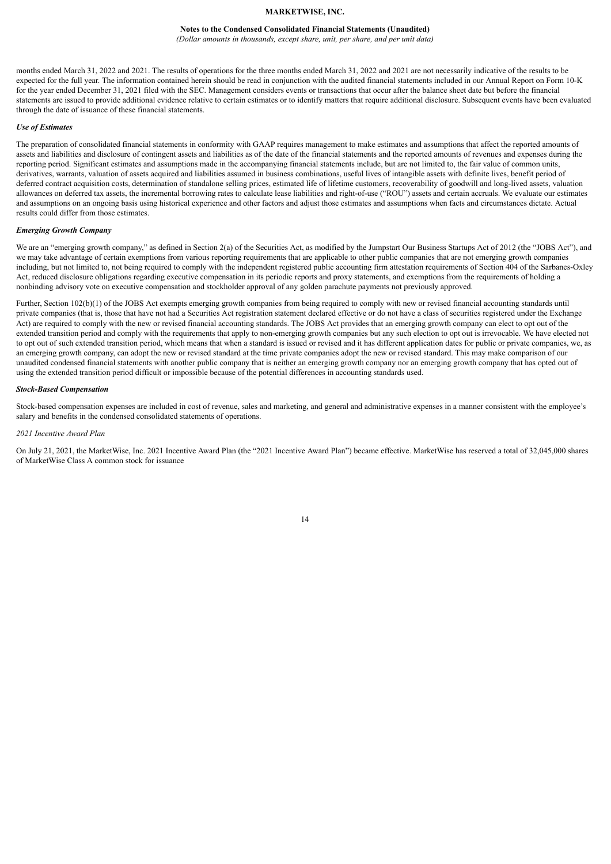# **Notes to the Condensed Consolidated Financial Statements (Unaudited)**

*(Dollar amounts in thousands, except share, unit, per share, and per unit data)*

months ended March 31, 2022 and 2021. The results of operations for the three months ended March 31, 2022 and 2021 are not necessarily indicative of the results to be expected for the full year. The information contained herein should be read in conjunction with the audited financial statements included in our Annual Report on Form 10-K for the year ended December 31, 2021 filed with the SEC. Management considers events or transactions that occur after the balance sheet date but before the financial statements are issued to provide additional evidence relative to certain estimates or to identify matters that require additional disclosure. Subsequent events have been evaluated through the date of issuance of these financial statements.

#### *Use of Estimates*

The preparation of consolidated financial statements in conformity with GAAP requires management to make estimates and assumptions that affect the reported amounts of assets and liabilities and disclosure of contingent assets and liabilities as of the date of the financial statements and the reported amounts of revenues and expenses during the reporting period. Significant estimates and assumptions made in the accompanying financial statements include, but are not limited to, the fair value of common units, derivatives, warrants, valuation of assets acquired and liabilities assumed in business combinations, useful lives of intangible assets with definite lives, benefit period of deferred contract acquisition costs, determination of standalone selling prices, estimated life of lifetime customers, recoverability of goodwill and long-lived assets, valuation allowances on deferred tax assets, the incremental borrowing rates to calculate lease liabilities and right-of-use ("ROU") assets and certain accruals. We evaluate our estimates and assumptions on an ongoing basis using historical experience and other factors and adjust those estimates and assumptions when facts and circumstances dictate. Actual results could differ from those estimates.

#### *Emerging Growth Company*

We are an "emerging growth company," as defined in Section 2(a) of the Securities Act, as modified by the Jumpstart Our Business Startups Act of 2012 (the "JOBS Act"), and we may take advantage of certain exemptions from various reporting requirements that are applicable to other public companies that are not emerging growth companies including, but not limited to, not being required to comply with the independent registered public accounting firm attestation requirements of Section 404 of the Sarbanes-Oxley Act, reduced disclosure obligations regarding executive compensation in its periodic reports and proxy statements, and exemptions from the requirements of holding a nonbinding advisory vote on executive compensation and stockholder approval of any golden parachute payments not previously approved.

Further, Section 102(b)(1) of the JOBS Act exempts emerging growth companies from being required to comply with new or revised financial accounting standards until private companies (that is, those that have not had a Securities Act registration statement declared effective or do not have a class of securities registered under the Exchange Act) are required to comply with the new or revised financial accounting standards. The JOBS Act provides that an emerging growth company can elect to opt out of the extended transition period and comply with the requirements that apply to non-emerging growth companies but any such election to opt out is irrevocable. We have elected not to opt out of such extended transition period, which means that when a standard is issued or revised and it has different application dates for public or private companies, we, as an emerging growth company, can adopt the new or revised standard at the time private companies adopt the new or revised standard. This may make comparison of our unaudited condensed financial statements with another public company that is neither an emerging growth company nor an emerging growth company that has opted out of using the extended transition period difficult or impossible because of the potential differences in accounting standards used.

#### *Stock-Based Compensation*

Stock-based compensation expenses are included in cost of revenue, sales and marketing, and general and administrative expenses in a manner consistent with the employee's salary and benefits in the condensed consolidated statements of operations.

#### *2021 Incentive Award Plan*

On July 21, 2021, the MarketWise, Inc. 2021 Incentive Award Plan (the "2021 Incentive Award Plan") became effective. MarketWise has reserved a total of 32,045,000 shares of MarketWise Class A common stock for issuance

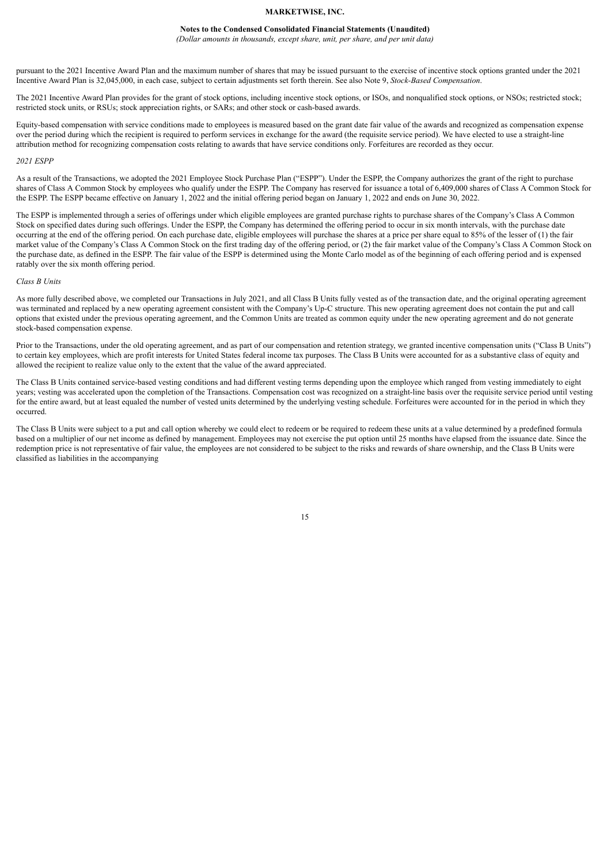## **Notes to the Condensed Consolidated Financial Statements (Unaudited)**

*(Dollar amounts in thousands, except share, unit, per share, and per unit data)*

pursuant to the 2021 Incentive Award Plan and the maximum number of shares that may be issued pursuant to the exercise of incentive stock options granted under the 2021 Incentive Award Plan is 32,045,000, in each case, subject to certain adjustments set forth therein. See also Note 9, *Stock-Based Compensation*.

The 2021 Incentive Award Plan provides for the grant of stock options, including incentive stock options, or ISOs, and nonqualified stock options, or NSOs; restricted stock; restricted stock units, or RSUs; stock appreciation rights, or SARs; and other stock or cash-based awards.

Equity-based compensation with service conditions made to employees is measured based on the grant date fair value of the awards and recognized as compensation expense over the period during which the recipient is required to perform services in exchange for the award (the requisite service period). We have elected to use a straight-line attribution method for recognizing compensation costs relating to awards that have service conditions only. Forfeitures are recorded as they occur.

#### *2021 ESPP*

As a result of the Transactions, we adopted the 2021 Employee Stock Purchase Plan ("ESPP"). Under the ESPP, the Company authorizes the grant of the right to purchase shares of Class A Common Stock by employees who qualify under the ESPP. The Company has reserved for issuance a total of 6,409,000 shares of Class A Common Stock for the ESPP. The ESPP became effective on January 1, 2022 and the initial offering period began on January 1, 2022 and ends on June 30, 2022.

The ESPP is implemented through a series of offerings under which eligible employees are granted purchase rights to purchase shares of the Company's Class A Common Stock on specified dates during such offerings. Under the ESPP, the Company has determined the offering period to occur in six month intervals, with the purchase date occurring at the end of the offering period. On each purchase date, eligible employees will purchase the shares at a price per share equal to 85% of the lesser of (1) the fair market value of the Company's Class A Common Stock on the first trading day of the offering period, or (2) the fair market value of the Company's Class A Common Stock on the purchase date, as defined in the ESPP. The fair value of the ESPP is determined using the Monte Carlo model as of the beginning of each offering period and is expensed ratably over the six month offering period.

#### *Class B Units*

As more fully described above, we completed our Transactions in July 2021, and all Class B Units fully vested as of the transaction date, and the original operating agreement was terminated and replaced by a new operating agreement consistent with the Company's Up-C structure. This new operating agreement does not contain the put and call options that existed under the previous operating agreement, and the Common Units are treated as common equity under the new operating agreement and do not generate stock-based compensation expense.

Prior to the Transactions, under the old operating agreement, and as part of our compensation and retention strategy, we granted incentive compensation units ("Class B Units") to certain key employees, which are profit interests for United States federal income tax purposes. The Class B Units were accounted for as a substantive class of equity and allowed the recipient to realize value only to the extent that the value of the award appreciated.

The Class B Units contained service-based vesting conditions and had different vesting terms depending upon the employee which ranged from vesting immediately to eight years; vesting was accelerated upon the completion of the Transactions. Compensation cost was recognized on a straight-line basis over the requisite service period until vesting for the entire award, but at least equaled the number of vested units determined by the underlying vesting schedule. Forfeitures were accounted for in the period in which they occurred.

The Class B Units were subject to a put and call option whereby we could elect to redeem or be required to redeem these units at a value determined by a predefined formula based on a multiplier of our net income as defined by management. Employees may not exercise the put option until 25 months have elapsed from the issuance date. Since the redemption price is not representative of fair value, the employees are not considered to be subject to the risks and rewards of share ownership, and the Class B Units were classified as liabilities in the accompanying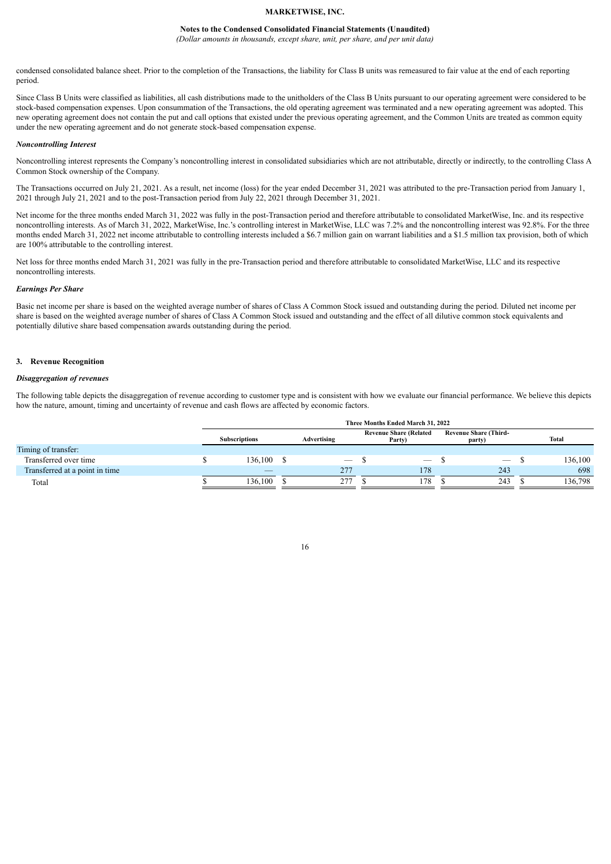# **Notes to the Condensed Consolidated Financial Statements (Unaudited)**

*(Dollar amounts in thousands, except share, unit, per share, and per unit data)*

condensed consolidated balance sheet. Prior to the completion of the Transactions, the liability for Class B units was remeasured to fair value at the end of each reporting period.

Since Class B Units were classified as liabilities, all cash distributions made to the unitholders of the Class B Units pursuant to our operating agreement were considered to be stock-based compensation expenses. Upon consummation of the Transactions, the old operating agreement was terminated and a new operating agreement was adopted. This new operating agreement does not contain the put and call options that existed under the previous operating agreement, and the Common Units are treated as common equity under the new operating agreement and do not generate stock-based compensation expense.

#### *Noncontrolling Interest*

Noncontrolling interest represents the Company's noncontrolling interest in consolidated subsidiaries which are not attributable, directly or indirectly, to the controlling Class A Common Stock ownership of the Company.

The Transactions occurred on July 21, 2021. As a result, net income (loss) for the year ended December 31, 2021 was attributed to the pre-Transaction period from January 1, 2021 through July 21, 2021 and to the post-Transaction period from July 22, 2021 through December 31, 2021.

Net income for the three months ended March 31, 2022 was fully in the post-Transaction period and therefore attributable to consolidated MarketWise, Inc. and its respective noncontrolling interests. As of March 31, 2022, MarketWise, Inc.'s controlling interest in MarketWise, LLC was 7.2% and the noncontrolling interest was 92.8%. For the three months ended March 31, 2022 net income attributable to controlling interests included a \$6.7 million gain on warrant liabilities and a \$1.5 million tax provision, both of which are 100% attributable to the controlling interest.

Net loss for three months ended March 31, 2021 was fully in the pre-Transaction period and therefore attributable to consolidated MarketWise, LLC and its respective noncontrolling interests.

#### *Earnings Per Share*

Basic net income per share is based on the weighted average number of shares of Class A Common Stock issued and outstanding during the period. Diluted net income per share is based on the weighted average number of shares of Class A Common Stock issued and outstanding and the effect of all dilutive common stock equivalents and potentially dilutive share based compensation awards outstanding during the period.

#### **3. Revenue Recognition**

### *Disaggregation of revenues*

The following table depicts the disaggregation of revenue according to customer type and is consistent with how we evaluate our financial performance. We believe this depicts how the nature, amount, timing and uncertainty of revenue and cash flows are affected by economic factors.

|                                | Three Months Ended March 31, 2022 |  |                          |  |                                          |  |                                        |  |              |
|--------------------------------|-----------------------------------|--|--------------------------|--|------------------------------------------|--|----------------------------------------|--|--------------|
|                                | <b>Subscriptions</b>              |  | Advertising              |  | <b>Revenue Share (Related)</b><br>Party) |  | <b>Revenue Share (Third-</b><br>party) |  | <b>Total</b> |
| Timing of transfer:            |                                   |  |                          |  |                                          |  |                                        |  |              |
| Transferred over time          | 136,100 \$                        |  | $\overline{\phantom{m}}$ |  | $\hspace{0.1mm}-\hspace{0.1mm}$          |  | $\hspace{0.1mm}-\hspace{0.1mm}$        |  | 136,100      |
| Transferred at a point in time |                                   |  | 277                      |  | 178                                      |  | 243                                    |  | 698          |
| Total                          | 136,100                           |  | 277                      |  | 178                                      |  | 243                                    |  | 136,798      |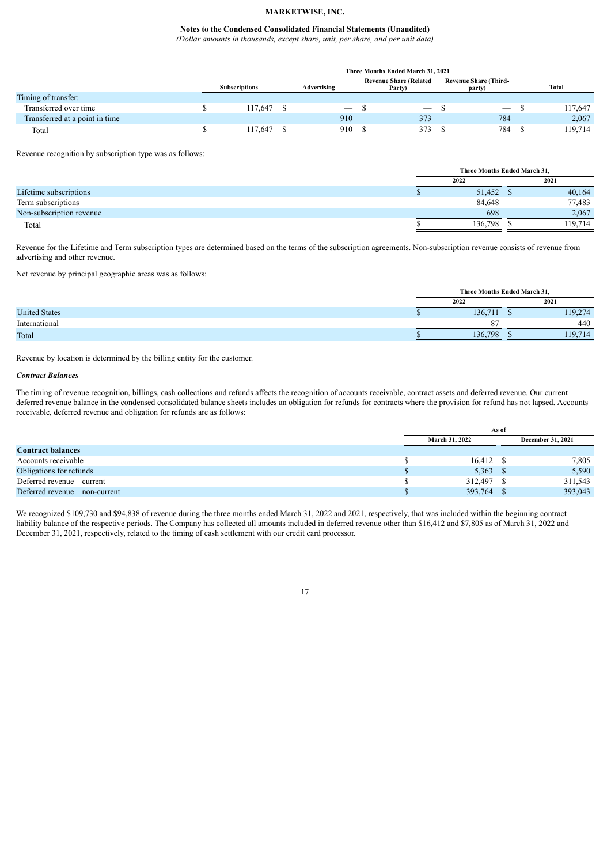# **Notes to the Condensed Consolidated Financial Statements (Unaudited)**

*(Dollar amounts in thousands, except share, unit, per share, and per unit data)*

|                                | Three Months Ended March 31, 2021 |  |                   |  |                                          |  |                                        |  |         |
|--------------------------------|-----------------------------------|--|-------------------|--|------------------------------------------|--|----------------------------------------|--|---------|
|                                | <b>Subscriptions</b>              |  | Advertising       |  | <b>Revenue Share (Related)</b><br>Party) |  | <b>Revenue Share (Third-</b><br>party) |  | Total   |
| Timing of transfer:            |                                   |  |                   |  |                                          |  |                                        |  |         |
| Transferred over time          | $117,647$ \$                      |  | $\hspace{0.05cm}$ |  | $\hspace{0.1mm}-\hspace{0.1mm}$          |  | $\hspace{0.1mm}-\hspace{0.1mm}$        |  | 117,647 |
| Transferred at a point in time |                                   |  | 910               |  | 373                                      |  | 784                                    |  | 2.067   |
| Total                          | 117.647                           |  | 910               |  | 373                                      |  | 784                                    |  | 119.714 |

Revenue recognition by subscription type was as follows:

|                          | Three Months Ended March 31, |  |         |  |  |
|--------------------------|------------------------------|--|---------|--|--|
|                          | 2022                         |  | 2021    |  |  |
| Lifetime subscriptions   | 51,452                       |  | 40,164  |  |  |
| Term subscriptions       | 84,648                       |  | 77,483  |  |  |
| Non-subscription revenue | 698                          |  | 2,067   |  |  |
| Total                    | 136,798                      |  | 119,714 |  |  |

Revenue for the Lifetime and Term subscription types are determined based on the terms of the subscription agreements. Non-subscription revenue consists of revenue from advertising and other revenue.

Net revenue by principal geographic areas was as follows:

|                      | Three Months Ended March 31, |  |         |  |  |
|----------------------|------------------------------|--|---------|--|--|
|                      | 2022                         |  | 2021    |  |  |
| <b>United States</b> | 136,711                      |  | 119,274 |  |  |
| International        | 87                           |  | 440     |  |  |
| Total                | 136.798                      |  | 119,714 |  |  |

Revenue by location is determined by the billing entity for the customer.

### *Contract Balances*

The timing of revenue recognition, billings, cash collections and refunds affects the recognition of accounts receivable, contract assets and deferred revenue. Our current deferred revenue balance in the condensed consolidated balance sheets includes an obligation for refunds for contracts where the provision for refund has not lapsed. Accounts receivable, deferred revenue and obligation for refunds are as follows:

|                                |                | As of |         |  |
|--------------------------------|----------------|-------|---------|--|
|                                | March 31, 2022 |       |         |  |
| <b>Contract balances</b>       |                |       |         |  |
| Accounts receivable            | 16,412 \$      |       | 7,805   |  |
| Obligations for refunds        | 5,363          |       | 5,590   |  |
| Deferred revenue – current     | 312,497        |       | 311,543 |  |
| Deferred revenue – non-current | 393,764        |       | 393.043 |  |

We recognized \$109,730 and \$94,838 of revenue during the three months ended March 31, 2022 and 2021, respectively, that was included within the beginning contract liability balance of the respective periods. The Company has collected all amounts included in deferred revenue other than \$16,412 and \$7,805 as of March 31, 2022 and December 31, 2021, respectively, related to the timing of cash settlement with our credit card processor.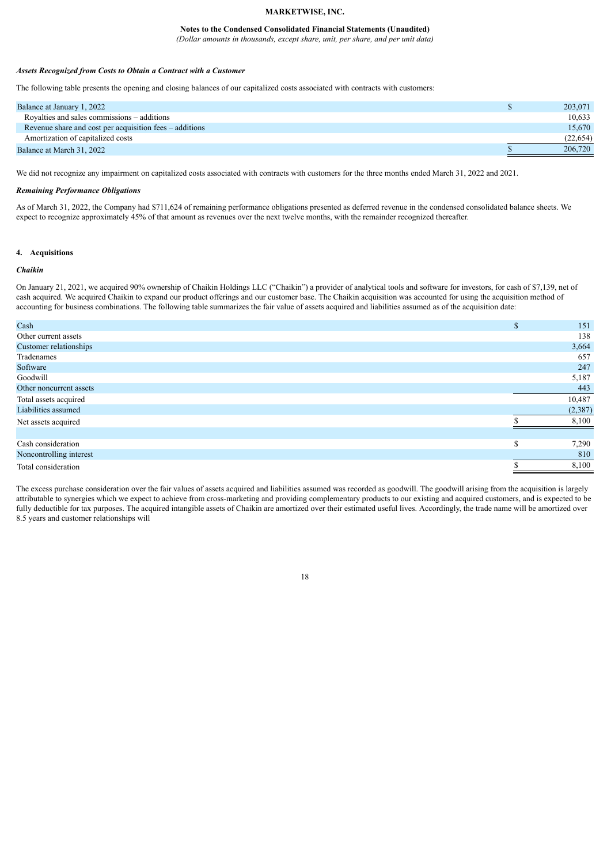### **Notes to the Condensed Consolidated Financial Statements (Unaudited)**

*(Dollar amounts in thousands, except share, unit, per share, and per unit data)*

#### *Assets Recognized from Costs to Obtain a Contract with a Customer*

The following table presents the opening and closing balances of our capitalized costs associated with contracts with customers:

| Balance at January 1, 2022                              | 203.071   |
|---------------------------------------------------------|-----------|
| Royalties and sales commissions – additions             | 10,633    |
| Revenue share and cost per acquisition fees – additions | 15.670    |
| Amortization of capitalized costs                       | (22, 654) |
| Balance at March 31, 2022                               | 206,720   |

We did not recognize any impairment on capitalized costs associated with contracts with customers for the three months ended March 31, 2022 and 2021.

#### *Remaining Performance Obligations*

As of March 31, 2022, the Company had \$711,624 of remaining performance obligations presented as deferred revenue in the condensed consolidated balance sheets. We expect to recognize approximately 45% of that amount as revenues over the next twelve months, with the remainder recognized thereafter.

### **4. Acquisitions**

#### *Chaikin*

On January 21, 2021, we acquired 90% ownership of Chaikin Holdings LLC ("Chaikin") a provider of analytical tools and software for investors, for cash of \$7,139, net of cash acquired. We acquired Chaikin to expand our product offerings and our customer base. The Chaikin acquisition was accounted for using the acquisition method of accounting for business combinations. The following table summarizes the fair value of assets acquired and liabilities assumed as of the acquisition date:

| Cash                    | D   | 151      |
|-------------------------|-----|----------|
| Other current assets    |     | 138      |
| Customer relationships  |     | 3,664    |
| Tradenames              |     | 657      |
| Software                |     | 247      |
| Goodwill                |     | 5,187    |
| Other noncurrent assets |     | 443      |
| Total assets acquired   |     | 10,487   |
| Liabilities assumed     |     | (2, 387) |
| Net assets acquired     |     | 8,100    |
|                         |     |          |
| Cash consideration      | \$. | 7,290    |
| Noncontrolling interest |     | 810      |
| Total consideration     |     | 8,100    |

The excess purchase consideration over the fair values of assets acquired and liabilities assumed was recorded as goodwill. The goodwill arising from the acquisition is largely attributable to synergies which we expect to achieve from cross-marketing and providing complementary products to our existing and acquired customers, and is expected to be fully deductible for tax purposes. The acquired intangible assets of Chaikin are amortized over their estimated useful lives. Accordingly, the trade name will be amortized over 8.5 years and customer relationships will

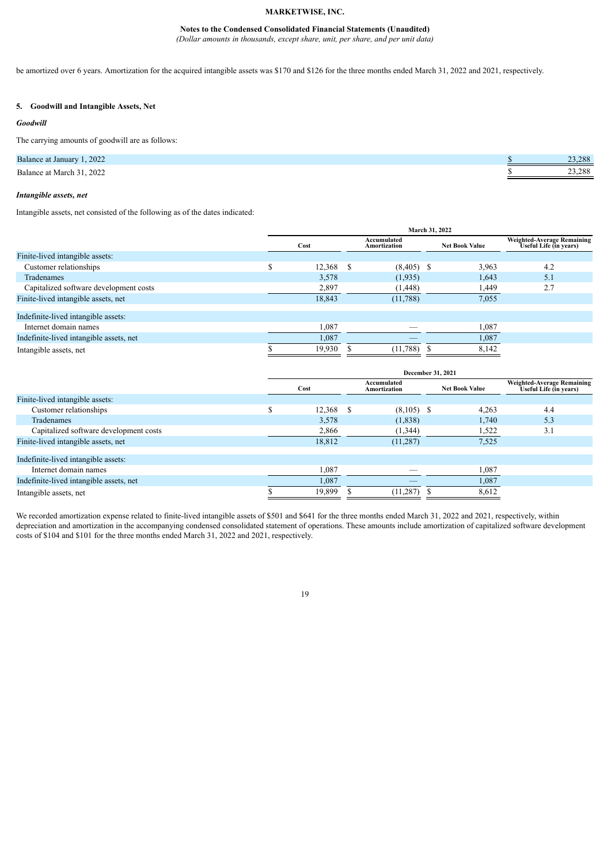# **Notes to the Condensed Consolidated Financial Statements (Unaudited)**

*(Dollar amounts in thousands, except share, unit, per share, and per unit data)*

be amortized over 6 years. Amortization for the acquired intangible assets was \$170 and \$126 for the three months ended March 31, 2022 and 2021, respectively.

# **5. Goodwill and Intangible Assets, Net**

# *Goodwill*

The carrying amounts of goodwill are as follows:

| Balance at January 1, 2022 | 23.288 |
|----------------------------|--------|
| Balance at March 31, 2022  | 23.288 |

# *Intangible assets, net*

Intangible assets, net consisted of the following as of the dates indicated:

| March 31, 2022 |        |   |                                    |  |              |                                                             |  |  |
|----------------|--------|---|------------------------------------|--|--------------|-------------------------------------------------------------|--|--|
|                | Cost   |   | Accumulated<br><b>Amortization</b> |  |              | <b>Weighted-Average Remaining</b><br>Useful Life (in vears) |  |  |
|                |        |   |                                    |  |              |                                                             |  |  |
| Φ.             | 12,368 | S |                                    |  | 3,963        | 4.2                                                         |  |  |
|                | 3,578  |   | (1,935)                            |  | 1,643        | 5.1                                                         |  |  |
|                | 2,897  |   | (1, 448)                           |  | 1,449        | 2.7                                                         |  |  |
|                | 18,843 |   | (11,788)                           |  | 7,055        |                                                             |  |  |
|                |        |   |                                    |  |              |                                                             |  |  |
|                | 1,087  |   |                                    |  | 1,087        |                                                             |  |  |
|                | 1,087  |   |                                    |  | 1,087        |                                                             |  |  |
|                | 19.930 |   | (11,788)                           |  | 8,142        |                                                             |  |  |
|                |        |   |                                    |  | $(8,405)$ \$ | <b>Net Book Value</b>                                       |  |  |

|                                         |  | <b>December 31, 2021</b> |  |                             |  |                       |                                                             |  |  |  |
|-----------------------------------------|--|--------------------------|--|-----------------------------|--|-----------------------|-------------------------------------------------------------|--|--|--|
|                                         |  | Cost                     |  | Accumulated<br>Amortization |  | <b>Net Book Value</b> | <b>Weighted-Average Remaining</b><br>Useful Life (in years) |  |  |  |
| Finite-lived intangible assets:         |  |                          |  |                             |  |                       |                                                             |  |  |  |
| Customer relationships                  |  | 12,368                   |  | $(8,105)$ \$                |  | 4,263                 | 4.4                                                         |  |  |  |
| <b>Tradenames</b>                       |  | 3,578                    |  | (1,838)                     |  | 1,740                 | 5.3                                                         |  |  |  |
| Capitalized software development costs  |  | 2,866                    |  | (1, 344)                    |  | 1,522                 | 3.1                                                         |  |  |  |
| Finite-lived intangible assets, net     |  | 18,812                   |  | (11, 287)                   |  | 7,525                 |                                                             |  |  |  |
| Indefinite-lived intangible assets:     |  |                          |  |                             |  |                       |                                                             |  |  |  |
| Internet domain names                   |  | 1,087                    |  |                             |  | 1,087                 |                                                             |  |  |  |
| Indefinite-lived intangible assets, net |  | 1,087                    |  |                             |  | 1,087                 |                                                             |  |  |  |
| Intangible assets, net                  |  | 19,899                   |  | (11, 287)                   |  | 8,612                 |                                                             |  |  |  |

We recorded amortization expense related to finite-lived intangible assets of \$501 and \$641 for the three months ended March 31, 2022 and 2021, respectively, within depreciation and amortization in the accompanying condensed consolidated statement of operations. These amounts include amortization of capitalized software development costs of \$104 and \$101 for the three months ended March 31, 2022 and 2021, respectively.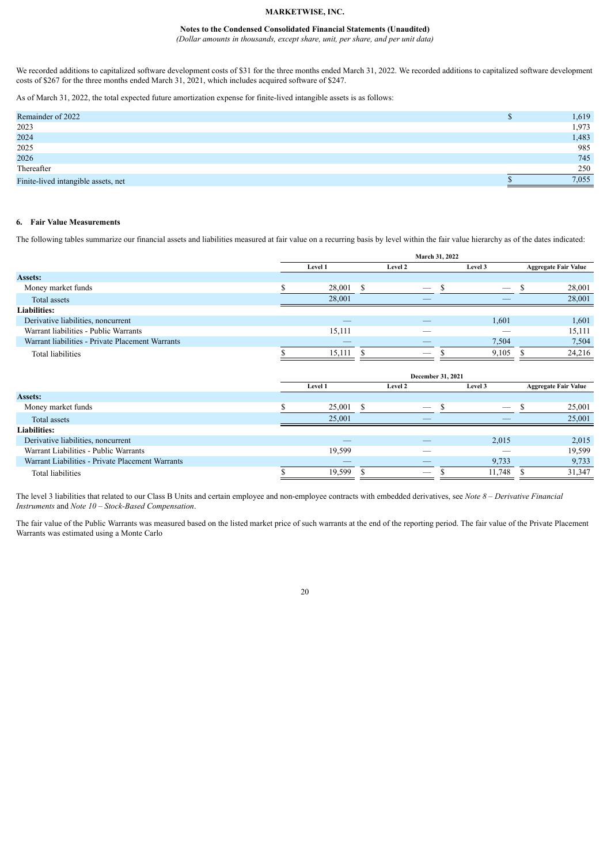# **Notes to the Condensed Consolidated Financial Statements (Unaudited)**

*(Dollar amounts in thousands, except share, unit, per share, and per unit data)*

We recorded additions to capitalized software development costs of \$31 for the three months ended March 31, 2022. We recorded additions to capitalized software development costs of \$267 for the three months ended March 31, 2021, which includes acquired software of \$247.

As of March 31, 2022, the total expected future amortization expense for finite-lived intangible assets is as follows:

| Remainder of 2022                   | 1,619 |
|-------------------------------------|-------|
| 2023                                | 1,973 |
| 2024                                | 1,483 |
| 2025                                | 985   |
| 2026                                | 745   |
| Thereafter                          | 250   |
| Finite-lived intangible assets, net | 7,055 |
|                                     |       |

# **6. Fair Value Measurements**

The following tables summarize our financial assets and liabilities measured at fair value on a recurring basis by level within the fair value hierarchy as of the dates indicated:

|                                                  |    |         |               | March 31, 2022    |         |          |                             |
|--------------------------------------------------|----|---------|---------------|-------------------|---------|----------|-----------------------------|
|                                                  |    | Level 1 | Level 2       |                   | Level 3 |          | <b>Aggregate Fair Value</b> |
| Assets:                                          |    |         |               |                   |         |          |                             |
| Money market funds                               | S. | 28,001  | \$            | ъ<br>—            |         | S        | 28,001                      |
| Total assets                                     |    | 28,001  |               |                   |         |          | 28,001                      |
| <b>Liabilities:</b>                              |    |         |               |                   |         |          |                             |
| Derivative liabilities, noncurrent               |    |         |               |                   | 1,601   |          | 1,601                       |
| Warrant liabilities - Public Warrants            |    | 15,111  |               |                   |         |          | 15,111                      |
| Warrant liabilities - Private Placement Warrants |    |         |               |                   | 7,504   |          | 7,504                       |
| Total liabilities                                |    | 15,111  |               |                   | 9,105   |          | 24,216                      |
|                                                  |    |         |               |                   |         |          |                             |
|                                                  |    |         |               | December 31, 2021 |         |          |                             |
|                                                  |    | Level 1 | Level 2       |                   | Level 3 |          | <b>Aggregate Fair Value</b> |
| Assets:                                          |    |         |               |                   |         |          |                             |
| Money market funds                               | £. | 25,001  | <sup>\$</sup> | —                 |         | <b>S</b> | 25,001                      |
| Total assets                                     |    | 25,001  |               |                   |         |          | 25,001                      |
| <b>Liabilities:</b>                              |    |         |               |                   |         |          |                             |
| Derivative liabilities, noncurrent               |    |         |               |                   | 2,015   |          | 2,015                       |
| Warrant Liabilities - Public Warrants            |    | 19,599  |               |                   |         |          | 19,599                      |
| Warrant Liabilities - Private Placement Warrants |    |         |               |                   | 9,733   |          | 9,733                       |

The level 3 liabilities that related to our Class B Units and certain employee and non-employee contracts with embedded derivatives, see *Note 8 – Derivative Financial Instruments* and *Note 10 – Stock-Based Compensation*.

The fair value of the Public Warrants was measured based on the listed market price of such warrants at the end of the reporting period. The fair value of the Private Placement Warrants was estimated using a Monte Carlo

Total liabilities  $\begin{array}{ccccccc} \text{31,347} \end{array}$   $\begin{array}{ccccccc} \text{5} & \text{19,599} & \text{5} & \text{11,748} & \text{5} & \text{31,347} \end{array}$ 

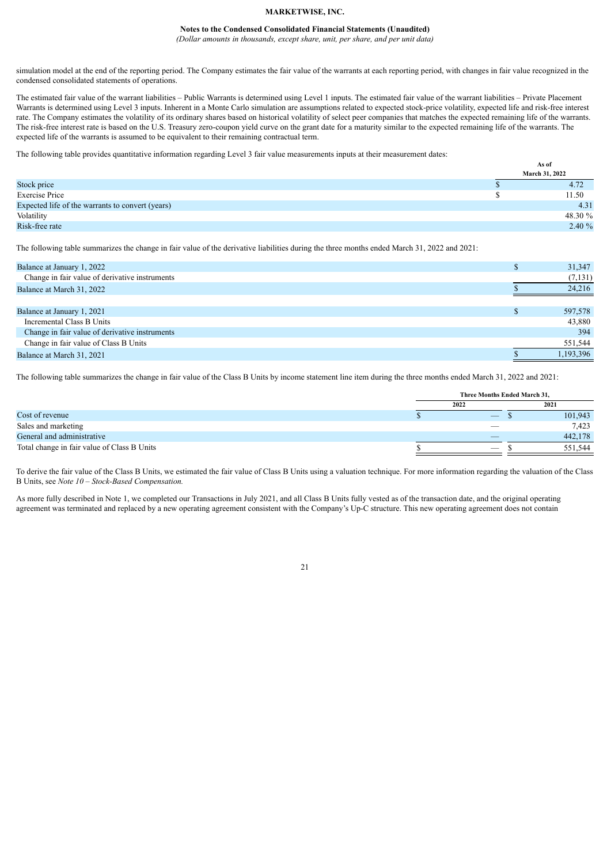# **Notes to the Condensed Consolidated Financial Statements (Unaudited)**

*(Dollar amounts in thousands, except share, unit, per share, and per unit data)*

simulation model at the end of the reporting period. The Company estimates the fair value of the warrants at each reporting period, with changes in fair value recognized in the condensed consolidated statements of operations.

The estimated fair value of the warrant liabilities – Public Warrants is determined using Level 1 inputs. The estimated fair value of the warrant liabilities – Private Placement Warrants is determined using Level 3 inputs. Inherent in a Monte Carlo simulation are assumptions related to expected stock-price volatility, expected life and risk-free interest rate. The Company estimates the volatility of its ordinary shares based on historical volatility of select peer companies that matches the expected remaining life of the warrants. The risk-free interest rate is based on the U.S. Treasury zero-coupon yield curve on the grant date for a maturity similar to the expected remaining life of the warrants. The expected life of the warrants is assumed to be equivalent to their remaining contractual term.

The following table provides quantitative information regarding Level 3 fair value measurements inputs at their measurement dates:

|                                                  | 733 V.L        |
|--------------------------------------------------|----------------|
|                                                  | March 31, 2022 |
| Stock price                                      | 4.72           |
| <b>Exercise Price</b>                            | 11.50          |
| Expected life of the warrants to convert (years) | 4.31           |
| Volatility                                       | 48.30 %        |
| Risk-free rate                                   | 2.40%          |

**As of**

The following table summarizes the change in fair value of the derivative liabilities during the three months ended March 31, 2022 and 2021:

| Balance at January 1, 2022                     | 31,347    |
|------------------------------------------------|-----------|
| Change in fair value of derivative instruments | (7,131)   |
| Balance at March 31, 2022                      | 24,216    |
|                                                |           |
| Balance at January 1, 2021                     | 597,578   |
| Incremental Class B Units                      | 43,880    |
| Change in fair value of derivative instruments | 394       |
| Change in fair value of Class B Units          | 551,544   |
| Balance at March 31, 2021                      | 1,193,396 |
|                                                |           |

The following table summarizes the change in fair value of the Class B Units by income statement line item during the three months ended March 31, 2022 and 2021:

|                                             | Three Months Ended March 31, |                                 |  |         |
|---------------------------------------------|------------------------------|---------------------------------|--|---------|
|                                             |                              | 2022                            |  | 2021    |
| Cost of revenue                             |                              |                                 |  | 101,943 |
| Sales and marketing                         |                              |                                 |  | 7.423   |
| General and administrative                  |                              |                                 |  | 442.178 |
| Total change in fair value of Class B Units |                              | $\hspace{0.1mm}-\hspace{0.1mm}$ |  | 551,544 |

To derive the fair value of the Class B Units, we estimated the fair value of Class B Units using a valuation technique. For more information regarding the valuation of the Class B Units, see *Note 10 – Stock-Based Compensation.*

As more fully described in Note 1, we completed our Transactions in July 2021, and all Class B Units fully vested as of the transaction date, and the original operating agreement was terminated and replaced by a new operating agreement consistent with the Company's Up-C structure. This new operating agreement does not contain

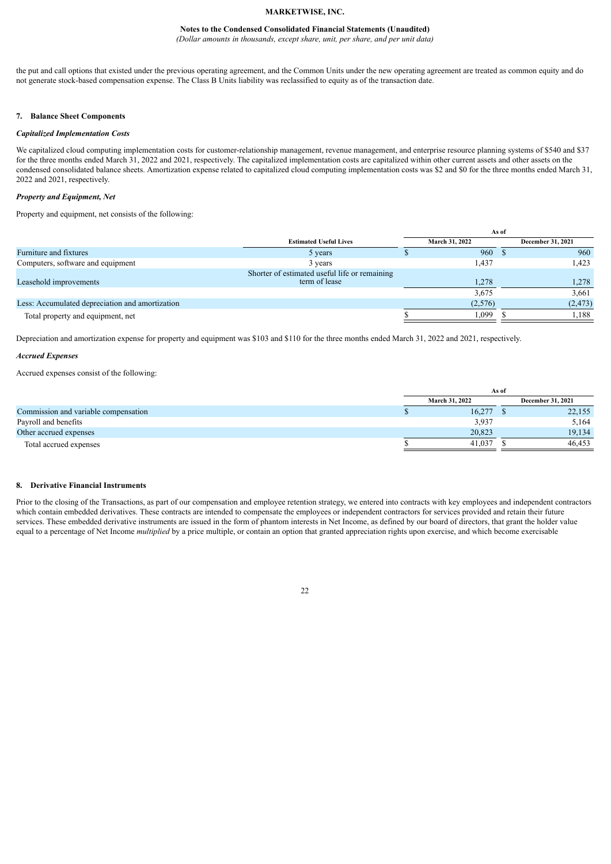### **Notes to the Condensed Consolidated Financial Statements (Unaudited)**

*(Dollar amounts in thousands, except share, unit, per share, and per unit data)*

the put and call options that existed under the previous operating agreement, and the Common Units under the new operating agreement are treated as common equity and do not generate stock-based compensation expense. The Class B Units liability was reclassified to equity as of the transaction date.

#### **7. Balance Sheet Components**

#### *Capitalized Implementation Costs*

We capitalized cloud computing implementation costs for customer-relationship management, revenue management, and enterprise resource planning systems of \$540 and \$37 for the three months ended March 31, 2022 and 2021, respectively. The capitalized implementation costs are capitalized within other current assets and other assets on the condensed consolidated balance sheets. Amortization expense related to capitalized cloud computing implementation costs was \$2 and \$0 for the three months ended March 31, 2022 and 2021, respectively.

### *Property and Equipment, Net*

Property and equipment, net consists of the following:

|                                                 |                                                                | As of |                |  |          |  |  |  |  |  |  |  |  |  |  |  |  |  |  |  |  |  |  |  |  |  |  |  |  |  |  |  |  |  |  |  |  |  |  |  |  |  |  |  |  |  |                   |
|-------------------------------------------------|----------------------------------------------------------------|-------|----------------|--|----------|--|--|--|--|--|--|--|--|--|--|--|--|--|--|--|--|--|--|--|--|--|--|--|--|--|--|--|--|--|--|--|--|--|--|--|--|--|--|--|--|--|-------------------|
|                                                 | <b>Estimated Useful Lives</b>                                  |       | March 31, 2022 |  |          |  |  |  |  |  |  |  |  |  |  |  |  |  |  |  |  |  |  |  |  |  |  |  |  |  |  |  |  |  |  |  |  |  |  |  |  |  |  |  |  |  | December 31, 2021 |
| Furniture and fixtures                          | 5 years                                                        |       | 960            |  | 960      |  |  |  |  |  |  |  |  |  |  |  |  |  |  |  |  |  |  |  |  |  |  |  |  |  |  |  |  |  |  |  |  |  |  |  |  |  |  |  |  |  |                   |
| Computers, software and equipment               | 3 years                                                        |       | 1.437          |  | 1,423    |  |  |  |  |  |  |  |  |  |  |  |  |  |  |  |  |  |  |  |  |  |  |  |  |  |  |  |  |  |  |  |  |  |  |  |  |  |  |  |  |  |                   |
| Leasehold improvements                          | Shorter of estimated useful life or remaining<br>term of lease |       | 1,278          |  | 1,278    |  |  |  |  |  |  |  |  |  |  |  |  |  |  |  |  |  |  |  |  |  |  |  |  |  |  |  |  |  |  |  |  |  |  |  |  |  |  |  |  |  |                   |
|                                                 |                                                                |       | 3,675          |  | 3,661    |  |  |  |  |  |  |  |  |  |  |  |  |  |  |  |  |  |  |  |  |  |  |  |  |  |  |  |  |  |  |  |  |  |  |  |  |  |  |  |  |  |                   |
| Less: Accumulated depreciation and amortization |                                                                |       | (2,576)        |  | (2, 473) |  |  |  |  |  |  |  |  |  |  |  |  |  |  |  |  |  |  |  |  |  |  |  |  |  |  |  |  |  |  |  |  |  |  |  |  |  |  |  |  |  |                   |
| Total property and equipment, net               |                                                                |       | .099           |  | 1,188    |  |  |  |  |  |  |  |  |  |  |  |  |  |  |  |  |  |  |  |  |  |  |  |  |  |  |  |  |  |  |  |  |  |  |  |  |  |  |  |  |  |                   |

Depreciation and amortization expense for property and equipment was \$103 and \$110 for the three months ended March 31, 2022 and 2021, respectively.

#### *Accrued Expenses*

Accrued expenses consist of the following:

|                                      | As of          |  |                          |  |
|--------------------------------------|----------------|--|--------------------------|--|
|                                      | March 31, 2022 |  | <b>December 31, 2021</b> |  |
| Commission and variable compensation | 16,277         |  | 22,155                   |  |
| Payroll and benefits                 | 3,937          |  | 5,164                    |  |
| Other accrued expenses               | 20.823         |  | 19.134                   |  |
| Total accrued expenses               | 41.037         |  | 46,453                   |  |

### **8. Derivative Financial Instruments**

Prior to the closing of the Transactions, as part of our compensation and employee retention strategy, we entered into contracts with key employees and independent contractors which contain embedded derivatives. These contracts are intended to compensate the employees or independent contractors for services provided and retain their future services. These embedded derivative instruments are issued in the form of phantom interests in Net Income, as defined by our board of directors, that grant the holder value equal to a percentage of Net Income *multiplied* by a price multiple, or contain an option that granted appreciation rights upon exercise, and which become exercisable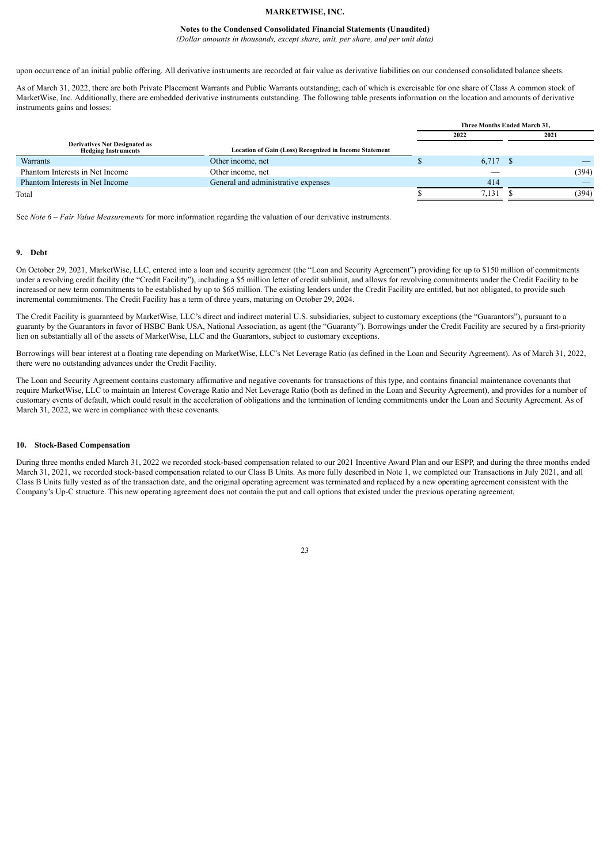#### **Notes to the Condensed Consolidated Financial Statements (Unaudited)**

*(Dollar amounts in thousands, except share, unit, per share, and per unit data)*

upon occurrence of an initial public offering. All derivative instruments are recorded at fair value as derivative liabilities on our condensed consolidated balance sheets.

As of March 31, 2022, there are both Private Placement Warrants and Public Warrants outstanding; each of which is exercisable for one share of Class A common stock of MarketWise, Inc. Additionally, there are embedded derivative instruments outstanding. The following table presents information on the location and amounts of derivative instruments gains and losses:

|                                                                    |                                                               | Three Months Ended March 31, |          |  |       |
|--------------------------------------------------------------------|---------------------------------------------------------------|------------------------------|----------|--|-------|
|                                                                    |                                                               |                              | 2022     |  | 2021  |
| <b>Derivatives Not Designated as</b><br><b>Hedging Instruments</b> | <b>Location of Gain (Loss) Recognized in Income Statement</b> |                              |          |  |       |
| <b>Warrants</b>                                                    | Other income, net                                             |                              | 6,717 \$ |  |       |
| Phantom Interests in Net Income                                    | Other income, net                                             |                              |          |  | (394) |
| Phantom Interests in Net Income                                    | General and administrative expenses                           |                              | 414      |  |       |
| Total                                                              |                                                               |                              | 7.131    |  | (394) |

See *Note 6 – Fair Value Measurements* for more information regarding the valuation of our derivative instruments.

#### **9. Debt**

On October 29, 2021, MarketWise, LLC, entered into a loan and security agreement (the "Loan and Security Agreement") providing for up to \$150 million of commitments under a revolving credit facility (the "Credit Facility"), including a \$5 million letter of credit sublimit, and allows for revolving commitments under the Credit Facility to be increased or new term commitments to be established by up to \$65 million. The existing lenders under the Credit Facility are entitled, but not obligated, to provide such incremental commitments. The Credit Facility has a term of three years, maturing on October 29, 2024.

The Credit Facility is guaranteed by MarketWise, LLC's direct and indirect material U.S. subsidiaries, subject to customary exceptions (the "Guarantors"), pursuant to a guaranty by the Guarantors in favor of HSBC Bank USA, National Association, as agent (the "Guaranty"). Borrowings under the Credit Facility are secured by a first-priority lien on substantially all of the assets of MarketWise, LLC and the Guarantors, subject to customary exceptions.

Borrowings will bear interest at a floating rate depending on MarketWise, LLC's Net Leverage Ratio (as defined in the Loan and Security Agreement). As of March 31, 2022, there were no outstanding advances under the Credit Facility.

The Loan and Security Agreement contains customary affirmative and negative covenants for transactions of this type, and contains financial maintenance covenants that require MarketWise, LLC to maintain an Interest Coverage Ratio and Net Leverage Ratio (both as defined in the Loan and Security Agreement), and provides for a number of customary events of default, which could result in the acceleration of obligations and the termination of lending commitments under the Loan and Security Agreement. As of March 31, 2022, we were in compliance with these covenants.

#### **10. Stock-Based Compensation**

During three months ended March 31, 2022 we recorded stock-based compensation related to our 2021 Incentive Award Plan and our ESPP, and during the three months ended March 31, 2021, we recorded stock-based compensation related to our Class B Units. As more fully described in Note 1, we completed our Transactions in July 2021, and all Class B Units fully vested as of the transaction date, and the original operating agreement was terminated and replaced by a new operating agreement consistent with the Company's Up-C structure. This new operating agreement does not contain the put and call options that existed under the previous operating agreement,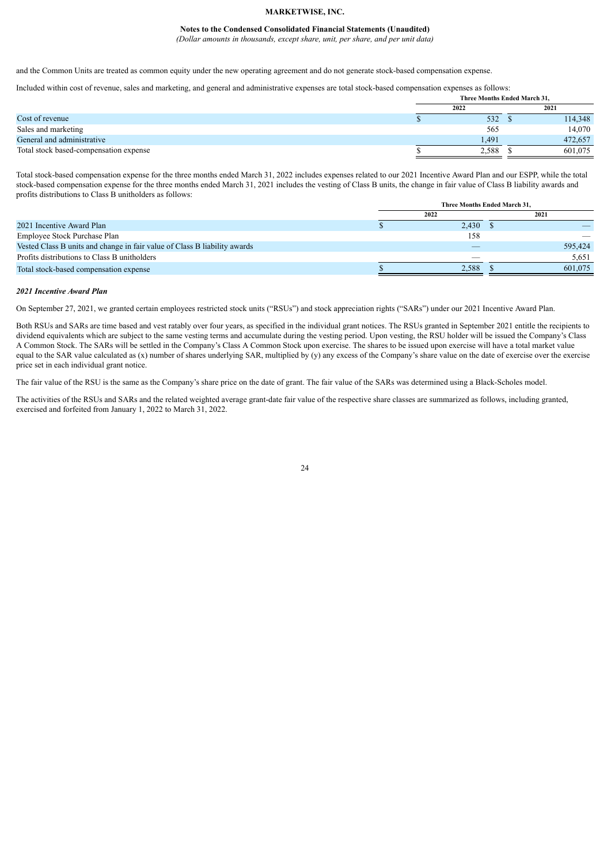### **Notes to the Condensed Consolidated Financial Statements (Unaudited)**

*(Dollar amounts in thousands, except share, unit, per share, and per unit data)*

and the Common Units are treated as common equity under the new operating agreement and do not generate stock-based compensation expense.

Included within cost of revenue, sales and marketing, and general and administrative expenses are total stock-based compensation expenses as follows: **Three Months Ended March 31,**

| Three Months Ended March 31. |       |  |         |
|------------------------------|-------|--|---------|
|                              | 2022  |  | 2021    |
|                              | 532   |  | 114,348 |
|                              | 565   |  | 14,070  |
|                              | 1.491 |  | 472,657 |
|                              | 2.588 |  | 601,075 |
|                              |       |  |         |

Total stock-based compensation expense for the three months ended March 31, 2022 includes expenses related to our 2021 Incentive Award Plan and our ESPP, while the total stock-based compensation expense for the three months ended March 31, 2021 includes the vesting of Class B units, the change in fair value of Class B liability awards and profits distributions to Class B unitholders as follows:

|                                                                           | Three Months Ended March 31, |         |  |  |  |
|---------------------------------------------------------------------------|------------------------------|---------|--|--|--|
|                                                                           | 2022                         | 2021    |  |  |  |
| 2021 Incentive Award Plan                                                 | 2,430                        |         |  |  |  |
| Employee Stock Purchase Plan                                              |                              | 158     |  |  |  |
| Vested Class B units and change in fair value of Class B liability awards |                              | 595,424 |  |  |  |
| Profits distributions to Class B unitholders                              |                              | 5.651   |  |  |  |
| Total stock-based compensation expense                                    | 2.588                        | 601.075 |  |  |  |

#### *2021 Incentive Award Plan*

On September 27, 2021, we granted certain employees restricted stock units ("RSUs") and stock appreciation rights ("SARs") under our 2021 Incentive Award Plan.

Both RSUs and SARs are time based and vest ratably over four years, as specified in the individual grant notices. The RSUs granted in September 2021 entitle the recipients to dividend equivalents which are subject to the same vesting terms and accumulate during the vesting period. Upon vesting, the RSU holder will be issued the Company's Class A Common Stock. The SARs will be settled in the Company's Class A Common Stock upon exercise. The shares to be issued upon exercise will have a total market value equal to the SAR value calculated as  $(x)$  number of shares underlying SAR, multiplied by  $(y)$  any excess of the Company's share value on the date of exercise over the exercise price set in each individual grant notice.

The fair value of the RSU is the same as the Company's share price on the date of grant. The fair value of the SARs was determined using a Black-Scholes model.

The activities of the RSUs and SARs and the related weighted average grant-date fair value of the respective share classes are summarized as follows, including granted, exercised and forfeited from January 1, 2022 to March 31, 2022.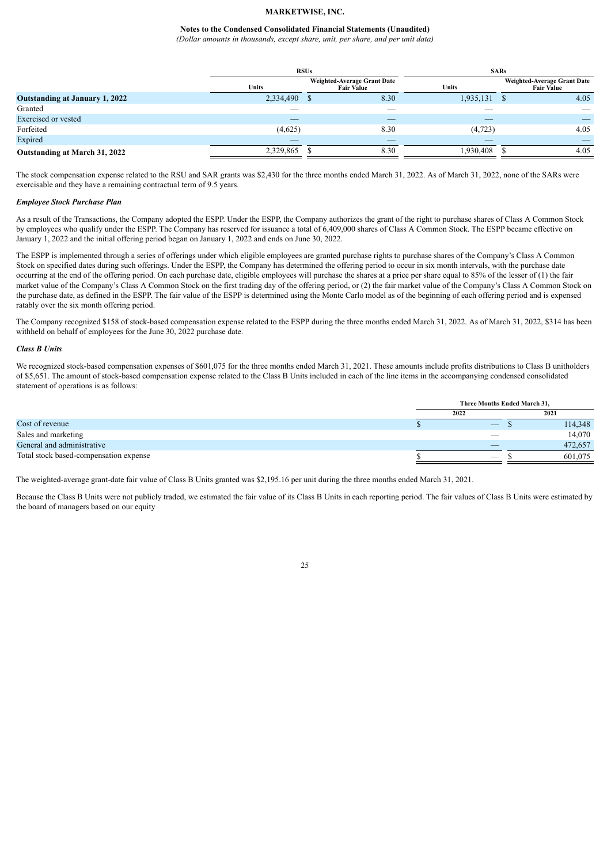# **Notes to the Condensed Consolidated Financial Statements (Unaudited)**

*(Dollar amounts in thousands, except share, unit, per share, and per unit data)*

|                                       |              | <b>RSUs</b>                                      | <b>SARs</b>  |                                                  |  |  |
|---------------------------------------|--------------|--------------------------------------------------|--------------|--------------------------------------------------|--|--|
|                                       | Units        | Weighted-Average Grant Date<br><b>Fair Value</b> | <b>Units</b> | Weighted-Average Grant Date<br><b>Fair Value</b> |  |  |
| <b>Outstanding at January 1, 2022</b> | 2,334,490 \$ | 8.30                                             | 1,935,131    | 4.05                                             |  |  |
| Granted                               |              | $\overline{\phantom{a}}$                         |              |                                                  |  |  |
| Exercised or vested                   | _            |                                                  |              |                                                  |  |  |
| Forfeited                             | (4,625)      | 8.30                                             | (4, 723)     | 4.05                                             |  |  |
| Expired                               |              |                                                  |              |                                                  |  |  |
| Outstanding at March 31, 2022         | 2,329,865    | 8.30                                             | .930.408     | 4.05                                             |  |  |

The stock compensation expense related to the RSU and SAR grants was \$2,430 for the three months ended March 31, 2022. As of March 31, 2022, none of the SARs were exercisable and they have a remaining contractual term of 9.5 years.

#### *Employee Stock Purchase Plan*

As a result of the Transactions, the Company adopted the ESPP. Under the ESPP, the Company authorizes the grant of the right to purchase shares of Class A Common Stock by employees who qualify under the ESPP. The Company has reserved for issuance a total of 6,409,000 shares of Class A Common Stock. The ESPP became effective on January 1, 2022 and the initial offering period began on January 1, 2022 and ends on June 30, 2022.

The ESPP is implemented through a series of offerings under which eligible employees are granted purchase rights to purchase shares of the Company's Class A Common Stock on specified dates during such offerings. Under the ESPP, the Company has determined the offering period to occur in six month intervals, with the purchase date occurring at the end of the offering period. On each purchase date, eligible employees will purchase the shares at a price per share equal to 85% of the lesser of (1) the fair market value of the Company's Class A Common Stock on the first trading day of the offering period, or (2) the fair market value of the Company's Class A Common Stock on the purchase date, as defined in the ESPP. The fair value of the ESPP is determined using the Monte Carlo model as of the beginning of each offering period and is expensed ratably over the six month offering period.

The Company recognized \$158 of stock-based compensation expense related to the ESPP during the three months ended March 31, 2022. As of March 31, 2022, \$314 has been withheld on behalf of employees for the June 30, 2022 purchase date.

#### *Class B Units*

We recognized stock-based compensation expenses of \$601,075 for the three months ended March 31, 2021. These amounts include profits distributions to Class B unitholders of \$5,651. The amount of stock-based compensation expense related to the Class B Units included in each of the line items in the accompanying condensed consolidated statement of operations is as follows:

|                                        | Three Months Ended March 31.    |      |         |  |
|----------------------------------------|---------------------------------|------|---------|--|
|                                        | 2022                            | 2021 |         |  |
| Cost of revenue                        |                                 |      | 114,348 |  |
| Sales and marketing                    |                                 |      | 14,070  |  |
| General and administrative             |                                 |      | 472,657 |  |
| Total stock based-compensation expense | $\hspace{0.1mm}-\hspace{0.1mm}$ |      | 601,075 |  |

The weighted-average grant-date fair value of Class B Units granted was \$2,195.16 per unit during the three months ended March 31, 2021.

Because the Class B Units were not publicly traded, we estimated the fair value of its Class B Units in each reporting period. The fair values of Class B Units were estimated by the board of managers based on our equity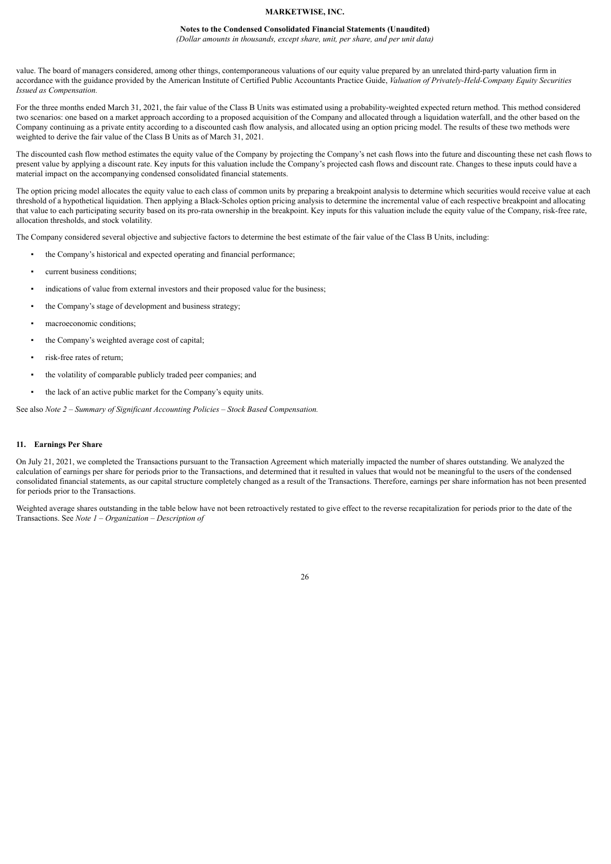### **Notes to the Condensed Consolidated Financial Statements (Unaudited)**

*(Dollar amounts in thousands, except share, unit, per share, and per unit data)*

value. The board of managers considered, among other things, contemporaneous valuations of our equity value prepared by an unrelated third-party valuation firm in accordance with the guidance provided by the American Institute of Certified Public Accountants Practice Guide, *Valuation of Privately-Held-Company Equity Securities Issued as Compensation.*

For the three months ended March 31, 2021, the fair value of the Class B Units was estimated using a probability-weighted expected return method. This method considered two scenarios: one based on a market approach according to a proposed acquisition of the Company and allocated through a liquidation waterfall, and the other based on the Company continuing as a private entity according to a discounted cash flow analysis, and allocated using an option pricing model. The results of these two methods were weighted to derive the fair value of the Class B Units as of March 31, 2021.

The discounted cash flow method estimates the equity value of the Company by projecting the Company's net cash flows into the future and discounting these net cash flows to present value by applying a discount rate. Key inputs for this valuation include the Company's projected cash flows and discount rate. Changes to these inputs could have a material impact on the accompanying condensed consolidated financial statements.

The option pricing model allocates the equity value to each class of common units by preparing a breakpoint analysis to determine which securities would receive value at each threshold of a hypothetical liquidation. Then applying a Black-Scholes option pricing analysis to determine the incremental value of each respective breakpoint and allocating that value to each participating security based on its pro-rata ownership in the breakpoint. Key inputs for this valuation include the equity value of the Company, risk-free rate, allocation thresholds, and stock volatility.

The Company considered several objective and subjective factors to determine the best estimate of the fair value of the Class B Units, including:

- the Company's historical and expected operating and financial performance;
- **•** current business conditions:
- indications of value from external investors and their proposed value for the business;
- the Company's stage of development and business strategy;
- macroeconomic conditions;
- the Company's weighted average cost of capital;
- risk-free rates of return:
- the volatility of comparable publicly traded peer companies; and
- the lack of an active public market for the Company's equity units.

See also *Note 2 – Summary of Significant Accounting Policies – Stock Based Compensation.*

#### **11. Earnings Per Share**

On July 21, 2021, we completed the Transactions pursuant to the Transaction Agreement which materially impacted the number of shares outstanding. We analyzed the calculation of earnings per share for periods prior to the Transactions, and determined that it resulted in values that would not be meaningful to the users of the condensed consolidated financial statements, as our capital structure completely changed as a result of the Transactions. Therefore, earnings per share information has not been presented for periods prior to the Transactions.

Weighted average shares outstanding in the table below have not been retroactively restated to give effect to the reverse recapitalization for periods prior to the date of the Transactions. See *Note 1 – Organization – Description of*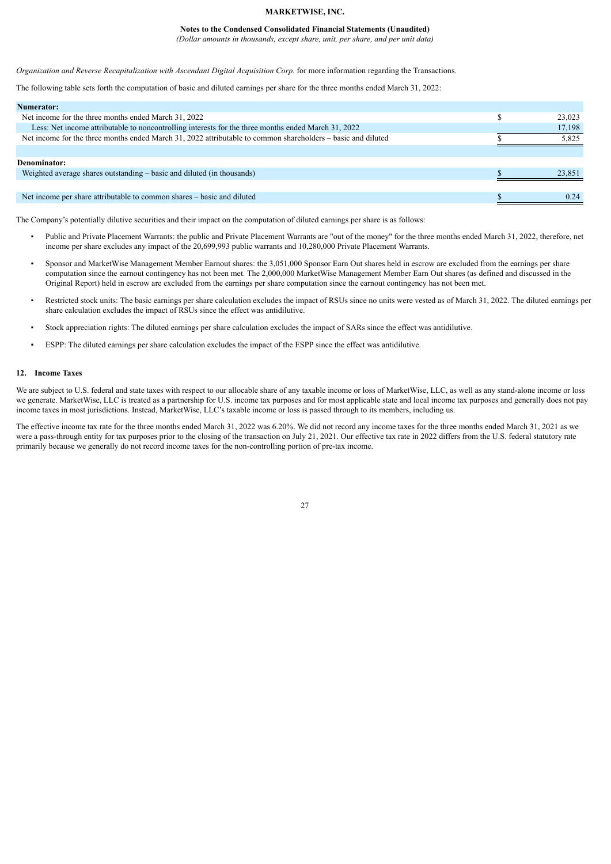### **Notes to the Condensed Consolidated Financial Statements (Unaudited)**

*(Dollar amounts in thousands, except share, unit, per share, and per unit data)*

*Organization and Reverse Recapitalization with Ascendant Digital Acquisition Corp.* for more information regarding the Transactions.

The following table sets forth the computation of basic and diluted earnings per share for the three months ended March 31, 2022:

| <b>Numerator:</b>                                                                                            |        |
|--------------------------------------------------------------------------------------------------------------|--------|
| Net income for the three months ended March 31, 2022                                                         | 23.023 |
| Less: Net income attributable to noncontrolling interests for the three months ended March 31, 2022          | 17,198 |
| Net income for the three months ended March 31, 2022 attributable to common shareholders – basic and diluted | 5.825  |
|                                                                                                              |        |
| Denominator:                                                                                                 |        |
| Weighted average shares outstanding – basic and diluted (in thousands)                                       | 23.851 |
|                                                                                                              |        |
| Net income per share attributable to common shares – basic and diluted                                       | 0.24   |
|                                                                                                              |        |

The Company's potentially dilutive securities and their impact on the computation of diluted earnings per share is as follows:

- Public and Private Placement Warrants: the public and Private Placement Warrants are "out of the money" for the three months ended March 31, 2022, therefore, net income per share excludes any impact of the 20,699,993 public warrants and 10,280,000 Private Placement Warrants.
- Sponsor and MarketWise Management Member Earnout shares: the 3,051,000 Sponsor Earn Out shares held in escrow are excluded from the earnings per share computation since the earnout contingency has not been met. The 2,000,000 MarketWise Management Member Earn Out shares (as defined and discussed in the Original Report) held in escrow are excluded from the earnings per share computation since the earnout contingency has not been met.
- Restricted stock units: The basic earnings per share calculation excludes the impact of RSUs since no units were vested as of March 31, 2022. The diluted earnings per share calculation excludes the impact of RSUs since the effect was antidilutive.
- Stock appreciation rights: The diluted earnings per share calculation excludes the impact of SARs since the effect was antidilutive.
- ESPP: The diluted earnings per share calculation excludes the impact of the ESPP since the effect was antidilutive.

#### **12. Income Taxes**

We are subject to U.S. federal and state taxes with respect to our allocable share of any taxable income or loss of MarketWise, LLC, as well as any stand-alone income or loss we generate. MarketWise, LLC is treated as a partnership for U.S. income tax purposes and for most applicable state and local income tax purposes and generally does not pay income taxes in most jurisdictions. Instead, MarketWise, LLC's taxable income or loss is passed through to its members, including us.

The effective income tax rate for the three months ended March 31, 2022 was 6.20%. We did not record any income taxes for the three months ended March 31, 2021 as we were a pass-through entity for tax purposes prior to the closing of the transaction on July 21, 2021. Our effective tax rate in 2022 differs from the U.S. federal statutory rate primarily because we generally do not record income taxes for the non-controlling portion of pre-tax income.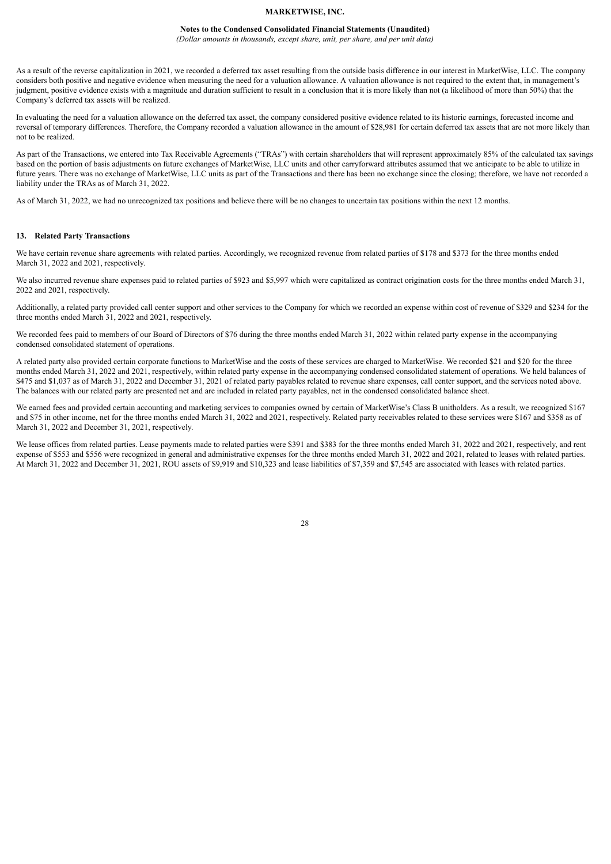### **Notes to the Condensed Consolidated Financial Statements (Unaudited)**

*(Dollar amounts in thousands, except share, unit, per share, and per unit data)*

As a result of the reverse capitalization in 2021, we recorded a deferred tax asset resulting from the outside basis difference in our interest in MarketWise, LLC. The company considers both positive and negative evidence when measuring the need for a valuation allowance. A valuation allowance is not required to the extent that, in management's judgment, positive evidence exists with a magnitude and duration sufficient to result in a conclusion that it is more likely than not (a likelihood of more than 50%) that the Company's deferred tax assets will be realized.

In evaluating the need for a valuation allowance on the deferred tax asset, the company considered positive evidence related to its historic earnings, forecasted income and reversal of temporary differences. Therefore, the Company recorded a valuation allowance in the amount of \$28,981 for certain deferred tax assets that are not more likely than not to be realized.

As part of the Transactions, we entered into Tax Receivable Agreements ("TRAs") with certain shareholders that will represent approximately 85% of the calculated tax savings based on the portion of basis adjustments on future exchanges of MarketWise, LLC units and other carryforward attributes assumed that we anticipate to be able to utilize in future years. There was no exchange of MarketWise, LLC units as part of the Transactions and there has been no exchange since the closing; therefore, we have not recorded a liability under the TRAs as of March 31, 2022.

As of March 31, 2022, we had no unrecognized tax positions and believe there will be no changes to uncertain tax positions within the next 12 months.

### **13. Related Party Transactions**

We have certain revenue share agreements with related parties. Accordingly, we recognized revenue from related parties of \$178 and \$373 for the three months ended March 31, 2022 and 2021, respectively.

We also incurred revenue share expenses paid to related parties of \$923 and \$5,997 which were capitalized as contract origination costs for the three months ended March 31, 2022 and 2021, respectively.

Additionally, a related party provided call center support and other services to the Company for which we recorded an expense within cost of revenue of \$329 and \$234 for the three months ended March 31, 2022 and 2021, respectively.

We recorded fees paid to members of our Board of Directors of \$76 during the three months ended March 31, 2022 within related party expense in the accompanying condensed consolidated statement of operations.

A related party also provided certain corporate functions to MarketWise and the costs of these services are charged to MarketWise. We recorded \$21 and \$20 for the three months ended March 31, 2022 and 2021, respectively, within related party expense in the accompanying condensed consolidated statement of operations. We held balances of \$475 and \$1,037 as of March 31, 2022 and December 31, 2021 of related party payables related to revenue share expenses, call center support, and the services noted above. The balances with our related party are presented net and are included in related party payables, net in the condensed consolidated balance sheet.

We earned fees and provided certain accounting and marketing services to companies owned by certain of MarketWise's Class B unitholders. As a result, we recognized \$167 and \$75 in other income, net for the three months ended March 31, 2022 and 2021, respectively. Related party receivables related to these services were \$167 and \$358 as of March 31, 2022 and December 31, 2021, respectively.

We lease offices from related parties. Lease payments made to related parties were \$391 and \$383 for the three months ended March 31, 2022 and 2021, respectively, and rent expense of \$553 and \$556 were recognized in general and administrative expenses for the three months ended March 31, 2022 and 2021, related to leases with related parties. At March 31, 2022 and December 31, 2021, ROU assets of \$9,919 and \$10,323 and lease liabilities of \$7,359 and \$7,545 are associated with leases with related parties.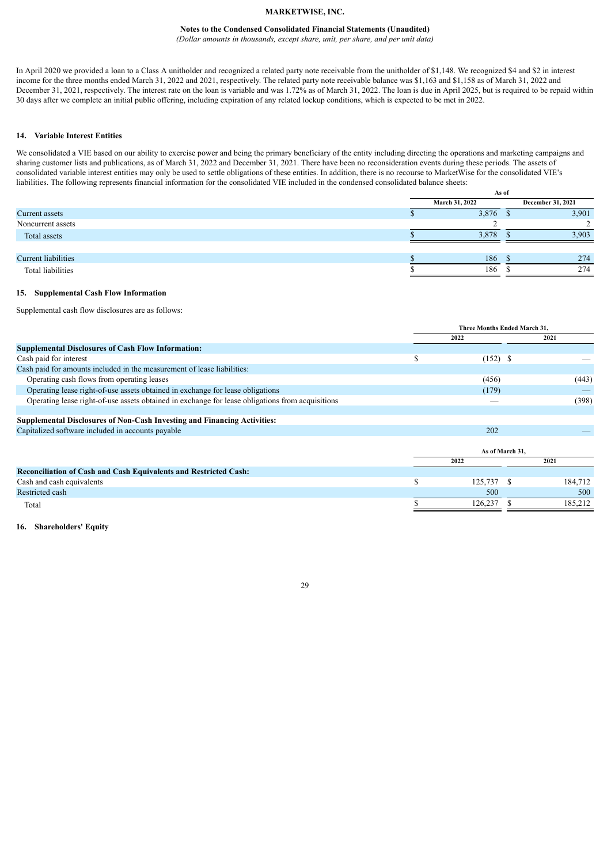# **Notes to the Condensed Consolidated Financial Statements (Unaudited)**

*(Dollar amounts in thousands, except share, unit, per share, and per unit data)*

In April 2020 we provided a loan to a Class A unitholder and recognized a related party note receivable from the unitholder of \$1,148. We recognized \$4 and \$2 in interest income for the three months ended March 31, 2022 and 2021, respectively. The related party note receivable balance was \$1,163 and \$1,158 as of March 31, 2022 and December 31, 2021, respectively. The interest rate on the loan is variable and was 1.72% as of March 31, 2022. The loan is due in April 2025, but is required to be repaid within 30 days after we complete an initial public offering, including expiration of any related lockup conditions, which is expected to be met in 2022.

### **14. Variable Interest Entities**

We consolidated a VIE based on our ability to exercise power and being the primary beneficiary of the entity including directing the operations and marketing campaigns and sharing customer lists and publications, as of March 31, 2022 and December 31, 2021. There have been no reconsideration events during these periods. The assets of consolidated variable interest entities may only be used to settle obligations of these entities. In addition, there is no recourse to MarketWise for the consolidated VIE's liabilities. The following represents financial information for the consolidated VIE included in the condensed consolidated balance sheets:

|                            | As of          |  |                   |
|----------------------------|----------------|--|-------------------|
|                            | March 31, 2022 |  | December 31, 2021 |
| Current assets             | 3,876 \$       |  | 3,901             |
| Noncurrent assets          |                |  | $\sim$            |
| Total assets               | 3.878          |  | 3,903             |
|                            |                |  |                   |
| <b>Current</b> liabilities | 186 \$         |  | 274               |
| Total liabilities          | 186            |  | 274               |
|                            |                |  |                   |

### **15. Supplemental Cash Flow Information**

Supplemental cash flow disclosures are as follows:

|                                                                                                  | Three Months Ended March 31, |         |  |  |  |
|--------------------------------------------------------------------------------------------------|------------------------------|---------|--|--|--|
|                                                                                                  | 2022                         | 2021    |  |  |  |
| <b>Supplemental Disclosures of Cash Flow Information:</b>                                        |                              |         |  |  |  |
| Cash paid for interest                                                                           | \$<br>$(152)$ \$             |         |  |  |  |
| Cash paid for amounts included in the measurement of lease liabilities:                          |                              |         |  |  |  |
| Operating cash flows from operating leases                                                       | (456)                        | (443)   |  |  |  |
| Operating lease right-of-use assets obtained in exchange for lease obligations                   | (179)                        |         |  |  |  |
| Operating lease right-of-use assets obtained in exchange for lease obligations from acquisitions |                              | (398)   |  |  |  |
|                                                                                                  |                              |         |  |  |  |
| <b>Supplemental Disclosures of Non-Cash Investing and Financing Activities:</b>                  |                              |         |  |  |  |
| Capitalized software included in accounts payable                                                | 202                          |         |  |  |  |
|                                                                                                  |                              |         |  |  |  |
|                                                                                                  | As of March 31,              |         |  |  |  |
|                                                                                                  | 2022                         | 2021    |  |  |  |
| Reconciliation of Cash and Cash Equivalents and Restricted Cash:                                 |                              |         |  |  |  |
| Cash and cash equivalents                                                                        | \$<br>125,737 \$             | 184,712 |  |  |  |
| Restricted cash                                                                                  | 500                          | 500     |  |  |  |
| Total                                                                                            | 126,237                      | 185,212 |  |  |  |
|                                                                                                  |                              |         |  |  |  |

**16. Shareholders' Equity**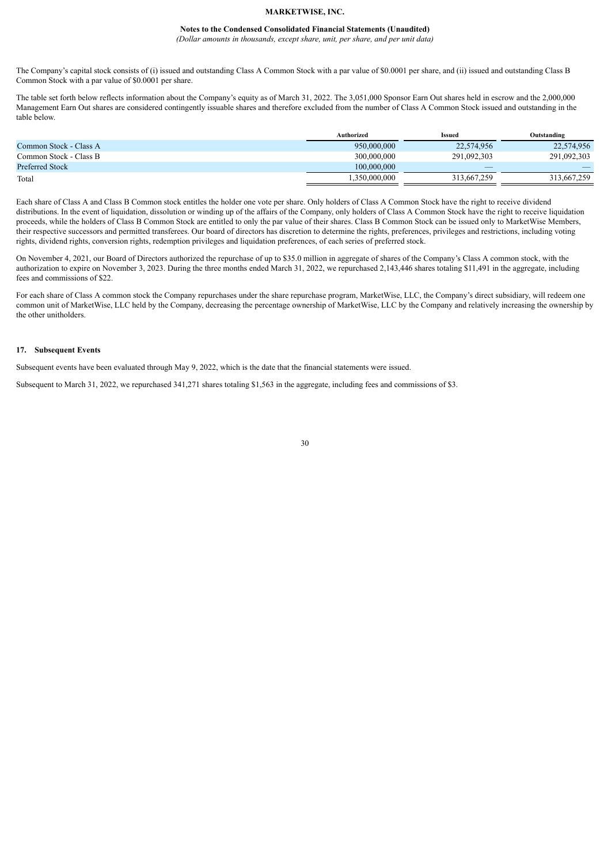# **Notes to the Condensed Consolidated Financial Statements (Unaudited)**

*(Dollar amounts in thousands, except share, unit, per share, and per unit data)*

The Company's capital stock consists of (i) issued and outstanding Class A Common Stock with a par value of \$0.0001 per share, and (ii) issued and outstanding Class B Common Stock with a par value of \$0.0001 per share.

The table set forth below reflects information about the Company's equity as of March 31, 2022. The 3,051,000 Sponsor Earn Out shares held in escrow and the 2,000,000 Management Earn Out shares are considered contingently issuable shares and therefore excluded from the number of Class A Common Stock issued and outstanding in the table below.

|                        | Authorized   | Issued      | Outstanding |
|------------------------|--------------|-------------|-------------|
| Common Stock - Class A | 950,000,000  | 22.574.956  | 22.574.956  |
| Common Stock - Class B | 300,000,000  | 291,092,303 | 291,092,303 |
| <b>Preferred Stock</b> | 100,000,000  |             |             |
| Total                  | .350,000,000 | 313,667,259 | 313,667,259 |

Each share of Class A and Class B Common stock entitles the holder one vote per share. Only holders of Class A Common Stock have the right to receive dividend distributions. In the event of liquidation, dissolution or winding up of the affairs of the Company, only holders of Class A Common Stock have the right to receive liquidation proceeds, while the holders of Class B Common Stock are entitled to only the par value of their shares. Class B Common Stock can be issued only to MarketWise Members, their respective successors and permitted transferees. Our board of directors has discretion to determine the rights, preferences, privileges and restrictions, including voting rights, dividend rights, conversion rights, redemption privileges and liquidation preferences, of each series of preferred stock.

On November 4, 2021, our Board of Directors authorized the repurchase of up to \$35.0 million in aggregate of shares of the Company's Class A common stock, with the authorization to expire on November 3, 2023. During the three months ended March 31, 2022, we repurchased 2,143,446 shares totaling \$11,491 in the aggregate, including fees and commissions of \$22.

For each share of Class A common stock the Company repurchases under the share repurchase program, MarketWise, LLC, the Company's direct subsidiary, will redeem one common unit of MarketWise, LLC held by the Company, decreasing the percentage ownership of MarketWise, LLC by the Company and relatively increasing the ownership by the other unitholders.

#### **17. Subsequent Events**

Subsequent events have been evaluated through May 9, 2022, which is the date that the financial statements were issued.

<span id="page-30-0"></span>Subsequent to March 31, 2022, we repurchased 341,271 shares totaling \$1,563 in the aggregate, including fees and commissions of \$3.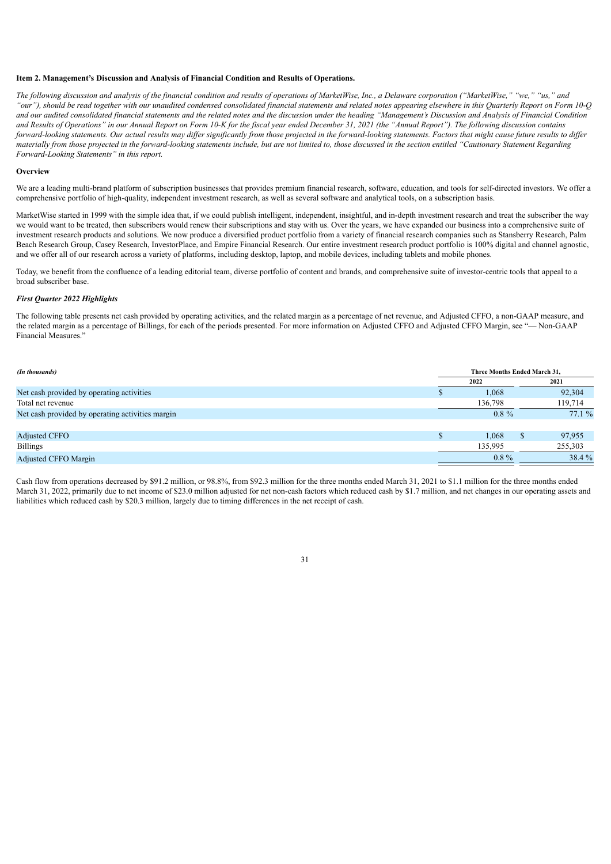### **Item 2. Management's Discussion and Analysis of Financial Condition and Results of Operations.**

The following discussion and analysis of the financial condition and results of operations of MarketWise, Inc., a Delaware corporation ("MarketWise," "we," "us," and "our"), should be read together with our unaudited condensed consolidated financial statements and related notes appearing elsewhere in this Quarterly Report on Form 10-Q and our audited consolidated financial statements and the related notes and the discussion under the heading "Management's Discussion and Analysis of Financial Condition and Results of Operations" in our Annual Report on Form 10-K for the fiscal year ended December 31, 2021 (the "Annual Report"). The following discussion contains forward-looking statements. Our actual results may differ significantly from those projected in the forward-looking statements. Factors that might cause future results to differ materially from those projected in the forward-looking statements include, but are not limited to, those discussed in the section entitled "Cautionary Statement Regarding *Forward-Looking Statements" in this report.*

### **Overview**

We are a leading multi-brand platform of subscription businesses that provides premium financial research, software, education, and tools for self-directed investors. We offer a comprehensive portfolio of high-quality, independent investment research, as well as several software and analytical tools, on a subscription basis.

MarketWise started in 1999 with the simple idea that, if we could publish intelligent, independent, insightful, and in-depth investment research and treat the subscriber the way we would want to be treated, then subscribers would renew their subscriptions and stay with us. Over the years, we have expanded our business into a comprehensive suite of investment research products and solutions. We now produce a diversified product portfolio from a variety of financial research companies such as Stansberry Research, Palm Beach Research Group, Casey Research, InvestorPlace, and Empire Financial Research. Our entire investment research product portfolio is 100% digital and channel agnostic, and we offer all of our research across a variety of platforms, including desktop, laptop, and mobile devices, including tablets and mobile phones.

Today, we benefit from the confluence of a leading editorial team, diverse portfolio of content and brands, and comprehensive suite of investor-centric tools that appeal to a broad subscriber base.

#### *First Quarter 2022 Highlights*

The following table presents net cash provided by operating activities, and the related margin as a percentage of net revenue, and Adjusted CFFO, a non-GAAP measure, and the related margin as a percentage of Billings, for each of the periods presented. For more information on Adjusted CFFO and Adjusted CFFO Margin, see "— Non-GAAP Financial Measures."

| (In thousands)                                   | Three Months Ended March 31, |         |   |         |
|--------------------------------------------------|------------------------------|---------|---|---------|
|                                                  |                              | 2022    |   | 2021    |
| Net cash provided by operating activities        |                              | 1,068   |   | 92,304  |
| Total net revenue                                |                              | 136,798 |   | 119,714 |
| Net cash provided by operating activities margin | $0.8 \%$                     |         |   | 77.1%   |
|                                                  |                              |         |   |         |
| <b>Adjusted CFFO</b>                             |                              | 1,068   | ъ | 97,955  |
| <b>Billings</b>                                  |                              | 135,995 |   | 255,303 |
| <b>Adjusted CFFO Margin</b>                      |                              | $0.8\%$ |   | 38.4%   |

Cash flow from operations decreased by \$91.2 million, or 98.8%, from \$92.3 million for the three months ended March 31, 2021 to \$1.1 million for the three months ended March 31, 2022, primarily due to net income of \$23.0 million adjusted for net non-cash factors which reduced cash by \$1.7 million, and net changes in our operating assets and liabilities which reduced cash by \$20.3 million, largely due to timing differences in the net receipt of cash.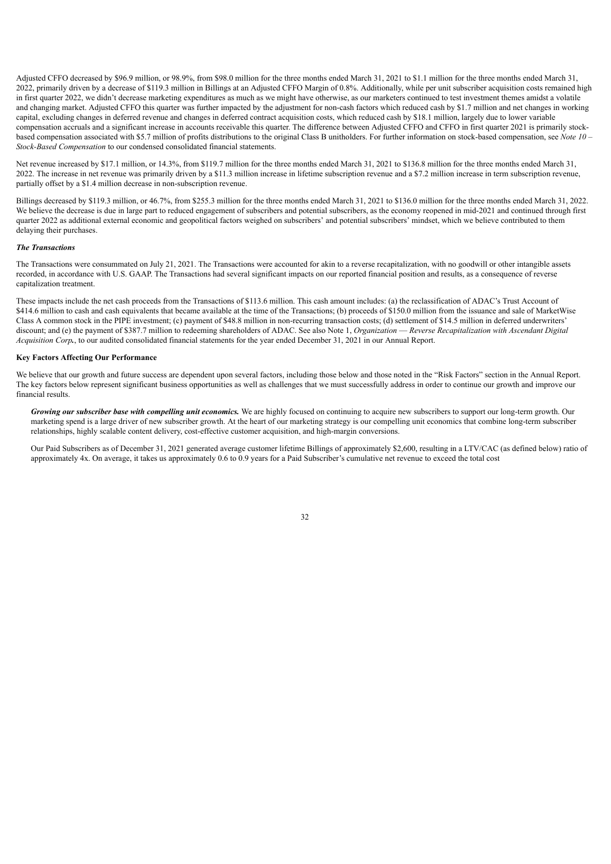Adjusted CFFO decreased by \$96.9 million, or 98.9%, from \$98.0 million for the three months ended March 31, 2021 to \$1.1 million for the three months ended March 31, 2022, primarily driven by a decrease of \$119.3 million in Billings at an Adjusted CFFO Margin of 0.8%. Additionally, while per unit subscriber acquisition costs remained high in first quarter 2022, we didn't decrease marketing expenditures as much as we might have otherwise, as our marketers continued to test investment themes amidst a volatile and changing market. Adjusted CFFO this quarter was further impacted by the adjustment for non-cash factors which reduced cash by \$1.7 million and net changes in working capital, excluding changes in deferred revenue and changes in deferred contract acquisition costs, which reduced cash by \$18.1 million, largely due to lower variable compensation accruals and a significant increase in accounts receivable this quarter. The difference between Adjusted CFFO and CFFO in first quarter 2021 is primarily stockbased compensation associated with \$5.7 million of profits distributions to the original Class B unitholders. For further information on stock-based compensation, see *Note 10 – Stock-Based Compensation* to our condensed consolidated financial statements.

Net revenue increased by \$17.1 million, or 14.3%, from \$119.7 million for the three months ended March 31, 2021 to \$136.8 million for the three months ended March 31, 2022. The increase in net revenue was primarily driven by a \$11.3 million increase in lifetime subscription revenue and a \$7.2 million increase in term subscription revenue, partially offset by a \$1.4 million decrease in non-subscription revenue.

Billings decreased by \$119.3 million, or 46.7%, from \$255.3 million for the three months ended March 31, 2021 to \$136.0 million for the three months ended March 31, 2022. We believe the decrease is due in large part to reduced engagement of subscribers and potential subscribers, as the economy reopened in mid-2021 and continued through first quarter 2022 as additional external economic and geopolitical factors weighed on subscribers' and potential subscribers' mindset, which we believe contributed to them delaying their purchases.

### *The Transactions*

The Transactions were consummated on July 21, 2021. The Transactions were accounted for akin to a reverse recapitalization, with no goodwill or other intangible assets recorded, in accordance with U.S. GAAP. The Transactions had several significant impacts on our reported financial position and results, as a consequence of reverse capitalization treatment.

These impacts include the net cash proceeds from the Transactions of \$113.6 million. This cash amount includes: (a) the reclassification of ADAC's Trust Account of \$414.6 million to cash and cash equivalents that became available at the time of the Transactions; (b) proceeds of \$150.0 million from the issuance and sale of MarketWise Class A common stock in the PIPE investment; (c) payment of \$48.8 million in non-recurring transaction costs; (d) settlement of \$14.5 million in deferred underwriters' discount; and (e) the payment of \$387.7 million to redeeming shareholders of ADAC. See also Note 1, *Organization* — *Reverse Recapitalization with Ascendant Digital Acquisition Corp.*, to our audited consolidated financial statements for the year ended December 31, 2021 in our Annual Report.

#### **Key Factors Affecting Our Performance**

We believe that our growth and future success are dependent upon several factors, including those below and those noted in the "Risk Factors" section in the Annual Report. The key factors below represent significant business opportunities as well as challenges that we must successfully address in order to continue our growth and improve our financial results.

*Growing our subscriber base with compelling unit economics.* We are highly focused on continuing to acquire new subscribers to support our long-term growth. Our marketing spend is a large driver of new subscriber growth. At the heart of our marketing strategy is our compelling unit economics that combine long-term subscriber relationships, highly scalable content delivery, cost-effective customer acquisition, and high-margin conversions.

Our Paid Subscribers as of December 31, 2021 generated average customer lifetime Billings of approximately \$2,600, resulting in a LTV/CAC (as defined below) ratio of approximately 4x. On average, it takes us approximately 0.6 to 0.9 years for a Paid Subscriber's cumulative net revenue to exceed the total cost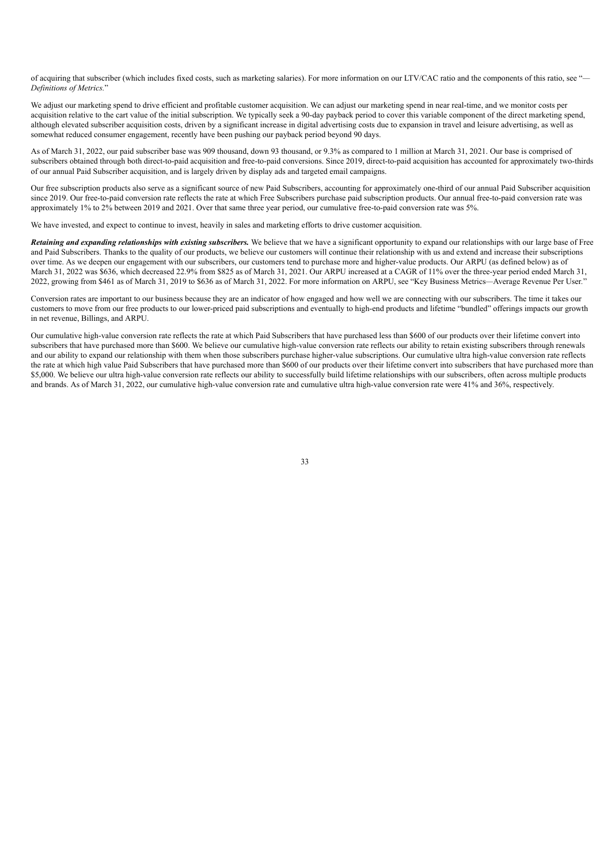of acquiring that subscriber (which includes fixed costs, such as marketing salaries). For more information on our LTV/CAC ratio and the components of this ratio, see "*— Definitions of Metrics.*"

We adjust our marketing spend to drive efficient and profitable customer acquisition. We can adjust our marketing spend in near real-time, and we monitor costs per acquisition relative to the cart value of the initial subscription. We typically seek a 90-day payback period to cover this variable component of the direct marketing spend, although elevated subscriber acquisition costs, driven by a significant increase in digital advertising costs due to expansion in travel and leisure advertising, as well as somewhat reduced consumer engagement, recently have been pushing our payback period beyond 90 days.

As of March 31, 2022, our paid subscriber base was 909 thousand, down 93 thousand, or 9.3% as compared to 1 million at March 31, 2021. Our base is comprised of subscribers obtained through both direct-to-paid acquisition and free-to-paid conversions. Since 2019, direct-to-paid acquisition has accounted for approximately two-thirds of our annual Paid Subscriber acquisition, and is largely driven by display ads and targeted email campaigns.

Our free subscription products also serve as a significant source of new Paid Subscribers, accounting for approximately one-third of our annual Paid Subscriber acquisition since 2019. Our free-to-paid conversion rate reflects the rate at which Free Subscribers purchase paid subscription products. Our annual free-to-paid conversion rate was approximately 1% to 2% between 2019 and 2021. Over that same three year period, our cumulative free-to-paid conversion rate was 5%.

We have invested, and expect to continue to invest, heavily in sales and marketing efforts to drive customer acquisition.

*Retaining and expanding relationships with existing subscribers.* We believe that we have a significant opportunity to expand our relationships with our large base of Free and Paid Subscribers. Thanks to the quality of our products, we believe our customers will continue their relationship with us and extend and increase their subscriptions over time. As we deepen our engagement with our subscribers, our customers tend to purchase more and higher-value products. Our ARPU (as defined below) as of March 31, 2022 was \$636, which decreased 22.9% from \$825 as of March 31, 2021. Our ARPU increased at a CAGR of 11% over the three-year period ended March 31, 2022, growing from \$461 as of March 31, 2019 to \$636 as of March 31, 2022. For more information on ARPU, see "Key Business Metrics*—*Average Revenue Per User*.*"

Conversion rates are important to our business because they are an indicator of how engaged and how well we are connecting with our subscribers. The time it takes our customers to move from our free products to our lower-priced paid subscriptions and eventually to high-end products and lifetime "bundled" offerings impacts our growth in net revenue, Billings, and ARPU.

Our cumulative high-value conversion rate reflects the rate at which Paid Subscribers that have purchased less than \$600 of our products over their lifetime convert into subscribers that have purchased more than \$600. We believe our cumulative high-value conversion rate reflects our ability to retain existing subscribers through renewals and our ability to expand our relationship with them when those subscribers purchase higher-value subscriptions. Our cumulative ultra high-value conversion rate reflects the rate at which high value Paid Subscribers that have purchased more than \$600 of our products over their lifetime convert into subscribers that have purchased more than \$5,000. We believe our ultra high-value conversion rate reflects our ability to successfully build lifetime relationships with our subscribers, often across multiple products and brands. As of March 31, 2022, our cumulative high-value conversion rate and cumulative ultra high-value conversion rate were 41% and 36%, respectively.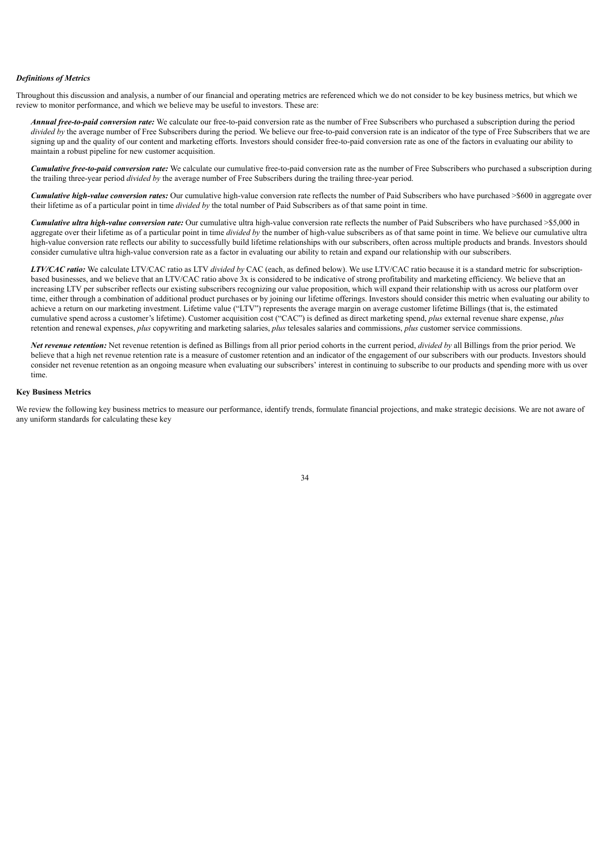### *Definitions of Metrics*

Throughout this discussion and analysis, a number of our financial and operating metrics are referenced which we do not consider to be key business metrics, but which we review to monitor performance, and which we believe may be useful to investors. These are:

*Annual free-to-paid conversion rate:* We calculate our free-to-paid conversion rate as the number of Free Subscribers who purchased a subscription during the period *divided* by the average number of Free Subscribers during the period. We believe our free-to-paid conversion rate is an indicator of the type of Free Subscribers that we are signing up and the quality of our content and marketing efforts. Investors should consider free-to-paid conversion rate as one of the factors in evaluating our ability to maintain a robust pipeline for new customer acquisition.

*Cumulative free-to-paid conversion rate:* We calculate our cumulative free-to-paid conversion rate as the number of Free Subscribers who purchased a subscription during the trailing three-year period *divided by* the average number of Free Subscribers during the trailing three-year period.

*Cumulative high-value conversion rates:* Our cumulative high-value conversion rate reflects the number of Paid Subscribers who have purchased >\$600 in aggregate over their lifetime as of a particular point in time *divided by* the total number of Paid Subscribers as of that same point in time.

*Cumulative ultra high-value conversion rate:* Our cumulative ultra high-value conversion rate reflects the number of Paid Subscribers who have purchased >\$5,000 in aggregate over their lifetime as of a particular point in time *divided by* the number of high-value subscribers as of that same point in time. We believe our cumulative ultra high-value conversion rate reflects our ability to successfully build lifetime relationships with our subscribers, often across multiple products and brands. Investors should consider cumulative ultra high-value conversion rate as a factor in evaluating our ability to retain and expand our relationship with our subscribers.

*LTV/CAC ratio:* We calculate LTV/CAC ratio as LTV *divided by* CAC (each, as defined below). We use LTV/CAC ratio because it is a standard metric for subscriptionbased businesses, and we believe that an LTV/CAC ratio above 3x is considered to be indicative of strong profitability and marketing efficiency. We believe that an increasing LTV per subscriber reflects our existing subscribers recognizing our value proposition, which will expand their relationship with us across our platform over time, either through a combination of additional product purchases or by joining our lifetime offerings. Investors should consider this metric when evaluating our ability to achieve a return on our marketing investment. Lifetime value ("LTV") represents the average margin on average customer lifetime Billings (that is, the estimated cumulative spend across a customer's lifetime). Customer acquisition cost ("CAC") is defined as direct marketing spend, *plus* external revenue share expense, *plus* retention and renewal expenses, *plus* copywriting and marketing salaries, *plus* telesales salaries and commissions, *plus* customer service commissions.

*Net revenue retention:* Net revenue retention is defined as Billings from all prior period cohorts in the current period, *divided by* all Billings from the prior period. We believe that a high net revenue retention rate is a measure of customer retention and an indicator of the engagement of our subscribers with our products. Investors should consider net revenue retention as an ongoing measure when evaluating our subscribers' interest in continuing to subscribe to our products and spending more with us over time.

### **Key Business Metrics**

We review the following key business metrics to measure our performance, identify trends, formulate financial projections, and make strategic decisions. We are not aware of any uniform standards for calculating these key

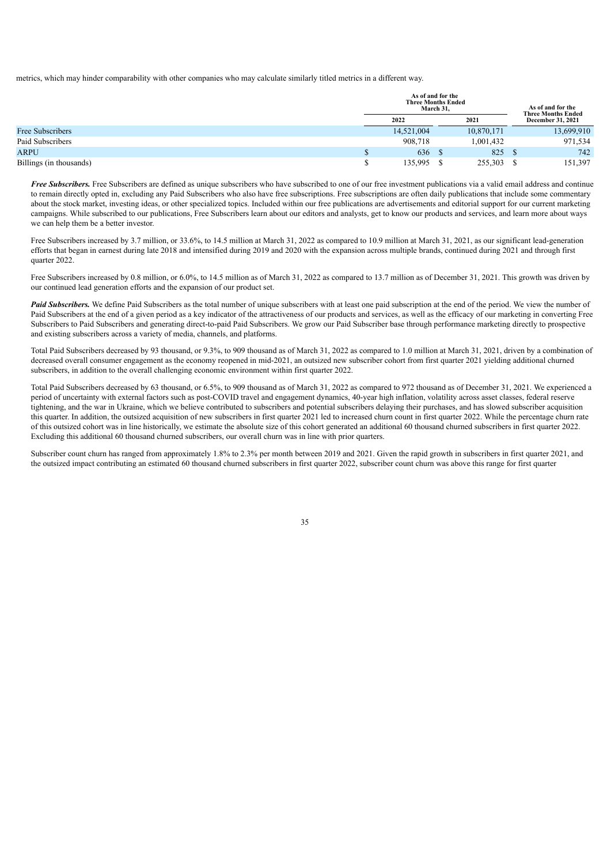metrics, which may hinder comparability with other companies who may calculate similarly titled metrics in a different way.

|                         | As of and for the<br><b>Three Months Ended</b><br>March 31, |  |            | As of and for the<br><b>Three Months Ended</b> |
|-------------------------|-------------------------------------------------------------|--|------------|------------------------------------------------|
|                         | 2022                                                        |  | 2021       | <b>December 31, 2021</b>                       |
| Free Subscribers        | 14,521,004                                                  |  | 10,870,171 | 13,699,910                                     |
| Paid Subscribers        | 908.718                                                     |  | 001,432    | 971,534                                        |
| <b>ARPU</b>             | 636                                                         |  | 825        | 742                                            |
| Billings (in thousands) | 135,995                                                     |  | 255,303    | 151,397                                        |

*Free Subscribers.* Free Subscribers are defined as unique subscribers who have subscribed to one of our free investment publications via a valid email address and continue to remain directly opted in, excluding any Paid Subscribers who also have free subscriptions. Free subscriptions are often daily publications that include some commentary about the stock market, investing ideas, or other specialized topics. Included within our free publications are advertisements and editorial support for our current marketing campaigns. While subscribed to our publications, Free Subscribers learn about our editors and analysts, get to know our products and services, and learn more about ways we can help them be a better investor.

Free Subscribers increased by 3.7 million, or 33.6%, to 14.5 million at March 31, 2022 as compared to 10.9 million at March 31, 2021, as our significant lead-generation efforts that began in earnest during late 2018 and intensified during 2019 and 2020 with the expansion across multiple brands, continued during 2021 and through first quarter 2022.

Free Subscribers increased by 0.8 million, or 6.0%, to 14.5 million as of March 31, 2022 as compared to 13.7 million as of December 31, 2021. This growth was driven by our continued lead generation efforts and the expansion of our product set.

Paid Subscribers. We define Paid Subscribers as the total number of unique subscribers with at least one paid subscription at the end of the period. We view the number of Paid Subscribers at the end of a given period as a key indicator of the attractiveness of our products and services, as well as the efficacy of our marketing in converting Free Subscribers to Paid Subscribers and generating direct-to-paid Paid Subscribers. We grow our Paid Subscriber base through performance marketing directly to prospective and existing subscribers across a variety of media, channels, and platforms.

Total Paid Subscribers decreased by 93 thousand, or 9.3%, to 909 thousand as of March 31, 2022 as compared to 1.0 million at March 31, 2021, driven by a combination of decreased overall consumer engagement as the economy reopened in mid-2021, an outsized new subscriber cohort from first quarter 2021 vielding additional churned subscribers, in addition to the overall challenging economic environment within first quarter 2022.

Total Paid Subscribers decreased by 63 thousand, or 6.5%, to 909 thousand as of March 31, 2022 as compared to 972 thousand as of December 31, 2021. We experienced a period of uncertainty with external factors such as post-COVID travel and engagement dynamics, 40-year high inflation, volatility across asset classes, federal reserve tightening, and the war in Ukraine, which we believe contributed to subscribers and potential subscribers delaying their purchases, and has slowed subscriber acquisition this quarter. In addition, the outsized acquisition of new subscribers in first quarter 2021 led to increased churn count in first quarter 2022. While the percentage churn rate of this outsized cohort was in line historically, we estimate the absolute size of this cohort generated an additional 60 thousand churned subscribers in first quarter 2022. Excluding this additional 60 thousand churned subscribers, our overall churn was in line with prior quarters.

Subscriber count churn has ranged from approximately 1.8% to 2.3% per month between 2019 and 2021. Given the rapid growth in subscribers in first quarter 2021, and the outsized impact contributing an estimated 60 thousand churned subscribers in first quarter 2022, subscriber count churn was above this range for first quarter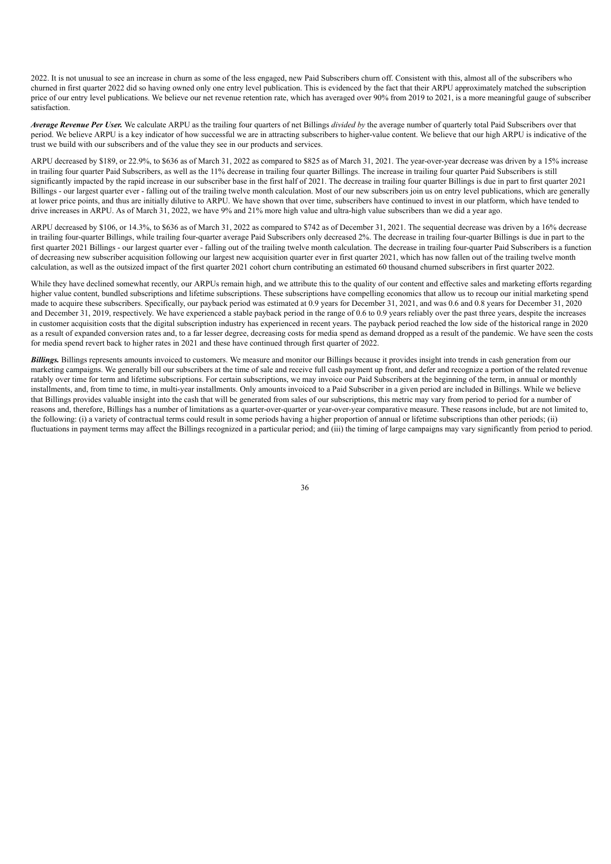2022. It is not unusual to see an increase in churn as some of the less engaged, new Paid Subscribers churn off. Consistent with this, almost all of the subscribers who churned in first quarter 2022 did so having owned only one entry level publication. This is evidenced by the fact that their ARPU approximately matched the subscription price of our entry level publications. We believe our net revenue retention rate, which has averaged over 90% from 2019 to 2021, is a more meaningful gauge of subscriber satisfaction.

*Average Revenue Per User.* We calculate ARPU as the trailing four quarters of net Billings *divided by* the average number of quarterly total Paid Subscribers over that period. We believe ARPU is a key indicator of how successful we are in attracting subscribers to higher-value content. We believe that our high ARPU is indicative of the trust we build with our subscribers and of the value they see in our products and services.

ARPU decreased by \$189, or 22.9%, to \$636 as of March 31, 2022 as compared to \$825 as of March 31, 2021. The year-over-year decrease was driven by a 15% increase in trailing four quarter Paid Subscribers, as well as the 11% decrease in trailing four quarter Billings. The increase in trailing four quarter Paid Subscribers is still significantly impacted by the rapid increase in our subscriber base in the first half of 2021. The decrease in trailing four quarter Billings is due in part to first quarter 2021 Billings - our largest quarter ever - falling out of the trailing twelve month calculation. Most of our new subscribers join us on entry level publications, which are generally at lower price points, and thus are initially dilutive to ARPU. We have shown that over time, subscribers have continued to invest in our platform, which have tended to drive increases in ARPU. As of March 31, 2022, we have 9% and 21% more high value and ultra-high value subscribers than we did a year ago.

ARPU decreased by \$106, or 14.3%, to \$636 as of March 31, 2022 as compared to \$742 as of December 31, 2021. The sequential decrease was driven by a 16% decrease in trailing four-quarter Billings, while trailing four-quarter average Paid Subscribers only decreased 2%. The decrease in trailing four-quarter Billings is due in part to the first quarter 2021 Billings - our largest quarter ever - falling out of the trailing twelve month calculation. The decrease in trailing four-quarter Paid Subscribers is a function of decreasing new subscriber acquisition following our largest new acquisition quarter ever in first quarter 2021, which has now fallen out of the trailing twelve month calculation, as well as the outsized impact of the first quarter 2021 cohort churn contributing an estimated 60 thousand churned subscribers in first quarter 2022.

While they have declined somewhat recently, our ARPUs remain high, and we attribute this to the quality of our content and effective sales and marketing efforts regarding higher value content, bundled subscriptions and lifetime subscriptions. These subscriptions have compelling economics that allow us to recoup our initial marketing spend made to acquire these subscribers. Specifically, our payback period was estimated at 0.9 years for December 31, 2021, and was 0.6 and 0.8 years for December 31, 2020 and December 31, 2019, respectively. We have experienced a stable payback period in the range of 0.6 to 0.9 years reliably over the past three years, despite the increases in customer acquisition costs that the digital subscription industry has experienced in recent years. The payback period reached the low side of the historical range in 2020 as a result of expanded conversion rates and, to a far lesser degree, decreasing costs for media spend as demand dropped as a result of the pandemic. We have seen the costs for media spend revert back to higher rates in 2021 and these have continued through first quarter of 2022.

*Billings.* Billings represents amounts invoiced to customers. We measure and monitor our Billings because it provides insight into trends in cash generation from our marketing campaigns. We generally bill our subscribers at the time of sale and receive full cash payment up front, and defer and recognize a portion of the related revenue ratably over time for term and lifetime subscriptions. For certain subscriptions, we may invoice our Paid Subscribers at the beginning of the term, in annual or monthly installments, and, from time to time, in multi-year installments. Only amounts invoiced to a Paid Subscriber in a given period are included in Billings. While we believe that Billings provides valuable insight into the cash that will be generated from sales of our subscriptions, this metric may vary from period to period for a number of reasons and, therefore, Billings has a number of limitations as a quarter-over-quarter or year-over-year comparative measure. These reasons include, but are not limited to, the following: (i) a variety of contractual terms could result in some periods having a higher proportion of annual or lifetime subscriptions than other periods; (ii) fluctuations in payment terms may affect the Billings recognized in a particular period; and (iii) the timing of large campaigns may vary significantly from period to period.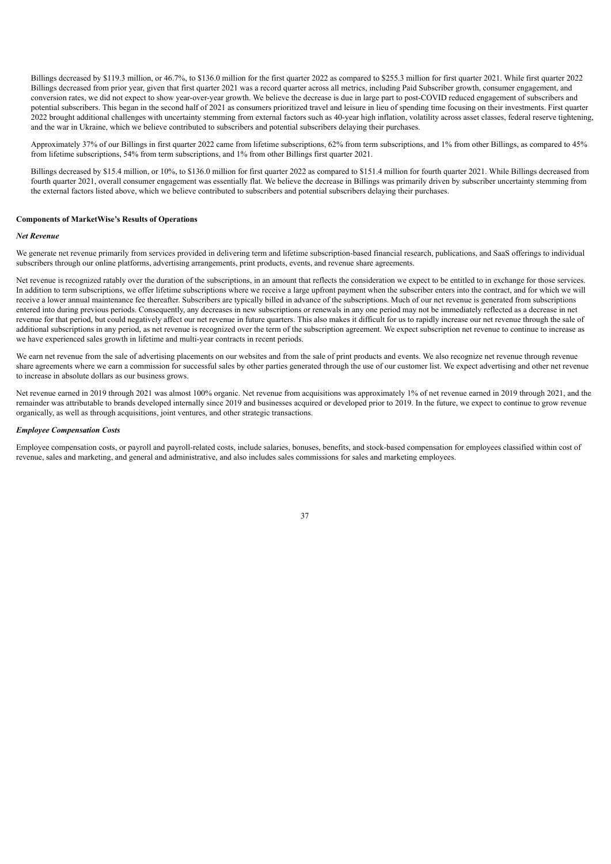Billings decreased by \$119.3 million, or 46.7%, to \$136.0 million for the first quarter 2022 as compared to \$255.3 million for first quarter 2021. While first quarter 2022 Billings decreased from prior year, given that first quarter 2021 was a record quarter across all metrics, including Paid Subscriber growth, consumer engagement, and conversion rates, we did not expect to show year-over-year growth. We believe the decrease is due in large part to post-COVID reduced engagement of subscribers and potential subscribers. This began in the second half of 2021 as consumers prioritized travel and leisure in lieu of spending time focusing on their investments. First quarter 2022 brought additional challenges with uncertainty stemming from external factors such as 40-year high inflation, volatility across asset classes, federal reserve tightening, and the war in Ukraine, which we believe contributed to subscribers and potential subscribers delaying their purchases.

Approximately 37% of our Billings in first quarter 2022 came from lifetime subscriptions, 62% from term subscriptions, and 1% from other Billings, as compared to 45% from lifetime subscriptions, 54% from term subscriptions, and 1% from other Billings first quarter 2021.

Billings decreased by \$15.4 million, or 10%, to \$136.0 million for first quarter 2022 as compared to \$151.4 million for fourth quarter 2021. While Billings decreased from fourth quarter 2021, overall consumer engagement was essentially flat. We believe the decrease in Billings was primarily driven by subscriber uncertainty stemming from the external factors listed above, which we believe contributed to subscribers and potential subscribers delaying their purchases.

# **Components of MarketWise's Results of Operations**

#### *Net Revenue*

We generate net revenue primarily from services provided in delivering term and lifetime subscription-based financial research, publications, and SaaS offerings to individual subscribers through our online platforms, advertising arrangements, print products, events, and revenue share agreements.

Net revenue is recognized ratably over the duration of the subscriptions, in an amount that reflects the consideration we expect to be entitled to in exchange for those services. In addition to term subscriptions, we offer lifetime subscriptions where we receive a large upfront payment when the subscriber enters into the contract, and for which we will receive a lower annual maintenance fee thereafter. Subscribers are typically billed in advance of the subscriptions. Much of our net revenue is generated from subscriptions entered into during previous periods. Consequently, any decreases in new subscriptions or renewals in any one period may not be immediately reflected as a decrease in net revenue for that period, but could negatively affect our net revenue in future quarters. This also makes it difficult for us to rapidly increase our net revenue through the sale of additional subscriptions in any period, as net revenue is recognized over the term of the subscription agreement. We expect subscription net revenue to continue to increase as we have experienced sales growth in lifetime and multi-year contracts in recent periods.

We earn net revenue from the sale of advertising placements on our websites and from the sale of print products and events. We also recognize net revenue through revenue share agreements where we earn a commission for successful sales by other parties generated through the use of our customer list. We expect advertising and other net revenue to increase in absolute dollars as our business grows.

Net revenue earned in 2019 through 2021 was almost 100% organic. Net revenue from acquisitions was approximately 1% of net revenue earned in 2019 through 2021, and the remainder was attributable to brands developed internally since 2019 and businesses acquired or developed prior to 2019. In the future, we expect to continue to grow revenue organically, as well as through acquisitions, joint ventures, and other strategic transactions.

#### *Employee Compensation Costs*

Employee compensation costs, or payroll and payroll-related costs, include salaries, bonuses, benefits, and stock-based compensation for employees classified within cost of revenue, sales and marketing, and general and administrative, and also includes sales commissions for sales and marketing employees.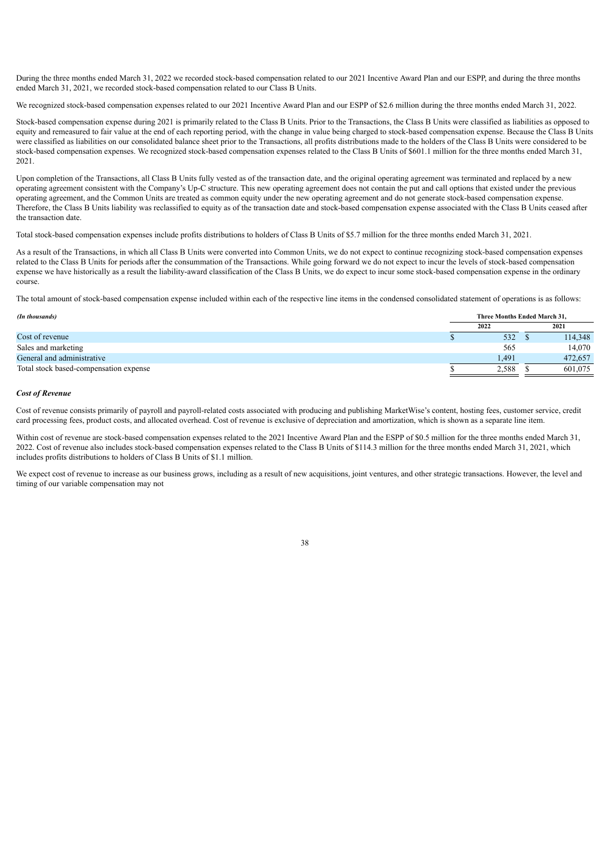During the three months ended March 31, 2022 we recorded stock-based compensation related to our 2021 Incentive Award Plan and our ESPP, and during the three months ended March 31, 2021, we recorded stock-based compensation related to our Class B Units.

We recognized stock-based compensation expenses related to our 2021 Incentive Award Plan and our ESPP of \$2.6 million during the three months ended March 31, 2022.

Stock-based compensation expense during 2021 is primarily related to the Class B Units. Prior to the Transactions, the Class B Units were classified as liabilities as opposed to equity and remeasured to fair value at the end of each reporting period, with the change in value being charged to stock-based compensation expense. Because the Class B Units were classified as liabilities on our consolidated balance sheet prior to the Transactions, all profits distributions made to the holders of the Class B Units were considered to be stock-based compensation expenses. We recognized stock-based compensation expenses related to the Class B Units of \$601.1 million for the three months ended March 31, 2021.

Upon completion of the Transactions, all Class B Units fully vested as of the transaction date, and the original operating agreement was terminated and replaced by a new operating agreement consistent with the Company's Up-C structure. This new operating agreement does not contain the put and call options that existed under the previous operating agreement, and the Common Units are treated as common equity under the new operating agreement and do not generate stock-based compensation expense. Therefore, the Class B Units liability was reclassified to equity as of the transaction date and stock-based compensation expense associated with the Class B Units ceased after the transaction date.

Total stock-based compensation expenses include profits distributions to holders of Class B Units of \$5.7 million for the three months ended March 31, 2021.

As a result of the Transactions, in which all Class B Units were converted into Common Units, we do not expect to continue recognizing stock-based compensation expenses related to the Class B Units for periods after the consummation of the Transactions. While going forward we do not expect to incur the levels of stock-based compensation expense we have historically as a result the liability-award classification of the Class B Units, we do expect to incur some stock-based compensation expense in the ordinary course.

The total amount of stock-based compensation expense included within each of the respective line items in the condensed consolidated statement of operations is as follows:

| (In thousands)                         | Three Months Ended March 31. |       |  |         |
|----------------------------------------|------------------------------|-------|--|---------|
|                                        |                              | 2022  |  | 2021    |
| Cost of revenue                        |                              | 532   |  | 114,348 |
| Sales and marketing                    |                              | 565   |  | 14,070  |
| General and administrative             |                              | 1.491 |  | 472,657 |
| Total stock based-compensation expense |                              | 2.588 |  | 601,075 |

#### *Cost of Revenue*

Cost of revenue consists primarily of payroll and payroll-related costs associated with producing and publishing MarketWise's content, hosting fees, customer service, credit card processing fees, product costs, and allocated overhead. Cost of revenue is exclusive of depreciation and amortization, which is shown as a separate line item.

Within cost of revenue are stock-based compensation expenses related to the 2021 Incentive Award Plan and the ESPP of \$0.5 million for the three months ended March 31, 2022. Cost of revenue also includes stock-based compensation expenses related to the Class B Units of \$114.3 million for the three months ended March 31, 2021, which includes profits distributions to holders of Class B Units of \$1.1 million.

We expect cost of revenue to increase as our business grows, including as a result of new acquisitions, joint ventures, and other strategic transactions. However, the level and timing of our variable compensation may not

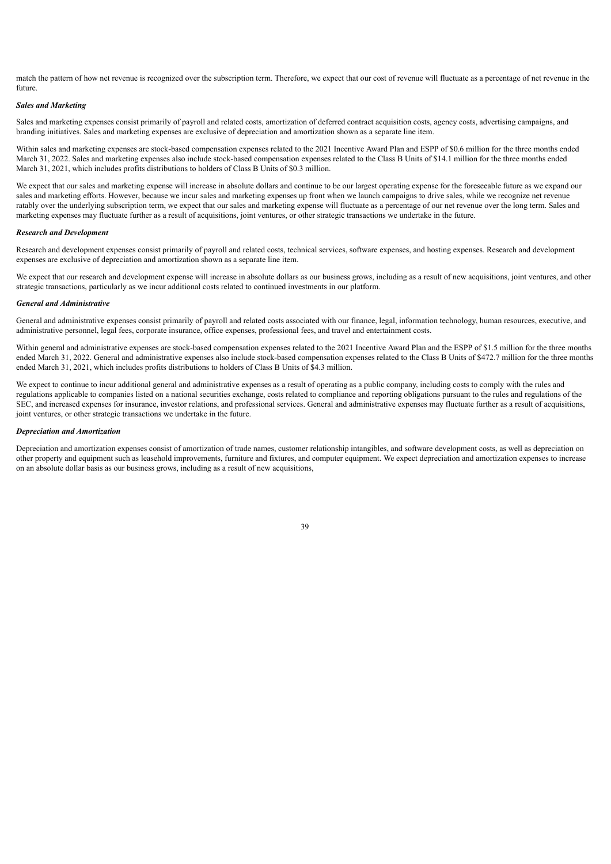match the pattern of how net revenue is recognized over the subscription term. Therefore, we expect that our cost of revenue will fluctuate as a percentage of net revenue in the future.

# *Sales and Marketing*

Sales and marketing expenses consist primarily of payroll and related costs, amortization of deferred contract acquisition costs, agency costs, advertising campaigns, and branding initiatives. Sales and marketing expenses are exclusive of depreciation and amortization shown as a separate line item.

Within sales and marketing expenses are stock-based compensation expenses related to the 2021 Incentive Award Plan and ESPP of \$0.6 million for the three months ended March 31, 2022. Sales and marketing expenses also include stock-based compensation expenses related to the Class B Units of \$14.1 million for the three months ended March 31, 2021, which includes profits distributions to holders of Class B Units of \$0.3 million.

We expect that our sales and marketing expense will increase in absolute dollars and continue to be our largest operating expense for the foreseeable future as we expand our sales and marketing efforts. However, because we incur sales and marketing expenses up front when we launch campaigns to drive sales, while we recognize net revenue ratably over the underlying subscription term, we expect that our sales and marketing expense will fluctuate as a percentage of our net revenue over the long term. Sales and marketing expenses may fluctuate further as a result of acquisitions, joint ventures, or other strategic transactions we undertake in the future.

#### *Research and Development*

Research and development expenses consist primarily of payroll and related costs, technical services, software expenses, and hosting expenses. Research and development expenses are exclusive of depreciation and amortization shown as a separate line item.

We expect that our research and development expense will increase in absolute dollars as our business grows, including as a result of new acquisitions, joint ventures, and other strategic transactions, particularly as we incur additional costs related to continued investments in our platform.

#### *General and Administrative*

General and administrative expenses consist primarily of payroll and related costs associated with our finance, legal, information technology, human resources, executive, and administrative personnel, legal fees, corporate insurance, office expenses, professional fees, and travel and entertainment costs.

Within general and administrative expenses are stock-based compensation expenses related to the 2021 Incentive Award Plan and the ESPP of \$1.5 million for the three months ended March 31, 2022. General and administrative expenses also include stock-based compensation expenses related to the Class B Units of \$472.7 million for the three months ended March 31, 2021, which includes profits distributions to holders of Class B Units of \$4.3 million.

We expect to continue to incur additional general and administrative expenses as a result of operating as a public company, including costs to comply with the rules and regulations applicable to companies listed on a national securities exchange, costs related to compliance and reporting obligations pursuant to the rules and regulations of the SEC, and increased expenses for insurance, investor relations, and professional services. General and administrative expenses may fluctuate further as a result of acquisitions, joint ventures, or other strategic transactions we undertake in the future.

### *Depreciation and Amortization*

Depreciation and amortization expenses consist of amortization of trade names, customer relationship intangibles, and software development costs, as well as depreciation on other property and equipment such as leasehold improvements, furniture and fixtures, and computer equipment. We expect depreciation and amortization expenses to increase on an absolute dollar basis as our business grows, including as a result of new acquisitions,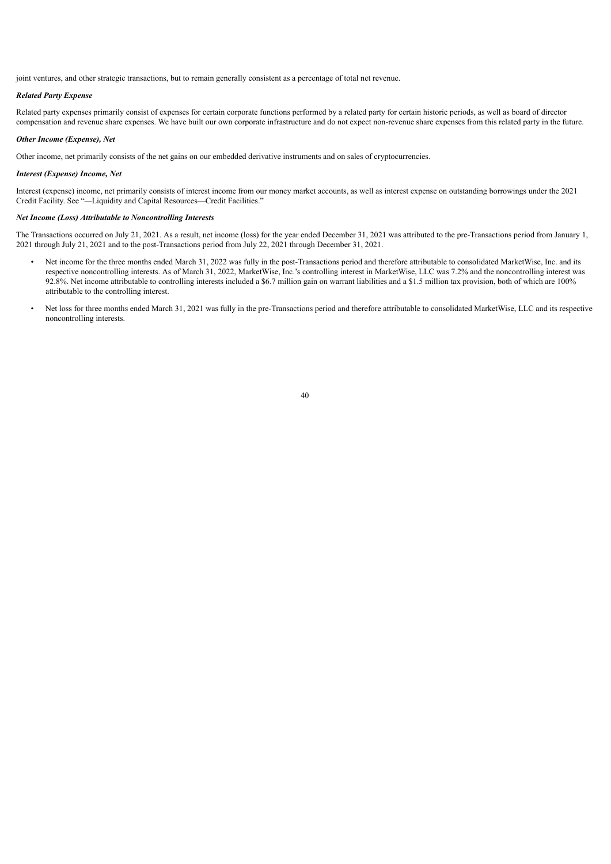joint ventures, and other strategic transactions, but to remain generally consistent as a percentage of total net revenue.

# *Related Party Expense*

Related party expenses primarily consist of expenses for certain corporate functions performed by a related party for certain historic periods, as well as board of director compensation and revenue share expenses. We have built our own corporate infrastructure and do not expect non-revenue share expenses from this related party in the future.

### *Other Income (Expense), Net*

Other income, net primarily consists of the net gains on our embedded derivative instruments and on sales of cryptocurrencies.

#### *Interest (Expense) Income, Net*

Interest (expense) income, net primarily consists of interest income from our money market accounts, as well as interest expense on outstanding borrowings under the 2021 Credit Facility. See "*—*Liquidity and Capital Resources—Credit Facilities."

### *Net Income (Loss) Attributable to Noncontrolling Interests*

The Transactions occurred on July 21, 2021. As a result, net income (loss) for the year ended December 31, 2021 was attributed to the pre-Transactions period from January 1, 2021 through July 21, 2021 and to the post-Transactions period from July 22, 2021 through December 31, 2021.

- Net income for the three months ended March 31, 2022 was fully in the post-Transactions period and therefore attributable to consolidated MarketWise, Inc. and its respective noncontrolling interests. As of March 31, 2022, MarketWise, Inc.'s controlling interest in MarketWise, LLC was 7.2% and the noncontrolling interest was 92.8%. Net income attributable to controlling interests included a \$6.7 million gain on warrant liabilities and a \$1.5 million tax provision, both of which are 100% attributable to the controlling interest.
- Net loss for three months ended March 31, 2021 was fully in the pre-Transactions period and therefore attributable to consolidated MarketWise, LLC and its respective noncontrolling interests.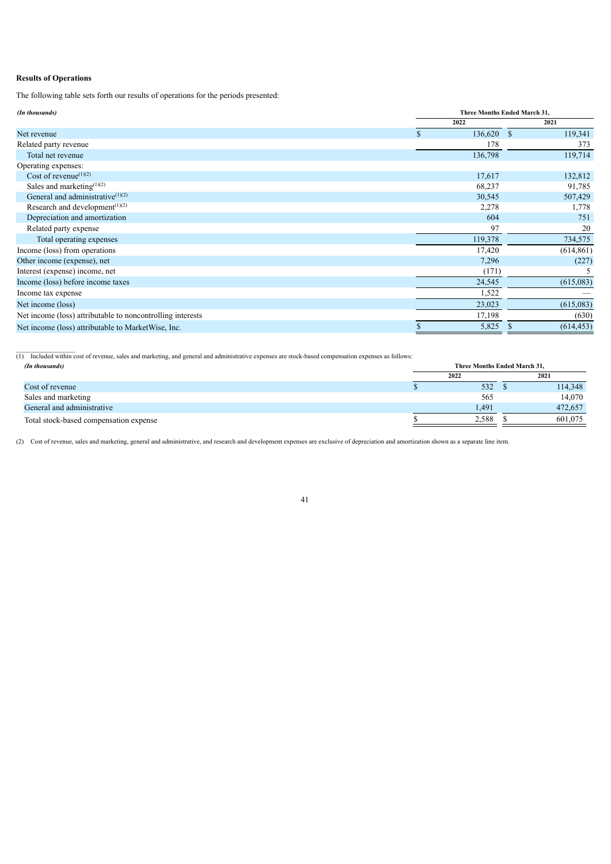# **Results of Operations**

The following table sets forth our results of operations for the periods presented:

| (In thousands)                                             |      | <b>Three Months Ended March 31.</b> |              |            |  |  |  |
|------------------------------------------------------------|------|-------------------------------------|--------------|------------|--|--|--|
|                                                            | 2022 |                                     |              | 2021       |  |  |  |
| Net revenue                                                | \$   | $136,620$ \$                        |              | 119,341    |  |  |  |
| Related party revenue                                      |      | 178                                 |              | 373        |  |  |  |
| Total net revenue                                          |      | 136,798                             |              | 119,714    |  |  |  |
| Operating expenses:                                        |      |                                     |              |            |  |  |  |
| Cost of revenue <sup><math>(1)(2)</math></sup>             |      | 17,617                              |              | 132,812    |  |  |  |
| Sales and marketing $(1)(2)$                               |      | 68,237                              |              | 91,785     |  |  |  |
| General and administrative $(1)(2)$                        |      | 30,545                              |              | 507,429    |  |  |  |
| Research and development <sup><math>(1)(2)</math></sup>    |      | 2,278                               |              | 1,778      |  |  |  |
| Depreciation and amortization                              |      | 604                                 |              | 751        |  |  |  |
| Related party expense                                      |      | 97                                  |              | 20         |  |  |  |
| Total operating expenses                                   |      | 119,378                             |              | 734,575    |  |  |  |
| Income (loss) from operations                              |      | 17,420                              |              | (614, 861) |  |  |  |
| Other income (expense), net                                |      | 7,296                               |              | (227)      |  |  |  |
| Interest (expense) income, net                             |      | (171)                               |              |            |  |  |  |
| Income (loss) before income taxes                          |      | 24,545                              |              | (615,083)  |  |  |  |
| Income tax expense                                         |      | 1,522                               |              |            |  |  |  |
| Net income (loss)                                          |      | 23,023                              |              | (615,083)  |  |  |  |
| Net income (loss) attributable to noncontrolling interests |      | 17,198                              |              | (630)      |  |  |  |
| Net income (loss) attributable to MarketWise, Inc.         |      | 5,825                               | <sup>S</sup> | (614, 453) |  |  |  |

 $\overline{(1)}$  Included within cost of revenue, sales and marketing, and general and administrative expenses are stock-based compensation expenses as follows:

| (In thousands)                         | Three Months Ended March 31, |       |  |         |  |  |  |
|----------------------------------------|------------------------------|-------|--|---------|--|--|--|
|                                        |                              | 2022  |  | 2021    |  |  |  |
| Cost of revenue                        |                              | 532   |  | 114,348 |  |  |  |
| Sales and marketing                    |                              | 565   |  | 14,070  |  |  |  |
| General and administrative             |                              | 1.491 |  | 472,657 |  |  |  |
| Total stock-based compensation expense |                              | 2.588 |  | 601.075 |  |  |  |

(2) Cost of revenue, sales and marketing, general and administrative, and research and development expenses are exclusive of depreciation and amortization shown as a separate line item.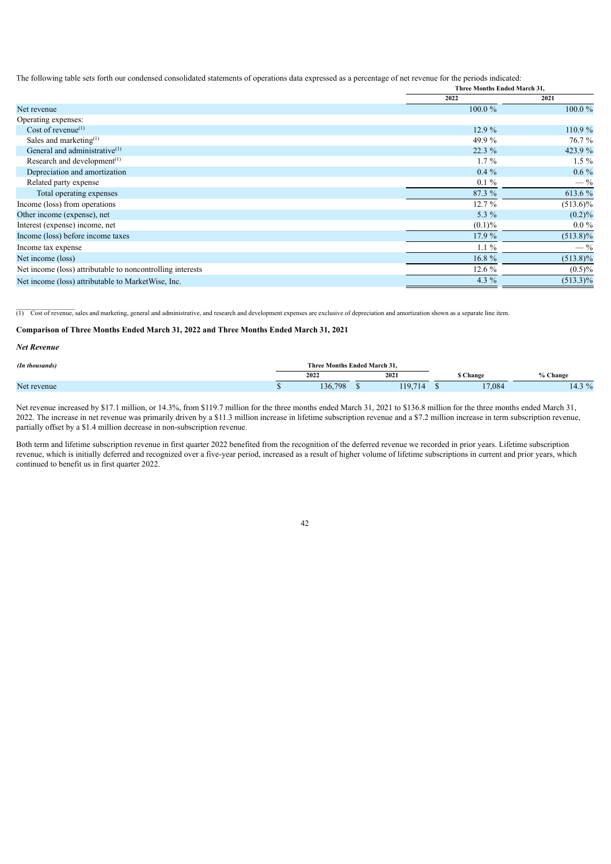The following table sets forth our condensed consolidated statements of operations data expressed as a percentage of net revenue for the periods indicated:

|                                                            | Three Months Ended March 31, |             |
|------------------------------------------------------------|------------------------------|-------------|
|                                                            | 2022                         | 2021        |
| Net revenue                                                | $100.0 \%$                   | 100.0%      |
| Operating expenses:                                        |                              |             |
| Cost of revenue <sup>(1)</sup>                             | 12.9%                        | 110.9 %     |
| Sales and marketing $(1)$                                  | 49.9 %                       | 76.7 %      |
| General and administrative $(1)$                           | 22.3%                        | 423.9%      |
| Research and development <sup><math>(1)</math></sup>       | $1.7\%$                      | $1.5 \%$    |
| Depreciation and amortization                              | $0.4\%$                      | $0.6\%$     |
| Related party expense                                      | $0.1 \%$                     | $-$ %       |
| Total operating expenses                                   | 87.3 %                       | 613.6 %     |
| Income (loss) from operations                              | 12.7%                        | $(513.6)\%$ |
| Other income (expense), net                                | 5.3 $%$                      | $(0.2)\%$   |
| Interest (expense) income, net                             | $(0.1)\%$                    | $0.0\%$     |
| Income (loss) before income taxes                          | 17.9%                        | $(513.8)\%$ |
| Income tax expense                                         | $1.1\%$                      | $-$ %       |
| Net income (loss)                                          | $16.8 \%$                    | $(513.8)\%$ |
| Net income (loss) attributable to noncontrolling interests | $12.6\%$                     | $(0.5)\%$   |
| Net income (loss) attributable to MarketWise, Inc.         | 4.3 $%$                      | $(513.3)\%$ |

\_\_\_\_\_\_\_\_\_\_\_\_\_\_\_\_\_\_ (1) Cost of revenue, sales and marketing, general and administrative, and research and development expenses are exclusive of depreciation and amortization shown as a separate line item.

# **Comparison of Three Months Ended March 31, 2022 and Three Months Ended March 31, 2021**

### *Net Revenue*

| (In thousands) | <b>Months Ended March 31.</b><br>Three: |         |  |                  |  |          |                        |
|----------------|-----------------------------------------|---------|--|------------------|--|----------|------------------------|
|                |                                         | 2022    |  | 2021             |  | s Change | Change                 |
| Net revenue    |                                         | 136,798 |  | 10.71<br>/14<br> |  | 17,084   | 20/<br>- 20<br>$1 - 1$ |

Net revenue increased by \$17.1 million, or 14.3%, from \$119.7 million for the three months ended March 31, 2021 to \$136.8 million for the three months ended March 31, 2022. The increase in net revenue was primarily driven by a \$11.3 million increase in lifetime subscription revenue and a \$7.2 million increase in term subscription revenue, partially offset by a \$1.4 million decrease in non-subscription revenue.

Both term and lifetime subscription revenue in first quarter 2022 benefited from the recognition of the deferred revenue we recorded in prior years. Lifetime subscription revenue, which is initially deferred and recognized over a five-year period, increased as a result of higher volume of lifetime subscriptions in current and prior years, which continued to benefit us in first quarter 2022.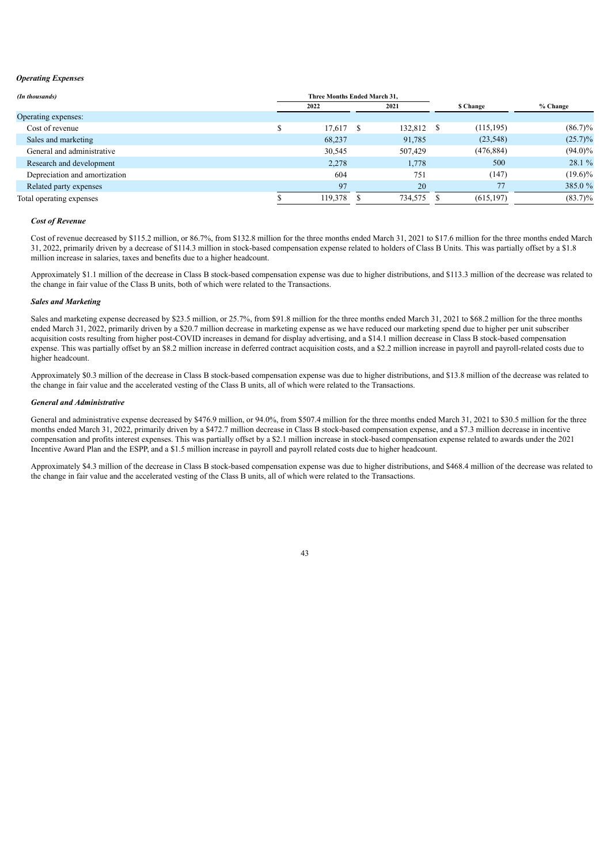### *Operating Expenses*

| (In thousands)                | Three Months Ended March 31. |             |  |         |   |            |            |
|-------------------------------|------------------------------|-------------|--|---------|---|------------|------------|
|                               |                              | 2022        |  | 2021    |   | \$ Change  | % Change   |
| Operating expenses:           |                              |             |  |         |   |            |            |
| Cost of revenue               |                              | $17,617$ \$ |  | 132,812 | S | (115, 195) | $(86.7)\%$ |
| Sales and marketing           |                              | 68,237      |  | 91,785  |   | (23, 548)  | $(25.7)\%$ |
| General and administrative    |                              | 30,545      |  | 507,429 |   | (476, 884) | $(94.0)\%$ |
| Research and development      |                              | 2,278       |  | 1,778   |   | 500        | 28.1%      |
| Depreciation and amortization |                              | 604         |  | 751     |   | (147)      | $(19.6)\%$ |
| Related party expenses        |                              | 97          |  | 20      |   | 77         | 385.0%     |
| Total operating expenses      |                              | 119,378     |  | 734,575 |   | (615, 197) | $(83.7)\%$ |

### *Cost of Revenue*

Cost of revenue decreased by \$115.2 million, or 86.7%, from \$132.8 million for the three months ended March 31, 2021 to \$17.6 million for the three months ended March 31, 2022, primarily driven by a decrease of \$114.3 million in stock-based compensation expense related to holders of Class B Units. This was partially offset by a \$1.8 million increase in salaries, taxes and benefits due to a higher headcount.

Approximately \$1.1 million of the decrease in Class B stock-based compensation expense was due to higher distributions, and \$113.3 million of the decrease was related to the change in fair value of the Class B units, both of which were related to the Transactions.

### *Sales and Marketing*

Sales and marketing expense decreased by \$23.5 million, or 25.7%, from \$91.8 million for the three months ended March 31, 2021 to \$68.2 million for the three months ended March 31, 2022, primarily driven by a \$20.7 million decrease in marketing expense as we have reduced our marketing spend due to higher per unit subscriber acquisition costs resulting from higher post-COVID increases in demand for display advertising, and a \$14.1 million decrease in Class B stock-based compensation expense. This was partially offset by an \$8.2 million increase in deferred contract acquisition costs, and a \$2.2 million increase in payroll and payroll-related costs due to higher headcount.

Approximately \$0.3 million of the decrease in Class B stock-based compensation expense was due to higher distributions, and \$13.8 million of the decrease was related to the change in fair value and the accelerated vesting of the Class B units, all of which were related to the Transactions.

#### *General and Administrative*

General and administrative expense decreased by \$476.9 million, or 94.0%, from \$507.4 million for the three months ended March 31, 2021 to \$30.5 million for the three months ended March 31, 2022, primarily driven by a \$472.7 million decrease in Class B stock-based compensation expense, and a \$7.3 million decrease in incentive compensation and profits interest expenses. This was partially offset by a \$2.1 million increase in stock-based compensation expense related to awards under the 2021 Incentive Award Plan and the ESPP, and a \$1.5 million increase in payroll and payroll related costs due to higher headcount.

Approximately \$4.3 million of the decrease in Class B stock-based compensation expense was due to higher distributions, and \$468.4 million of the decrease was related to the change in fair value and the accelerated vesting of the Class B units, all of which were related to the Transactions.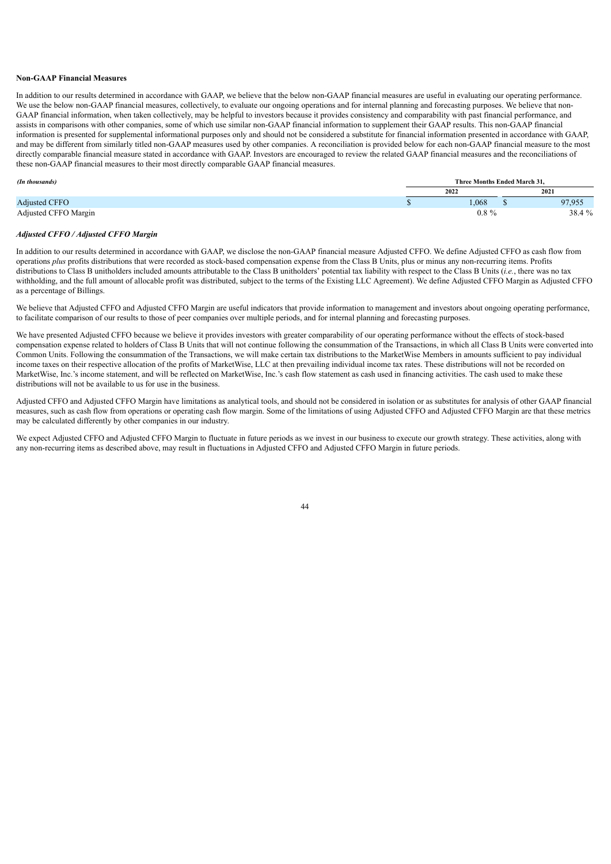### **Non-GAAP Financial Measures**

In addition to our results determined in accordance with GAAP, we believe that the below non-GAAP financial measures are useful in evaluating our operating performance. We use the below non-GAAP financial measures, collectively, to evaluate our ongoing operations and for internal planning and forecasting purposes. We believe that non-GAAP financial information, when taken collectively, may be helpful to investors because it provides consistency and comparability with past financial performance, and assists in comparisons with other companies, some of which use similar non-GAAP financial information to supplement their GAAP results. This non-GAAP financial information is presented for supplemental informational purposes only and should not be considered a substitute for financial information presented in accordance with GAAP, and may be different from similarly titled non-GAAP measures used by other companies. A reconciliation is provided below for each non-GAAP financial measure to the most directly comparable financial measure stated in accordance with GAAP. Investors are encouraged to review the related GAAP financial measures and the reconciliations of these non-GAAP financial measures to their most directly comparable GAAP financial measures.

| (In thousands)       |  | Three Months Ended March 31. |         |                                         |        |  |  |  |  |  |
|----------------------|--|------------------------------|---------|-----------------------------------------|--------|--|--|--|--|--|
|                      |  | 2022                         |         | 2021<br>the contract of the contract of |        |  |  |  |  |  |
| <b>Adjusted CFFO</b> |  |                              | .068    |                                         | 97,955 |  |  |  |  |  |
| Adjusted CFFO Margin |  |                              | $0.8\%$ |                                         | 38.4 % |  |  |  |  |  |

#### *Adjusted CFFO / Adjusted CFFO Margin*

In addition to our results determined in accordance with GAAP, we disclose the non-GAAP financial measure Adjusted CFFO. We define Adjusted CFFO as cash flow from operations *plus* profits distributions that were recorded as stock-based compensation expense from the Class B Units, plus or minus any non-recurring items. Profits distributions to Class B unitholders included amounts attributable to the Class B unitholders' potential tax liability with respect to the Class B Units (*i.e.*, there was no tax withholding, and the full amount of allocable profit was distributed, subject to the terms of the Existing LLC Agreement). We define Adjusted CFFO Margin as Adjusted CFFO as a percentage of Billings.

We believe that Adjusted CFFO and Adjusted CFFO Margin are useful indicators that provide information to management and investors about ongoing operating performance, to facilitate comparison of our results to those of peer companies over multiple periods, and for internal planning and forecasting purposes.

We have presented Adjusted CFFO because we believe it provides investors with greater comparability of our operating performance without the effects of stock-based compensation expense related to holders of Class B Units that will not continue following the consummation of the Transactions, in which all Class B Units were converted into Common Units. Following the consummation of the Transactions, we will make certain tax distributions to the MarketWise Members in amounts sufficient to pay individual income taxes on their respective allocation of the profits of MarketWise, LLC at then prevailing individual income tax rates. These distributions will not be recorded on MarketWise, Inc.'s income statement, and will be reflected on MarketWise, Inc.'s cash flow statement as cash used in financing activities. The cash used to make these distributions will not be available to us for use in the business.

Adjusted CFFO and Adjusted CFFO Margin have limitations as analytical tools, and should not be considered in isolation or as substitutes for analysis of other GAAP financial measures, such as cash flow from operations or operating cash flow margin. Some of the limitations of using Adjusted CFFO and Adjusted CFFO Margin are that these metrics may be calculated differently by other companies in our industry.

We expect Adjusted CFFO and Adjusted CFFO Margin to fluctuate in future periods as we invest in our business to execute our growth strategy. These activities, along with any non-recurring items as described above, may result in fluctuations in Adjusted CFFO and Adjusted CFFO Margin in future periods.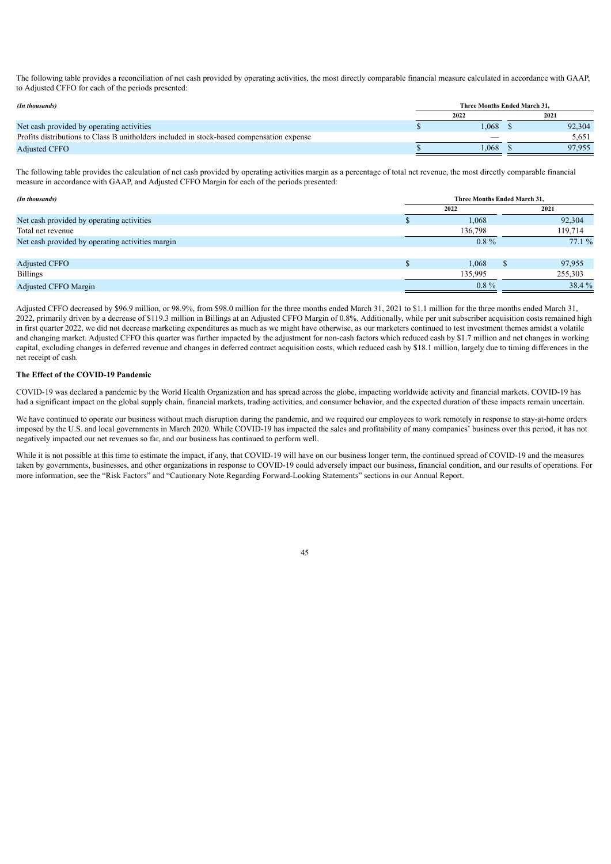The following table provides a reconciliation of net cash provided by operating activities, the most directly comparable financial measure calculated in accordance with GAAP, to Adjusted CFFO for each of the periods presented:

| (In thousands)                                                                            | Three Months Ended March 31. |      |  |        |
|-------------------------------------------------------------------------------------------|------------------------------|------|--|--------|
|                                                                                           |                              | 2022 |  | 2021   |
| Net cash provided by operating activities                                                 |                              | .068 |  | 92.304 |
| Profits distributions to Class B unitholders included in stock-based compensation expense |                              |      |  | 5.651  |
| <b>Adjusted CFFO</b>                                                                      |                              | .068 |  | 97.955 |

The following table provides the calculation of net cash provided by operating activities margin as a percentage of total net revenue, the most directly comparable financial measure in accordance with GAAP, and Adjusted CFFO Margin for each of the periods presented:

| (In thousands)                                   | Three Months Ended March 31, |          |  |         |
|--------------------------------------------------|------------------------------|----------|--|---------|
|                                                  |                              | 2022     |  | 2021    |
| Net cash provided by operating activities        |                              | 1,068    |  | 92,304  |
| Total net revenue                                |                              | 136,798  |  | 119,714 |
| Net cash provided by operating activities margin |                              | $0.8 \%$ |  | 77.1%   |
| <b>Adjusted CFFO</b>                             |                              | 1,068    |  | 97,955  |
| <b>Billings</b>                                  |                              | 135,995  |  | 255,303 |
| <b>Adjusted CFFO Margin</b>                      |                              | $0.8\%$  |  | 38.4%   |

Adjusted CFFO decreased by \$96.9 million, or 98.9%, from \$98.0 million for the three months ended March 31, 2021 to \$1.1 million for the three months ended March 31, 2022, primarily driven by a decrease of \$119.3 million in Billings at an Adjusted CFFO Margin of 0.8%. Additionally, while per unit subscriber acquisition costs remained high in first quarter 2022, we did not decrease marketing expenditures as much as we might have otherwise, as our marketers continued to test investment themes amidst a volatile and changing market. Adjusted CFFO this quarter was further impacted by the adjustment for non-cash factors which reduced cash by \$1.7 million and net changes in working capital, excluding changes in deferred revenue and changes in deferred contract acquisition costs, which reduced cash by \$18.1 million, largely due to timing differences in the net receipt of cash.

# **The Effect of the COVID-19 Pandemic**

COVID-19 was declared a pandemic by the World Health Organization and has spread across the globe, impacting worldwide activity and financial markets. COVID-19 has had a significant impact on the global supply chain, financial markets, trading activities, and consumer behavior, and the expected duration of these impacts remain uncertain.

We have continued to operate our business without much disruption during the pandemic, and we required our employees to work remotely in response to stay-at-home orders imposed by the U.S. and local governments in March 2020. While COVID-19 has impacted the sales and profitability of many companies' business over this period, it has not negatively impacted our net revenues so far, and our business has continued to perform well.

While it is not possible at this time to estimate the impact, if any, that COVID-19 will have on our business longer term, the continued spread of COVID-19 and the measures taken by governments, businesses, and other organizations in response to COVID-19 could adversely impact our business, financial condition, and our results of operations. For more information, see the "Risk Factors" and "Cautionary Note Regarding Forward-Looking Statements" sections in our Annual Report.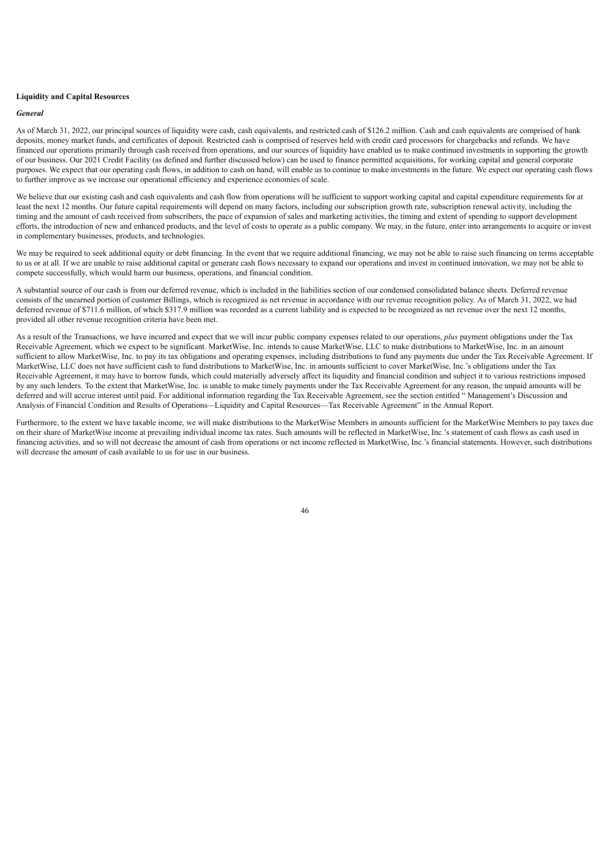### **Liquidity and Capital Resources**

#### *General*

As of March 31, 2022, our principal sources of liquidity were cash, cash equivalents, and restricted cash of \$126.2 million. Cash and cash equivalents are comprised of bank deposits, money market funds, and certificates of deposit. Restricted cash is comprised of reserves held with credit card processors for chargebacks and refunds. We have financed our operations primarily through cash received from operations, and our sources of liquidity have enabled us to make continued investments in supporting the growth of our business. Our 2021 Credit Facility (as defined and further discussed below) can be used to finance permitted acquisitions, for working capital and general corporate purposes. We expect that our operating cash flows, in addition to cash on hand, will enable us to continue to make investments in the future. We expect our operating cash flows to further improve as we increase our operational efficiency and experience economies of scale.

We believe that our existing cash and cash equivalents and cash flow from operations will be sufficient to support working capital and capital expenditure requirements for at least the next 12 months. Our future capital requirements will depend on many factors, including our subscription growth rate, subscription renewal activity, including the timing and the amount of cash received from subscribers, the pace of expansion of sales and marketing activities, the timing and extent of spending to support development efforts, the introduction of new and enhanced products, and the level of costs to operate as a public company. We may, in the future, enter into arrangements to acquire or invest in complementary businesses, products, and technologies.

We may be required to seek additional equity or debt financing. In the event that we require additional financing, we may not be able to raise such financing on terms acceptable to us or at all. If we are unable to raise additional capital or generate cash flows necessary to expand our operations and invest in continued innovation, we may not be able to compete successfully, which would harm our business, operations, and financial condition.

A substantial source of our cash is from our deferred revenue, which is included in the liabilities section of our condensed consolidated balance sheets. Deferred revenue consists of the unearned portion of customer Billings, which is recognized as net revenue in accordance with our revenue recognition policy. As of March 31, 2022, we had deferred revenue of \$711.6 million, of which \$317.9 million was recorded as a current liability and is expected to be recognized as net revenue over the next 12 months, provided all other revenue recognition criteria have been met.

As a result of the Transactions, we have incurred and expect that we will incur public company expenses related to our operations, *plus* payment obligations under the Tax Receivable Agreement, which we expect to be significant. MarketWise, Inc. intends to cause MarketWise, LLC to make distributions to MarketWise, Inc. in an amount sufficient to allow MarketWise, Inc. to pay its tax obligations and operating expenses, including distributions to fund any payments due under the Tax Receivable Agreement. If MarketWise, LLC does not have sufficient cash to fund distributions to MarketWise, Inc. in amounts sufficient to cover MarketWise, Inc.'s obligations under the Tax Receivable Agreement, it may have to borrow funds, which could materially adversely affect its liquidity and financial condition and subject it to various restrictions imposed by any such lenders. To the extent that MarketWise, Inc. is unable to make timely payments under the Tax Receivable Agreement for any reason, the unpaid amounts will be deferred and will accrue interest until paid. For additional information regarding the Tax Receivable Agreement, see the section entitled "Management's Discussion and Analysis of Financial Condition and Results of Operations*—*Liquidity and Capital Resources—Tax Receivable Agreement" in the Annual Report.

Furthermore, to the extent we have taxable income, we will make distributions to the MarketWise Members in amounts sufficient for the MarketWise Members to pay taxes due on their share of MarketWise income at prevailing individual income tax rates. Such amounts will be reflected in MarketWise, Inc.'s statement of cash flows as cash used in financing activities, and so will not decrease the amount of cash from operations or net income reflected in MarketWise, Inc.'s financial statements. However, such distributions will decrease the amount of cash available to us for use in our business.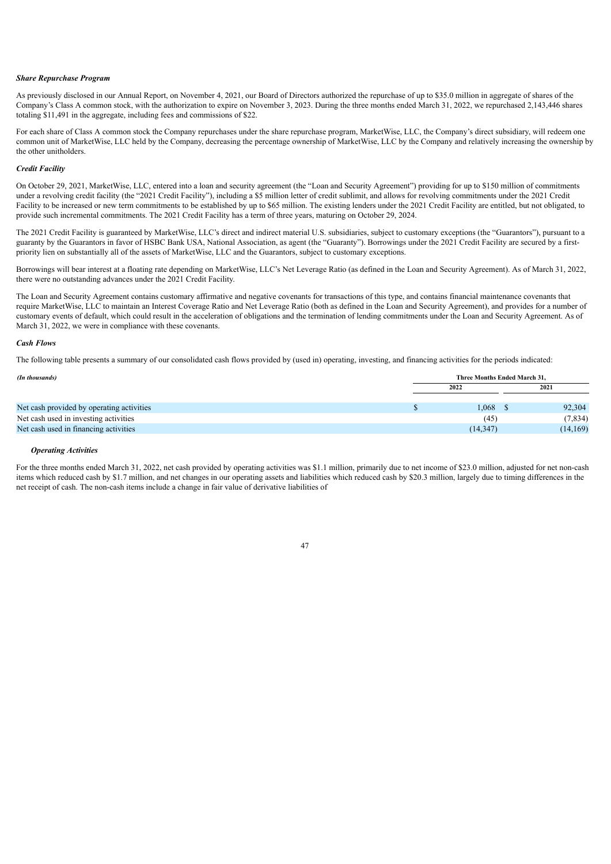### *Share Repurchase Program*

As previously disclosed in our Annual Report, on November 4, 2021, our Board of Directors authorized the repurchase of up to \$35.0 million in aggregate of shares of the Company's Class A common stock, with the authorization to expire on November 3, 2023. During the three months ended March 31, 2022, we repurchased 2,143,446 shares totaling \$11,491 in the aggregate, including fees and commissions of \$22.

For each share of Class A common stock the Company repurchases under the share repurchase program, MarketWise, LLC, the Company's direct subsidiary, will redeem one common unit of MarketWise, LLC held by the Company, decreasing the percentage ownership of MarketWise, LLC by the Company and relatively increasing the ownership by the other unitholders.

#### *Credit Facility*

On October 29, 2021, MarketWise, LLC, entered into a loan and security agreement (the "Loan and Security Agreement") providing for up to \$150 million of commitments under a revolving credit facility (the "2021 Credit Facility"), including a \$5 million letter of credit sublimit, and allows for revolving commitments under the 2021 Credit Facility to be increased or new term commitments to be established by up to \$65 million. The existing lenders under the 2021 Credit Facility are entitled, but not obligated, to provide such incremental commitments. The 2021 Credit Facility has a term of three years, maturing on October 29, 2024.

The 2021 Credit Facility is guaranteed by MarketWise, LLC's direct and indirect material U.S. subsidiaries, subject to customary exceptions (the "Guarantors"), pursuant to a guaranty by the Guarantors in favor of HSBC Bank USA, National Association, as agent (the "Guaranty"). Borrowings under the 2021 Credit Facility are secured by a firstpriority lien on substantially all of the assets of MarketWise, LLC and the Guarantors, subject to customary exceptions.

Borrowings will bear interest at a floating rate depending on MarketWise, LLC's Net Leverage Ratio (as defined in the Loan and Security Agreement). As of March 31, 2022, there were no outstanding advances under the 2021 Credit Facility.

The Loan and Security Agreement contains customary affirmative and negative covenants for transactions of this type, and contains financial maintenance covenants that require MarketWise, LLC to maintain an Interest Coverage Ratio and Net Leverage Ratio (both as defined in the Loan and Security Agreement), and provides for a number of customary events of default, which could result in the acceleration of obligations and the termination of lending commitments under the Loan and Security Agreement. As of March 31, 2022, we were in compliance with these covenants.

#### *Cash Flows*

The following table presents a summary of our consolidated cash flows provided by (used in) operating, investing, and financing activities for the periods indicated:

| (In thousands)                            | Three Months Ended March 31, |           |      |          |
|-------------------------------------------|------------------------------|-----------|------|----------|
|                                           |                              | 2022      | 2021 |          |
| Net cash provided by operating activities |                              | 1.068     |      | 92,304   |
| Net cash used in investing activities     |                              | (45)      |      | (7,834)  |
| Net cash used in financing activities     |                              | (14, 347) |      | (14,169) |

#### *Operating Activities*

For the three months ended March 31, 2022, net cash provided by operating activities was \$1.1 million, primarily due to net income of \$23.0 million, adjusted for net non-cash items which reduced cash by \$1.7 million, and net changes in our operating assets and liabilities which reduced cash by \$20.3 million, largely due to timing differences in the net receipt of cash. The non-cash items include a change in fair value of derivative liabilities of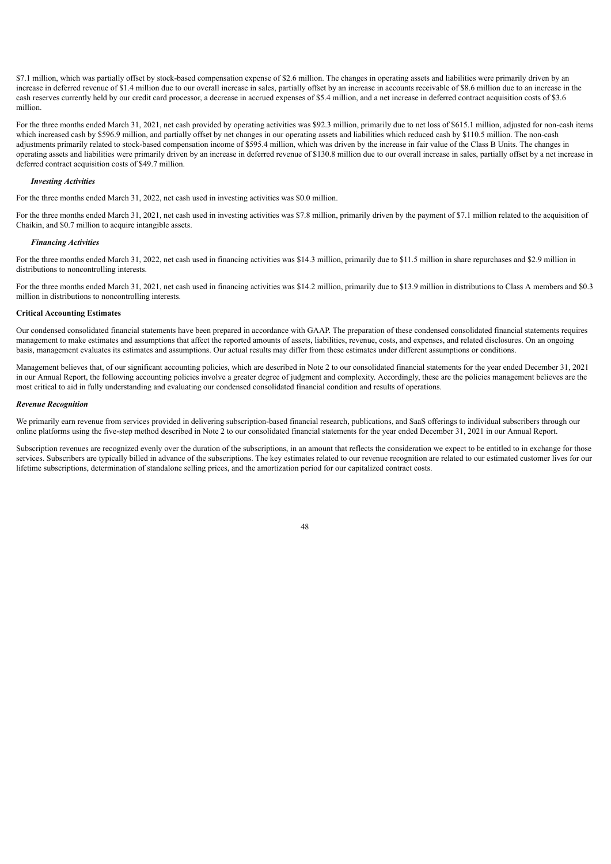\$7.1 million, which was partially offset by stock-based compensation expense of \$2.6 million. The changes in operating assets and liabilities were primarily driven by an increase in deferred revenue of \$1.4 million due to our overall increase in sales, partially offset by an increase in accounts receivable of \$8.6 million due to an increase in the cash reserves currently held by our credit card processor, a decrease in accrued expenses of \$5.4 million, and a net increase in deferred contract acquisition costs of \$3.6 million.

For the three months ended March 31, 2021, net cash provided by operating activities was \$92.3 million, primarily due to net loss of \$615.1 million, adjusted for non-cash items which increased cash by \$596.9 million, and partially offset by net changes in our operating assets and liabilities which reduced cash by \$110.5 million. The non-cash adjustments primarily related to stock-based compensation income of \$595.4 million, which was driven by the increase in fair value of the Class B Units. The changes in operating assets and liabilities were primarily driven by an increase in deferred revenue of \$130.8 million due to our overall increase in sales, partially offset by a net increase in deferred contract acquisition costs of \$49.7 million.

#### *Investing Activities*

For the three months ended March 31, 2022, net cash used in investing activities was \$0.0 million.

For the three months ended March 31, 2021, net cash used in investing activities was \$7.8 million, primarily driven by the payment of \$7.1 million related to the acquisition of Chaikin, and \$0.7 million to acquire intangible assets.

### *Financing Activities*

For the three months ended March 31, 2022, net cash used in financing activities was \$14.3 million, primarily due to \$11.5 million in share repurchases and \$2.9 million in distributions to noncontrolling interests.

For the three months ended March 31, 2021, net cash used in financing activities was \$14.2 million, primarily due to \$13.9 million in distributions to Class A members and \$0.3 million in distributions to noncontrolling interests.

### **Critical Accounting Estimates**

Our condensed consolidated financial statements have been prepared in accordance with GAAP. The preparation of these condensed consolidated financial statements requires management to make estimates and assumptions that affect the reported amounts of assets, liabilities, revenue, costs, and expenses, and related disclosures. On an ongoing basis, management evaluates its estimates and assumptions. Our actual results may differ from these estimates under different assumptions or conditions.

Management believes that, of our significant accounting policies, which are described in Note 2 to our consolidated financial statements for the year ended December 31, 2021 in our Annual Report, the following accounting policies involve a greater degree of judgment and complexity. Accordingly, these are the policies management believes are the most critical to aid in fully understanding and evaluating our condensed consolidated financial condition and results of operations.

#### *Revenue Recognition*

We primarily earn revenue from services provided in delivering subscription-based financial research, publications, and SaaS offerings to individual subscribers through our online platforms using the five-step method described in Note 2 to our consolidated financial statements for the year ended December 31, 2021 in our Annual Report.

Subscription revenues are recognized evenly over the duration of the subscriptions, in an amount that reflects the consideration we expect to be entitled to in exchange for those services. Subscribers are typically billed in advance of the subscriptions. The key estimates related to our revenue recognition are related to our estimated customer lives for our lifetime subscriptions, determination of standalone selling prices, and the amortization period for our capitalized contract costs.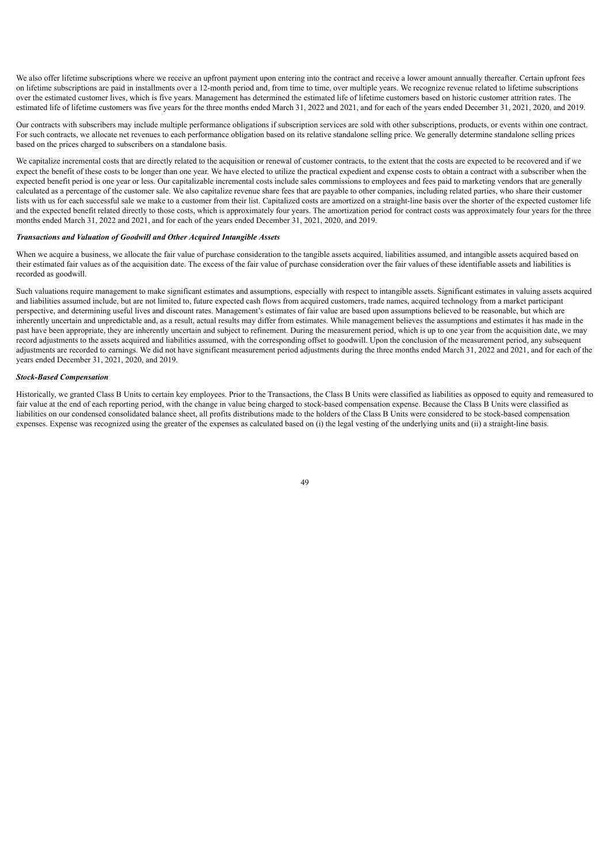We also offer lifetime subscriptions where we receive an upfront payment upon entering into the contract and receive a lower amount annually thereafter. Certain upfront fees on lifetime subscriptions are paid in installments over a 12-month period and, from time to time, over multiple years. We recognize revenue related to lifetime subscriptions over the estimated customer lives, which is five years. Management has determined the estimated life of lifetime customers based on historic customer attrition rates. The estimated life of lifetime customers was five years for the three months ended March 31, 2022 and 2021, and for each of the years ended December 31, 2021, 2020, and 2019.

Our contracts with subscribers may include multiple performance obligations if subscription services are sold with other subscriptions, products, or events within one contract. For such contracts, we allocate net revenues to each performance obligation based on its relative standalone selling price. We generally determine standalone selling prices based on the prices charged to subscribers on a standalone basis.

We capitalize incremental costs that are directly related to the acquisition or renewal of customer contracts, to the extent that the costs are expected to be recovered and if we expect the benefit of these costs to be longer than one year. We have elected to utilize the practical expedient and expense costs to obtain a contract with a subscriber when the expected benefit period is one year or less. Our capitalizable incremental costs include sales commissions to employees and fees paid to marketing vendors that are generally calculated as a percentage of the customer sale. We also capitalize revenue share fees that are payable to other companies, including related parties, who share their customer lists with us for each successful sale we make to a customer from their list. Capitalized costs are amortized on a straight-line basis over the shorter of the expected customer life and the expected benefit related directly to those costs, which is approximately four years. The amortization period for contract costs was approximately four years for the three months ended March 31, 2022 and 2021, and for each of the years ended December 31, 2021, 2020, and 2019.

### *Transactions and Valuation of Goodwill and Other Acquired Intangible Assets*

When we acquire a business, we allocate the fair value of purchase consideration to the tangible assets acquired, liabilities assumed, and intangible assets acquired based on their estimated fair values as of the acquisition date. The excess of the fair value of purchase consideration over the fair values of these identifiable assets and liabilities is recorded as goodwill.

Such valuations require management to make significant estimates and assumptions, especially with respect to intangible assets. Significant estimates in valuing assets acquired and liabilities assumed include, but are not limited to, future expected cash flows from acquired customers, trade names, acquired technology from a market participant perspective, and determining useful lives and discount rates. Management's estimates of fair value are based upon assumptions believed to be reasonable, but which are inherently uncertain and unpredictable and, as a result, actual results may differ from estimates. While management believes the assumptions and estimates it has made in the past have been appropriate, they are inherently uncertain and subject to refinement. During the measurement period, which is up to one year from the acquisition date, we may record adjustments to the assets acquired and liabilities assumed, with the corresponding offset to goodwill. Upon the conclusion of the measurement period, any subsequent adjustments are recorded to earnings. We did not have significant measurement period adjustments during the three months ended March 31, 2022 and 2021, and for each of the years ended December 31, 2021, 2020, and 2019.

# *Stock-Based Compensation*

Historically, we granted Class B Units to certain key employees. Prior to the Transactions, the Class B Units were classified as liabilities as opposed to equity and remeasured to fair value at the end of each reporting period, with the change in value being charged to stock-based compensation expense. Because the Class B Units were classified as liabilities on our condensed consolidated balance sheet, all profits distributions made to the holders of the Class B Units were considered to be stock-based compensation expenses. Expense was recognized using the greater of the expenses as calculated based on (i) the legal vesting of the underlying units and (ii) a straight-line basis.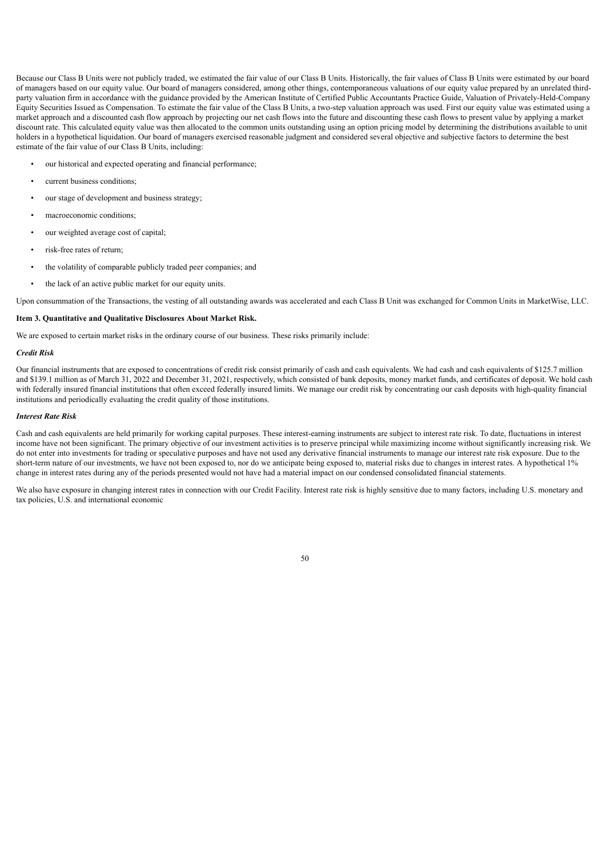Because our Class B Units were not publicly traded, we estimated the fair value of our Class B Units. Historically, the fair values of Class B Units were estimated by our board of managers based on our equity value. Our board of managers considered, among other things, contemporaneous valuations of our equity value prepared by an unrelated thirdparty valuation firm in accordance with the guidance provided by the American Institute of Certified Public Accountants Practice Guide, Valuation of Privately-Held-Company Equity Securities Issued as Compensation. To estimate the fair value of the Class B Units, a two-step valuation approach was used. First our equity value was estimated using a market approach and a discounted cash flow approach by projecting our net cash flows into the future and discounting these cash flows to present value by applying a market discount rate. This calculated equity value was then allocated to the common units outstanding using an option pricing model by determining the distributions available to unit holders in a hypothetical liquidation. Our board of managers exercised reasonable judgment and considered several objective and subjective factors to determine the best estimate of the fair value of our Class B Units, including:

- our historical and expected operating and financial performance;
- current business conditions;
- our stage of development and business strategy;
- macroeconomic conditions;
- our weighted average cost of capital;
- risk-free rates of return;
- the volatility of comparable publicly traded peer companies; and
- the lack of an active public market for our equity units.

Upon consummation of the Transactions, the vesting of all outstanding awards was accelerated and each Class B Unit was exchanged for Common Units in MarketWise, LLC.

#### <span id="page-50-0"></span>**Item 3. Quantitative and Qualitative Disclosures About Market Risk.**

We are exposed to certain market risks in the ordinary course of our business. These risks primarily include:

### *Credit Risk*

Our financial instruments that are exposed to concentrations of credit risk consist primarily of cash and cash equivalents. We had cash and cash equivalents of \$125.7 million and \$139.1 million as of March 31, 2022 and December 31, 2021, respectively, which consisted of bank deposits, money market funds, and certificates of deposit. We hold cash with federally insured financial institutions that often exceed federally insured limits. We manage our credit risk by concentrating our cash deposits with high-quality financial institutions and periodically evaluating the credit quality of those institutions.

#### *Interest Rate Risk*

Cash and cash equivalents are held primarily for working capital purposes. These interest-earning instruments are subject to interest rate risk. To date, fluctuations in interest income have not been significant. The primary objective of our investment activities is to preserve principal while maximizing income without significantly increasing risk. We do not enter into investments for trading or speculative purposes and have not used any derivative financial instruments to manage our interest rate risk exposure. Due to the short-term nature of our investments, we have not been exposed to, nor do we anticipate being exposed to, material risks due to changes in interest rates. A hypothetical 1% change in interest rates during any of the periods presented would not have had a material impact on our condensed consolidated financial statements.

We also have exposure in changing interest rates in connection with our Credit Facility. Interest rate risk is highly sensitive due to many factors, including U.S. monetary and tax policies, U.S. and international economic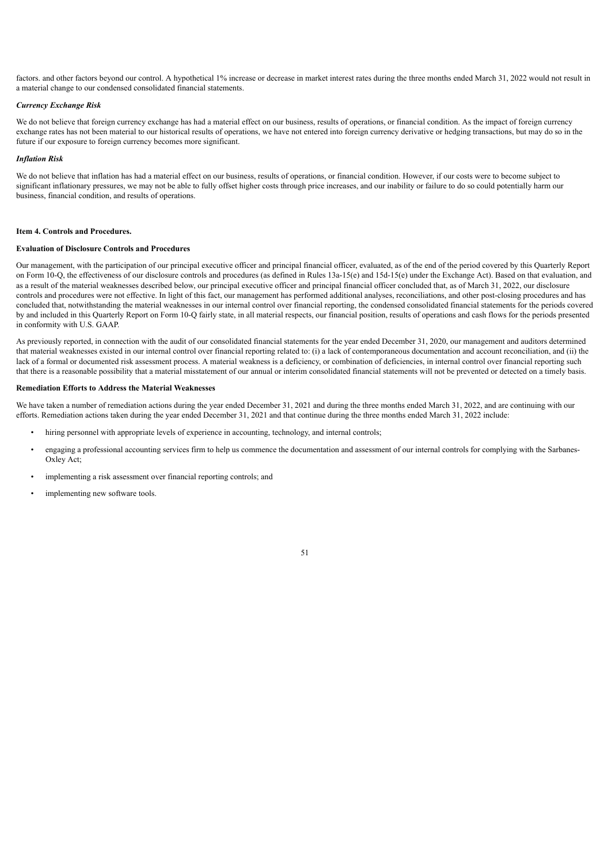factors. and other factors beyond our control. A hypothetical 1% increase or decrease in market interest rates during the three months ended March 31, 2022 would not result in a material change to our condensed consolidated financial statements.

# *Currency Exchange Risk*

We do not believe that foreign currency exchange has had a material effect on our business, results of operations, or financial condition. As the impact of foreign currency exchange rates has not been material to our historical results of operations, we have not entered into foreign currency derivative or hedging transactions, but may do so in the future if our exposure to foreign currency becomes more significant.

### *Inflation Risk*

We do not believe that inflation has had a material effect on our business, results of operations, or financial condition. However, if our costs were to become subject to significant inflationary pressures, we may not be able to fully offset higher costs through price increases, and our inability or failure to do so could potentially harm our business, financial condition, and results of operations.

# <span id="page-51-0"></span>**Item 4. Controls and Procedures.**

#### **Evaluation of Disclosure Controls and Procedures**

Our management, with the participation of our principal executive officer and principal financial officer, evaluated, as of the end of the period covered by this Quarterly Report on Form 10-Q, the effectiveness of our disclosure controls and procedures (as defined in Rules 13a-15(e) and 15d-15(e) under the Exchange Act). Based on that evaluation, and as a result of the material weaknesses described below, our principal executive officer and principal financial officer concluded that, as of March 31, 2022, our disclosure controls and procedures were not effective. In light of this fact, our management has performed additional analyses, reconciliations, and other post-closing procedures and has concluded that, notwithstanding the material weaknesses in our internal control over financial reporting, the condensed consolidated financial statements for the periods covered by and included in this Quarterly Report on Form 10-Q fairly state, in all material respects, our financial position, results of operations and cash flows for the periods presented in conformity with U.S. GAAP.

As previously reported, in connection with the audit of our consolidated financial statements for the year ended December 31, 2020, our management and auditors determined that material weaknesses existed in our internal control over financial reporting related to: (i) a lack of contemporaneous documentation and account reconciliation, and (ii) the lack of a formal or documented risk assessment process. A material weakness is a deficiency, or combination of deficiencies, in internal control over financial reporting such that there is a reasonable possibility that a material misstatement of our annual or interim consolidated financial statements will not be prevented or detected on a timely basis.

#### **Remediation Efforts to Address the Material Weaknesses**

We have taken a number of remediation actions during the year ended December 31, 2021 and during the three months ended March 31, 2022, and are continuing with our efforts. Remediation actions taken during the year ended December 31, 2021 and that continue during the three months ended March 31, 2022 include:

- hiring personnel with appropriate levels of experience in accounting, technology, and internal controls;
- engaging a professional accounting services firm to help us commence the documentation and assessment of our internal controls for complying with the Sarbanes-Oxley Act;

- implementing a risk assessment over financial reporting controls; and
- implementing new software tools.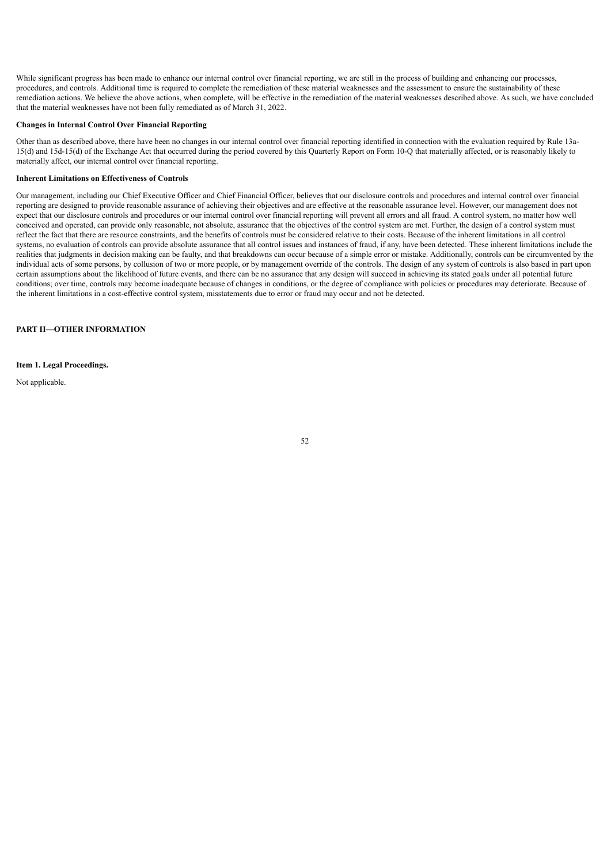While significant progress has been made to enhance our internal control over financial reporting, we are still in the process of building and enhancing our processes, procedures, and controls. Additional time is required to complete the remediation of these material weaknesses and the assessment to ensure the sustainability of these remediation actions. We believe the above actions, when complete, will be effective in the remediation of the material weaknesses described above. As such, we have concluded that the material weaknesses have not been fully remediated as of March 31, 2022.

#### **Changes in Internal Control Over Financial Reporting**

Other than as described above, there have been no changes in our internal control over financial reporting identified in connection with the evaluation required by Rule 13a-15(d) and 15d-15(d) of the Exchange Act that occurred during the period covered by this Quarterly Report on Form 10-Q that materially affected, or is reasonably likely to materially affect, our internal control over financial reporting.

#### **Inherent Limitations on Effectiveness of Controls**

Our management, including our Chief Executive Officer and Chief Financial Officer, believes that our disclosure controls and procedures and internal control over financial reporting are designed to provide reasonable assurance of achieving their objectives and are effective at the reasonable assurance level. However, our management does not expect that our disclosure controls and procedures or our internal control over financial reporting will prevent all errors and all fraud. A control system, no matter how well conceived and operated, can provide only reasonable, not absolute, assurance that the objectives of the control system are met. Further, the design of a control system must reflect the fact that there are resource constraints, and the benefits of controls must be considered relative to their costs. Because of the inherent limitations in all control systems, no evaluation of controls can provide absolute assurance that all control issues and instances of fraud, if any, have been detected. These inherent limitations include the realities that judgments in decision making can be faulty, and that breakdowns can occur because of a simple error or mistake. Additionally, controls can be circumvented by the individual acts of some persons, by collusion of two or more people, or by management override of the controls. The design of any system of controls is also based in part upon certain assumptions about the likelihood of future events, and there can be no assurance that any design will succeed in achieving its stated goals under all potential future conditions; over time, controls may become inadequate because of changes in conditions, or the degree of compliance with policies or procedures may deteriorate. Because of the inherent limitations in a cost-effective control system, misstatements due to error or fraud may occur and not be detected.

<span id="page-52-0"></span>**PART II—OTHER INFORMATION**

<span id="page-52-1"></span>**Item 1. Legal Proceedings.**

<span id="page-52-2"></span>Not applicable.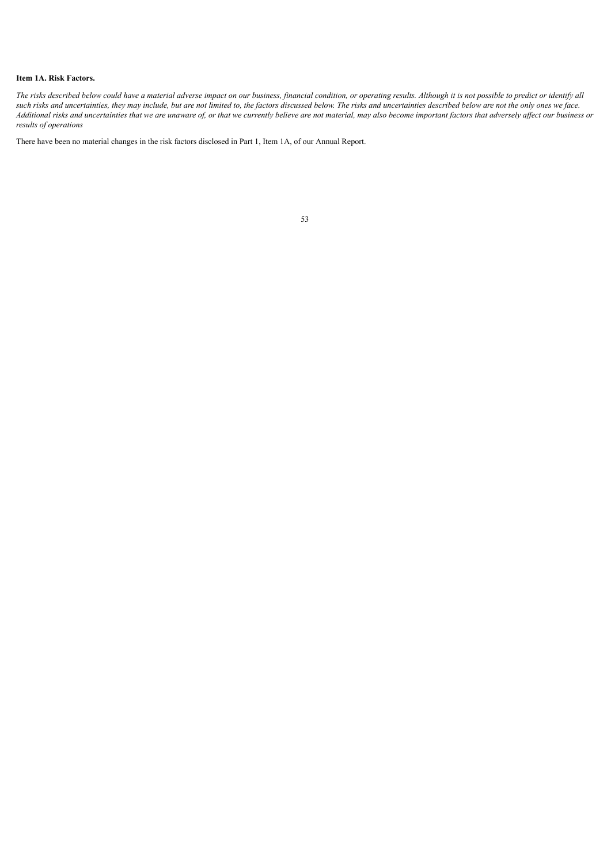# **Item 1A. Risk Factors.**

The risks described below could have a material adverse impact on our business, financial condition, or operating results. Although it is not possible to predict or identify all such risks and uncertainties, they may include, but are not limited to, the factors discussed below. The risks and uncertainties described below are not the only ones we face. Additional risks and uncertainties that we are unaware of, or that we currently believe are not material, may also become important factors that adversely affect our business or *results of operations*

There have been no material changes in the risk factors disclosed in Part 1, Item 1A, of our Annual Report.

| i<br>v<br>۰. |
|--------------|
|              |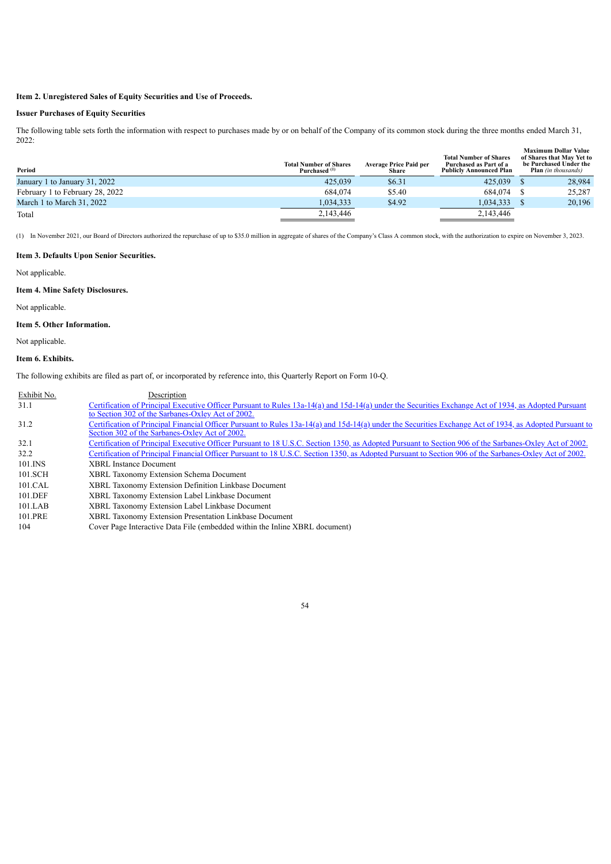# <span id="page-54-0"></span>**Item 2. Unregistered Sales of Equity Securities and Use of Proceeds.**

# **Issuer Purchases of Equity Securities**

The following table sets forth the information with respect to purchases made by or on behalf of the Company of its common stock during the three months ended March 31, 2022:

| Period                          | <b>Total Number of Shares</b><br>Purchased <sup>(1)</sup> | <b>Average Price Paid per</b><br>Share | <b>Total Number of Shares</b><br>Purchased as Part of a<br><b>Publicly Announced Plan</b> | <b>Maximum Dollar Value</b><br>of Shares that May Yet to<br>be Purchased Under the<br><b>Plan</b> (in thousands) |
|---------------------------------|-----------------------------------------------------------|----------------------------------------|-------------------------------------------------------------------------------------------|------------------------------------------------------------------------------------------------------------------|
| January 1 to January 31, 2022   | 425.039                                                   | \$6.31                                 | 425,039                                                                                   | 28,984                                                                                                           |
| February 1 to February 28, 2022 | 684.074                                                   | \$5.40                                 | 684.074                                                                                   | 25,287                                                                                                           |
| March 1 to March 31, 2022       | 1.034.333                                                 | \$4.92                                 | 1.034.333                                                                                 | 20,196                                                                                                           |
| Total                           | 2,143,446                                                 |                                        | 2,143,446                                                                                 |                                                                                                                  |

(1) In November 2021, our Board of Directors authorized the repurchase of up to \$35.0 million in aggregate of shares of the Company's Class A common stock, with the authorization to expire on November 3, 2023.

#### <span id="page-54-1"></span>**Item 3. Defaults Upon Senior Securities.**

Not applicable.

# <span id="page-54-2"></span>**Item 4. Mine Safety Disclosures.**

Not applicable.

# <span id="page-54-3"></span>**Item 5. Other Information.**

Not applicable.

# <span id="page-54-4"></span>**Item 6. Exhibits.**

The following exhibits are filed as part of, or incorporated by reference into, this Quarterly Report on Form 10-Q.

| Exhibit No. | Description                                                                                                                                              |
|-------------|----------------------------------------------------------------------------------------------------------------------------------------------------------|
| 31.1        | Certification of Principal Executive Officer Pursuant to Rules 13a-14(a) and 15d-14(a) under the Securities Exchange Act of 1934, as Adopted Pursuant    |
|             | to Section 302 of the Sarbanes-Oxley Act of 2002.                                                                                                        |
| 31.2        | Certification of Principal Financial Officer Pursuant to Rules 13a-14(a) and 15d-14(a) under the Securities Exchange Act of 1934, as Adopted Pursuant to |
|             | Section 302 of the Sarbanes-Oxley Act of 2002.                                                                                                           |
| 32.1        | Certification of Principal Executive Officer Pursuant to 18 U.S.C. Section 1350, as Adopted Pursuant to Section 906 of the Sarbanes-Oxley Act of 2002.   |
| 32.2        | Certification of Principal Financial Officer Pursuant to 18 U.S.C. Section 1350, as Adopted Pursuant to Section 906 of the Sarbanes-Oxley Act of 2002.   |
| 101.INS     | <b>XBRL Instance Document</b>                                                                                                                            |
| 101.SCH     | <b>XBRL Taxonomy Extension Schema Document</b>                                                                                                           |
| 101.CAL     | XBRL Taxonomy Extension Definition Linkbase Document                                                                                                     |
| 101.DEF     | XBRL Taxonomy Extension Label Linkbase Document                                                                                                          |
| 101.LAB     | XBRL Taxonomy Extension Label Linkbase Document                                                                                                          |
| 101.PRE     | XBRL Taxonomy Extension Presentation Linkbase Document                                                                                                   |
|             |                                                                                                                                                          |

<span id="page-54-5"></span>104 Cover Page Interactive Data File (embedded within the Inline XBRL document)